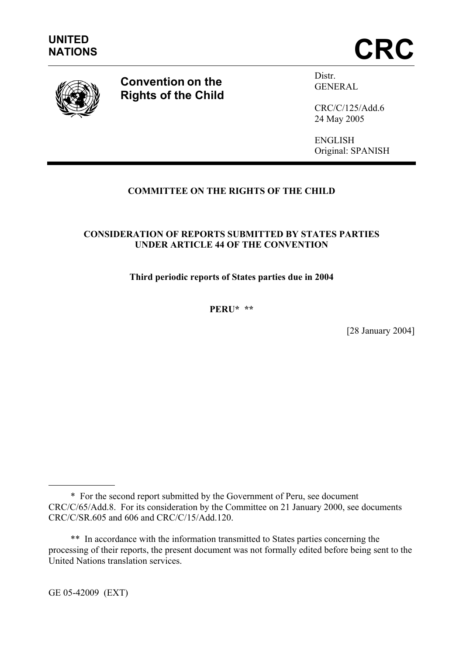



**Convention on the Rights of the Child** Distr. GENERAL

CRC/C/125/Add.6 24 May 2005

ENGLISH Original: SPANISH

# **COMMITTEE ON THE RIGHTS OF THE CHILD**

## **CONSIDERATION OF REPORTS SUBMITTED BY STATES PARTIES UNDER ARTICLE 44 OF THE CONVENTION**

**Third periodic reports of States parties due in 2004** 

**PERU\* \*\*** 

[28 January 2004]

GE 05-42009 (EXT)

 $\overline{a}$ 

<sup>\*</sup> For the second report submitted by the Government of Peru, see document CRC/C/65/Add.8. For its consideration by the Committee on 21 January 2000, see documents CRC/C/SR.605 and 606 and CRC/C/15/Add.120.

 <sup>\*\*</sup> In accordance with the information transmitted to States parties concerning the processing of their reports, the present document was not formally edited before being sent to the United Nations translation services.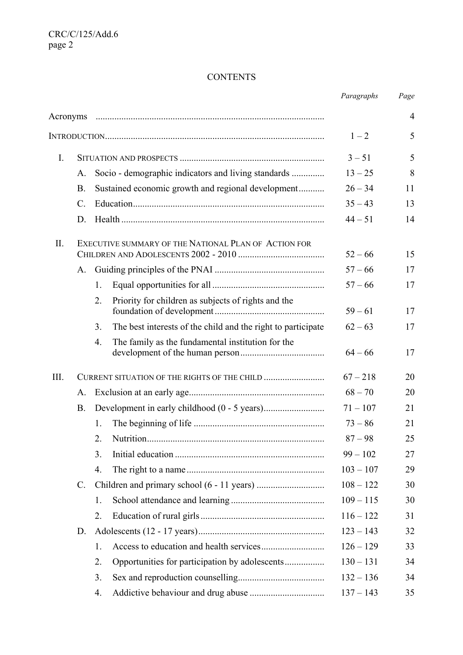# **CONTENTS**

|          |                 |    |                                                              | Paragraphs  | Page           |
|----------|-----------------|----|--------------------------------------------------------------|-------------|----------------|
| Acronyms |                 |    |                                                              |             | $\overline{4}$ |
|          |                 |    |                                                              | $1 - 2$     | 5              |
| I.       |                 |    |                                                              | $3 - 51$    | 5              |
|          | A.              |    | Socio - demographic indicators and living standards          | $13 - 25$   | 8              |
|          | <b>B.</b>       |    | Sustained economic growth and regional development           | $26 - 34$   | 11             |
|          | $\mathcal{C}$ . |    |                                                              | $35 - 43$   | 13             |
|          | D.              |    |                                                              | $44 - 51$   | 14             |
| II.      |                 |    | EXECUTIVE SUMMARY OF THE NATIONAL PLAN OF ACTION FOR         | $52 - 66$   | 15             |
|          | A.              |    |                                                              | $57 - 66$   | 17             |
|          |                 | 1. |                                                              | $57 - 66$   | 17             |
|          |                 | 2. | Priority for children as subjects of rights and the          | $59 - 61$   | 17             |
|          |                 | 3. | The best interests of the child and the right to participate | $62 - 63$   | 17             |
|          |                 | 4. | The family as the fundamental institution for the            | $64 - 66$   | 17             |
| III.     |                 |    | CURRENT SITUATION OF THE RIGHTS OF THE CHILD                 | $67 - 218$  | 20             |
|          | A.              |    |                                                              | $68 - 70$   | 20             |
|          | <b>B.</b>       |    |                                                              | $71 - 107$  | 21             |
|          |                 | 1. |                                                              | $73 - 86$   | 21             |
|          |                 | 2. |                                                              | $87 - 98$   | 25             |
|          |                 | 3. |                                                              | $99 - 102$  | 27             |
|          |                 | 4. |                                                              | $103 - 107$ | 29             |
|          | $\mathbb{C}$ .  |    |                                                              | $108 - 122$ | 30             |
|          |                 | 1. |                                                              | $109 - 115$ | 30             |
|          |                 | 2. |                                                              | $116 - 122$ | 31             |
|          | D.              |    |                                                              | $123 - 143$ | 32             |
|          |                 | 1. |                                                              | $126 - 129$ | 33             |
|          |                 | 2. |                                                              | $130 - 131$ | 34             |
|          |                 | 3. |                                                              | $132 - 136$ | 34             |
|          |                 | 4. |                                                              | $137 - 143$ | 35             |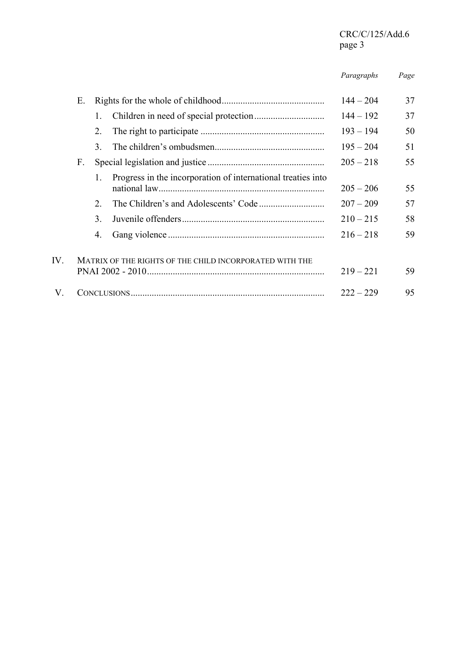# CRC/C/125/Add.6 page 3

 *Paragraphs Page* 

|              | Ε. |             |                                                              | $144 - 204$ | 37 |
|--------------|----|-------------|--------------------------------------------------------------|-------------|----|
|              |    |             |                                                              | $144 - 192$ | 37 |
|              |    | 2.          |                                                              | $193 - 194$ | 50 |
|              |    | 3           |                                                              | $195 - 204$ | 51 |
|              | F. |             |                                                              | $205 - 218$ | 55 |
|              |    |             | Progress in the incorporation of international treaties into | $205 - 206$ | 55 |
|              |    | $2^{\circ}$ |                                                              | $207 - 209$ | 57 |
|              |    | 3.          |                                                              | $210 - 215$ | 58 |
|              |    | 4.          |                                                              | $216 - 218$ | 59 |
| $IV_{\cdot}$ |    |             | MATRIX OF THE RIGHTS OF THE CHILD INCORPORATED WITH THE      | $219 - 221$ | 59 |
| V.           |    |             |                                                              | $222 - 229$ | 95 |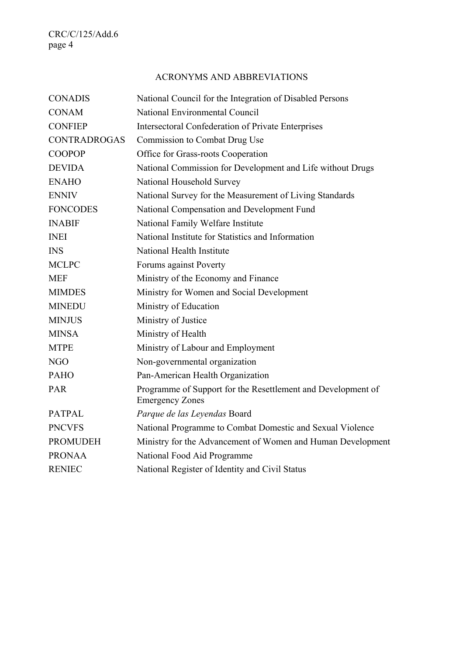# ACRONYMS AND ABBREVIATIONS

| <b>CONADIS</b>      | National Council for the Integration of Disabled Persons                               |
|---------------------|----------------------------------------------------------------------------------------|
| <b>CONAM</b>        | National Environmental Council                                                         |
| <b>CONFIEP</b>      | <b>Intersectoral Confederation of Private Enterprises</b>                              |
| <b>CONTRADROGAS</b> | Commission to Combat Drug Use                                                          |
| <b>COOPOP</b>       | Office for Grass-roots Cooperation                                                     |
| <b>DEVIDA</b>       | National Commission for Development and Life without Drugs                             |
| <b>ENAHO</b>        | National Household Survey                                                              |
| <b>ENNIV</b>        | National Survey for the Measurement of Living Standards                                |
| <b>FONCODES</b>     | National Compensation and Development Fund                                             |
| <b>INABIF</b>       | National Family Welfare Institute                                                      |
| <b>INEI</b>         | National Institute for Statistics and Information                                      |
| <b>INS</b>          | National Health Institute                                                              |
| <b>MCLPC</b>        | Forums against Poverty                                                                 |
| <b>MEF</b>          | Ministry of the Economy and Finance                                                    |
| <b>MIMDES</b>       | Ministry for Women and Social Development                                              |
| <b>MINEDU</b>       | Ministry of Education                                                                  |
| <b>MINJUS</b>       | Ministry of Justice                                                                    |
| <b>MINSA</b>        | Ministry of Health                                                                     |
| <b>MTPE</b>         | Ministry of Labour and Employment                                                      |
| NGO                 | Non-governmental organization                                                          |
| <b>PAHO</b>         | Pan-American Health Organization                                                       |
| <b>PAR</b>          | Programme of Support for the Resettlement and Development of<br><b>Emergency Zones</b> |
| <b>PATPAL</b>       | Parque de las Leyendas Board                                                           |
| <b>PNCVFS</b>       | National Programme to Combat Domestic and Sexual Violence                              |
| <b>PROMUDEH</b>     | Ministry for the Advancement of Women and Human Development                            |
| <b>PRONAA</b>       | National Food Aid Programme                                                            |
| <b>RENIEC</b>       | National Register of Identity and Civil Status                                         |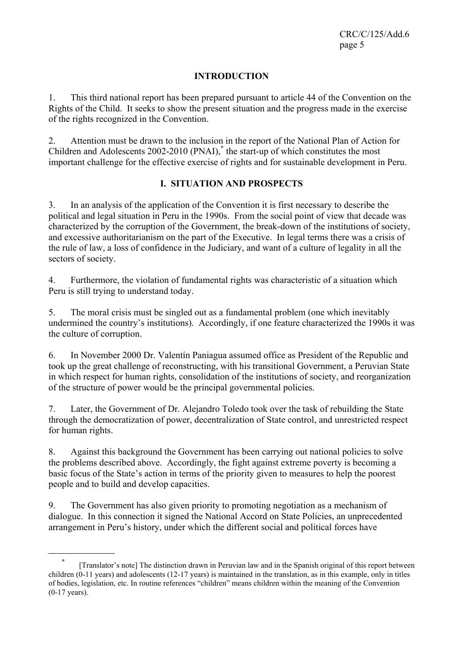CRC/C/125/Add.6 page 5

### **INTRODUCTION**

1. This third national report has been prepared pursuant to article 44 of the Convention on the Rights of the Child. It seeks to show the present situation and the progress made in the exercise of the rights recognized in the Convention.

2. Attention must be drawn to the inclusion in the report of the National Plan of Action for Children and Adolescents 2002-2010 (PNAI),**\*** the start-up of which constitutes the most important challenge for the effective exercise of rights and for sustainable development in Peru.

### **I. SITUATION AND PROSPECTS**

3. In an analysis of the application of the Convention it is first necessary to describe the political and legal situation in Peru in the 1990s. From the social point of view that decade was characterized by the corruption of the Government, the break-down of the institutions of society, and excessive authoritarianism on the part of the Executive. In legal terms there was a crisis of the rule of law, a loss of confidence in the Judiciary, and want of a culture of legality in all the sectors of society.

4. Furthermore, the violation of fundamental rights was characteristic of a situation which Peru is still trying to understand today.

5. The moral crisis must be singled out as a fundamental problem (one which inevitably undermined the country's institutions). Accordingly, if one feature characterized the 1990s it was the culture of corruption.

6. In November 2000 Dr. Valentín Paniagua assumed office as President of the Republic and took up the great challenge of reconstructing, with his transitional Government, a Peruvian State in which respect for human rights, consolidation of the institutions of society, and reorganization of the structure of power would be the principal governmental policies.

7. Later, the Government of Dr. Alejandro Toledo took over the task of rebuilding the State through the democratization of power, decentralization of State control, and unrestricted respect for human rights.

8. Against this background the Government has been carrying out national policies to solve the problems described above. Accordingly, the fight against extreme poverty is becoming a basic focus of the State's action in terms of the priority given to measures to help the poorest people and to build and develop capacities.

9. The Government has also given priority to promoting negotiation as a mechanism of dialogue. In this connection it signed the National Accord on State Policies, an unprecedented arrangement in Peru's history, under which the different social and political forces have

**<sup>\*</sup>** [Translator's note] The distinction drawn in Peruvian law and in the Spanish original of this report between children (0-11 years) and adolescents (12-17 years) is maintained in the translation, as in this example, only in titles of bodies, legislation, etc. In routine references "children" means children within the meaning of the Convention (0-17 years).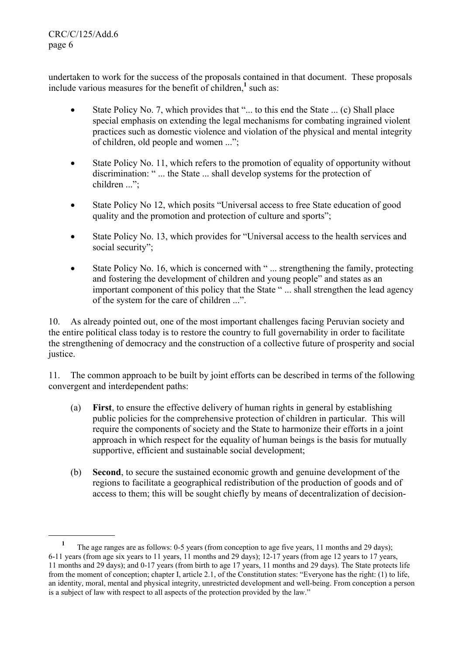CRC/C/125/Add.6 page 6

l

undertaken to work for the success of the proposals contained in that document. These proposals include various measures for the benefit of children,<sup>1</sup> such as:

- State Policy No. 7, which provides that "... to this end the State ... (c) Shall place special emphasis on extending the legal mechanisms for combating ingrained violent practices such as domestic violence and violation of the physical and mental integrity of children, old people and women ...";
- State Policy No. 11, which refers to the promotion of equality of opportunity without discrimination: " ... the State ... shall develop systems for the protection of children ...";
- State Policy No 12, which posits "Universal access to free State education of good quality and the promotion and protection of culture and sports";
- State Policy No. 13, which provides for "Universal access to the health services and social security";
- State Policy No. 16, which is concerned with "... strengthening the family, protecting and fostering the development of children and young people" and states as an important component of this policy that the State " ... shall strengthen the lead agency of the system for the care of children ...".

10. As already pointed out, one of the most important challenges facing Peruvian society and the entire political class today is to restore the country to full governability in order to facilitate the strengthening of democracy and the construction of a collective future of prosperity and social justice.

11. The common approach to be built by joint efforts can be described in terms of the following convergent and interdependent paths:

- (a) **First**, to ensure the effective delivery of human rights in general by establishing public policies for the comprehensive protection of children in particular. This will require the components of society and the State to harmonize their efforts in a joint approach in which respect for the equality of human beings is the basis for mutually supportive, efficient and sustainable social development;
- (b) **Second**, to secure the sustained economic growth and genuine development of the regions to facilitate a geographical redistribution of the production of goods and of access to them; this will be sought chiefly by means of decentralization of decision-

**<sup>1</sup>** The age ranges are as follows: 0-5 years (from conception to age five years, 11 months and 29 days); 6-11 years (from age six years to 11 years, 11 months and 29 days); 12-17 years (from age 12 years to 17 years, 11 months and 29 days); and 0-17 years (from birth to age 17 years, 11 months and 29 days). The State protects life from the moment of conception; chapter I, article 2.1, of the Constitution states: "Everyone has the right: (1) to life, an identity, moral, mental and physical integrity, unrestricted development and well-being. From conception a person is a subject of law with respect to all aspects of the protection provided by the law."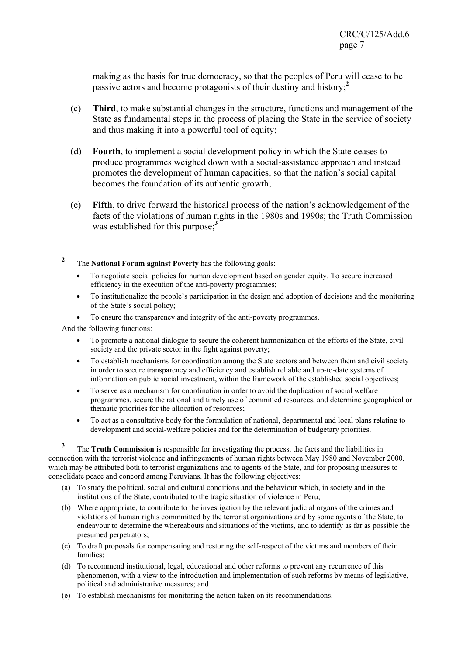making as the basis for true democracy, so that the peoples of Peru will cease to be passive actors and become protagonists of their destiny and history;**<sup>2</sup>**

- (c) **Third**, to make substantial changes in the structure, functions and management of the State as fundamental steps in the process of placing the State in the service of society and thus making it into a powerful tool of equity;
- (d) **Fourth**, to implement a social development policy in which the State ceases to produce programmes weighed down with a social-assistance approach and instead promotes the development of human capacities, so that the nation's social capital becomes the foundation of its authentic growth;
- (e) **Fifth**, to drive forward the historical process of the nation's acknowledgement of the facts of the violations of human rights in the 1980s and 1990s; the Truth Commission was established for this purpose;**<sup>3</sup>**
- **2** The **National Forum against Poverty** has the following goals:
	- To negotiate social policies for human development based on gender equity. To secure increased efficiency in the execution of the anti-poverty programmes;
	- To institutionalize the people's participation in the design and adoption of decisions and the monitoring of the State's social policy;
	- To ensure the transparency and integrity of the anti-poverty programmes.

And the following functions:

l

- To promote a national dialogue to secure the coherent harmonization of the efforts of the State, civil society and the private sector in the fight against poverty;
- To establish mechanisms for coordination among the State sectors and between them and civil society in order to secure transparency and efficiency and establish reliable and up-to-date systems of information on public social investment, within the framework of the established social objectives;
- To serve as a mechanism for coordination in order to avoid the duplication of social welfare programmes, secure the rational and timely use of committed resources, and determine geographical or thematic priorities for the allocation of resources;
- To act as a consultative body for the formulation of national, departmental and local plans relating to development and social-welfare policies and for the determination of budgetary priorities.

**3** The **Truth Commission** is responsible for investigating the process, the facts and the liabilities in connection with the terrorist violence and infringements of human rights between May 1980 and November 2000, which may be attributed both to terrorist organizations and to agents of the State, and for proposing measures to consolidate peace and concord among Peruvians. It has the following objectives:

- (a) To study the political, social and cultural conditions and the behaviour which, in society and in the institutions of the State, contributed to the tragic situation of violence in Peru;
- (b) Where appropriate, to contribute to the investigation by the relevant judicial organs of the crimes and violations of human rights commmitted by the terrorist organizations and by some agents of the State, to endeavour to determine the whereabouts and situations of the victims, and to identify as far as possible the presumed perpetrators;
- (c) To draft proposals for compensating and restoring the self-respect of the victims and members of their families;
- (d) To recommend institutional, legal, educational and other reforms to prevent any recurrence of this phenomenon, with a view to the introduction and implementation of such reforms by means of legislative, political and administrative measures; and
- (e) To establish mechanisms for monitoring the action taken on its recommendations.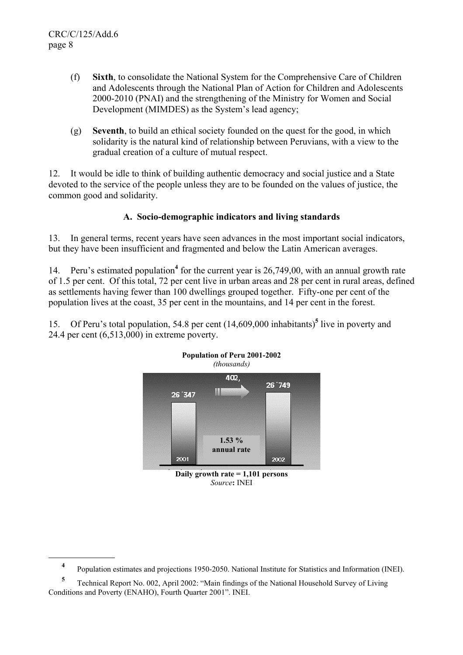l

- (f) **Sixth**, to consolidate the National System for the Comprehensive Care of Children and Adolescents through the National Plan of Action for Children and Adolescents 2000-2010 (PNAI) and the strengthening of the Ministry for Women and Social Development (MIMDES) as the System's lead agency;
- (g) **Seventh**, to build an ethical society founded on the quest for the good, in which solidarity is the natural kind of relationship between Peruvians, with a view to the gradual creation of a culture of mutual respect.

12. It would be idle to think of building authentic democracy and social justice and a State devoted to the service of the people unless they are to be founded on the values of justice, the common good and solidarity.

## **A. Socio-demographic indicators and living standards**

13. In general terms, recent years have seen advances in the most important social indicators, but they have been insufficient and fragmented and below the Latin American averages.

14. Peru's estimated population<sup>4</sup> for the current year is 26,749,00, with an annual growth rate of 1.5 per cent. Of this total, 72 per cent live in urban areas and 28 per cent in rural areas, defined as settlements having fewer than 100 dwellings grouped together. Fifty-one per cent of the population lives at the coast, 35 per cent in the mountains, and 14 per cent in the forest.

15. Of Peru's total population, 54.8 per cent (14,609,000 inhabitants)**<sup>5</sup>** live in poverty and 24.4 per cent (6,513,000) in extreme poverty.



**Daily growth rate = 1,101 persons** 

*Source***:** INEI

**<sup>4</sup>** Population estimates and projections 1950-2050. National Institute for Statistics and Information (INEI).

**<sup>5</sup>** Technical Report No. 002, April 2002: "Main findings of the National Household Survey of Living Conditions and Poverty (ENAHO), Fourth Quarter 2001". INEI.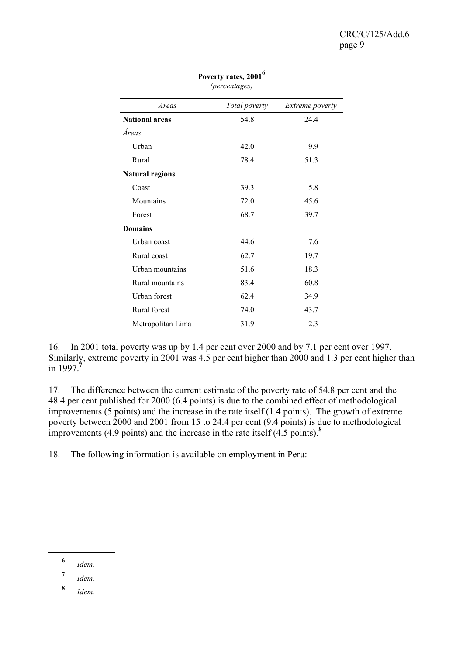| Areas                  | Total poverty | <i>Extreme poverty</i> |  |
|------------------------|---------------|------------------------|--|
| <b>National areas</b>  | 54.8          | 24.4                   |  |
| Áreas                  |               |                        |  |
| Urban                  | 42.0          | 9.9                    |  |
| Rural                  | 78.4          | 51.3                   |  |
| <b>Natural regions</b> |               |                        |  |
| Coast                  | 39.3          | 5.8                    |  |
| Mountains              | 72.0          | 45.6                   |  |
| Forest                 | 68.7          | 39.7                   |  |
| <b>Domains</b>         |               |                        |  |
| Urban coast            | 44.6          | 7.6                    |  |
| Rural coast            | 62.7          | 19.7                   |  |
| Urban mountains        | 51.6          | 18.3                   |  |
| Rural mountains        | 83.4          | 60.8                   |  |
| Urban forest           | 62.4          | 34.9                   |  |
| Rural forest           | 74.0          | 43.7                   |  |
| Metropolitan Lima      | 31.9          | 2.3                    |  |

**Poverty rates, 20016** *(percentages)* 

16. In 2001 total poverty was up by 1.4 per cent over 2000 and by 7.1 per cent over 1997. Similarly, extreme poverty in 2001 was 4.5 per cent higher than 2000 and 1.3 per cent higher than in 1997.**<sup>7</sup>**

17. The difference between the current estimate of the poverty rate of 54.8 per cent and the 48.4 per cent published for 2000 (6.4 points) is due to the combined effect of methodological improvements (5 points) and the increase in the rate itself (1.4 points). The growth of extreme poverty between 2000 and 2001 from 15 to 24.4 per cent (9.4 points) is due to methodological improvements (4.9 points) and the increase in the rate itself (4.5 points).**<sup>8</sup>**

18. The following information is available on employment in Peru:

**<sup>6</sup>** *Idem.*

- **<sup>7</sup>** *Idem.*
- **<sup>8</sup>** *Idem.*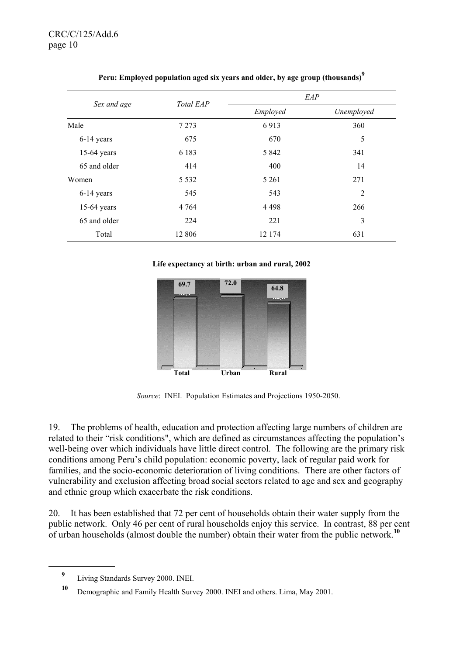|               | Total EAP |          | EAP        |
|---------------|-----------|----------|------------|
| Sex and age   |           | Employed | Unemployed |
| Male          | 7 2 7 3   | 6913     | 360        |
| $6-14$ years  | 675       | 670      | 5          |
| $15-64$ years | 6 1 8 3   | 5 8 4 2  | 341        |
| 65 and older  | 414       | 400      | 14         |
| Women         | 5 5 3 2   | 5 2 6 1  | 271        |
| 6-14 years    | 545       | 543      | 2          |
| $15-64$ years | 4 7 6 4   | 4 4 9 8  | 266        |
| 65 and older  | 224       | 221      | 3          |
| Total         | 12 806    | 12 174   | 631        |

|  |  |  | Peru: Employed population aged six years and older, by age group (thousands) <sup>7</sup> |  |
|--|--|--|-------------------------------------------------------------------------------------------|--|
|  |  |  |                                                                                           |  |

**Life expectancy at birth: urban and rural, 2002**



*Source*: INEI. Population Estimates and Projections 1950-2050.

19. The problems of health, education and protection affecting large numbers of children are related to their "risk conditions", which are defined as circumstances affecting the population's well-being over which individuals have little direct control. The following are the primary risk conditions among Peru's child population: economic poverty, lack of regular paid work for families, and the socio-economic deterioration of living conditions. There are other factors of vulnerability and exclusion affecting broad social sectors related to age and sex and geography and ethnic group which exacerbate the risk conditions.

20. It has been established that 72 per cent of households obtain their water supply from the public network. Only 46 per cent of rural households enjoy this service. In contrast, 88 per cent of urban households (almost double the number) obtain their water from the public network.**<sup>10</sup>**

**<sup>9</sup>** Living Standards Survey 2000. INEI.

**<sup>10</sup>** Demographic and Family Health Survey 2000. INEI and others. Lima, May 2001.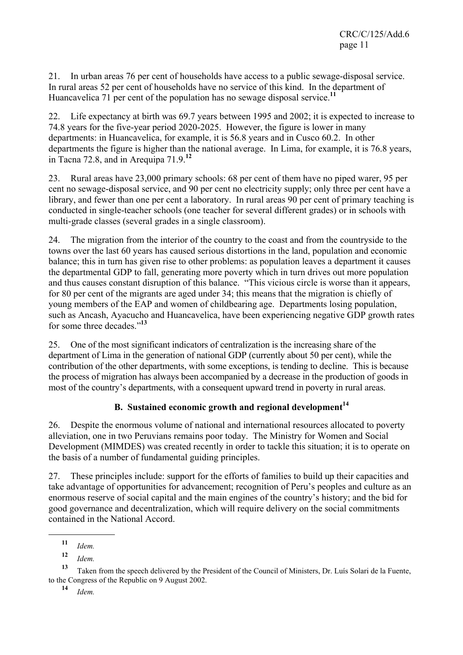21. In urban areas 76 per cent of households have access to a public sewage-disposal service. In rural areas 52 per cent of households have no service of this kind. In the department of Huancavelica 71 per cent of the population has no sewage disposal service.**<sup>11</sup>**

22. Life expectancy at birth was 69.7 years between 1995 and 2002; it is expected to increase to 74.8 years for the five-year period 2020-2025. However, the figure is lower in many departments: in Huancavelica, for example, it is 56.8 years and in Cusco 60.2. In other departments the figure is higher than the national average. In Lima, for example, it is 76.8 years, in Tacna 72.8, and in Arequipa 71.9.**<sup>12</sup>**

23. Rural areas have 23,000 primary schools: 68 per cent of them have no piped warer, 95 per cent no sewage-disposal service, and 90 per cent no electricity supply; only three per cent have a library, and fewer than one per cent a laboratory. In rural areas 90 per cent of primary teaching is conducted in single-teacher schools (one teacher for several different grades) or in schools with multi-grade classes (several grades in a single classroom).

24. The migration from the interior of the country to the coast and from the countryside to the towns over the last 60 years has caused serious distortions in the land, population and economic balance; this in turn has given rise to other problems: as population leaves a department it causes the departmental GDP to fall, generating more poverty which in turn drives out more population and thus causes constant disruption of this balance. "This vicious circle is worse than it appears, for 80 per cent of the migrants are aged under 34; this means that the migration is chiefly of young members of the EAP and women of childbearing age. Departments losing population, such as Ancash, Ayacucho and Huancavelica, have been experiencing negative GDP growth rates for some three decades "<sup>13</sup>

25. One of the most significant indicators of centralization is the increasing share of the department of Lima in the generation of national GDP (currently about 50 per cent), while the contribution of the other departments, with some exceptions, is tending to decline. This is because the process of migration has always been accompanied by a decrease in the production of goods in most of the country's departments, with a consequent upward trend in poverty in rural areas.

# **B. Sustained economic growth and regional development<sup>14</sup>**

26. Despite the enormous volume of national and international resources allocated to poverty alleviation, one in two Peruvians remains poor today. The Ministry for Women and Social Development (MIMDES) was created recently in order to tackle this situation; it is to operate on the basis of a number of fundamental guiding principles.

27. These principles include: support for the efforts of families to build up their capacities and take advantage of opportunities for advancement; recognition of Peru's peoples and culture as an enormous reserve of social capital and the main engines of the country's history; and the bid for good governance and decentralization, which will require delivery on the social commitments contained in the National Accord.

**<sup>11</sup>** *Idem.*

**<sup>12</sup>** *Idem.*

**<sup>13</sup>** Taken from the speech delivered by the President of the Council of Ministers, Dr. Luís Solari de la Fuente, to the Congress of the Republic on 9 August 2002.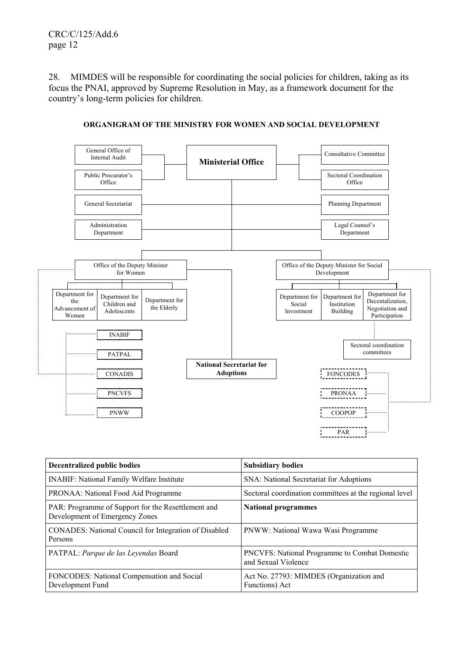28. MIMDES will be responsible for coordinating the social policies for children, taking as its focus the PNAI, approved by Supreme Resolution in May, as a framework document for the country's long-term policies for children.



### **ORGANIGRAM OF THE MINISTRY FOR WOMEN AND SOCIAL DEVELOPMENT**

| <b>Decentralized public bodies</b>                                                   | <b>Subsidiary bodies</b>                                                    |
|--------------------------------------------------------------------------------------|-----------------------------------------------------------------------------|
| <b>INABIF:</b> National Family Welfare Institute                                     | SNA: National Secretariat for Adoptions                                     |
| PRONAA: National Food Aid Programme                                                  | Sectoral coordination committees at the regional level                      |
| PAR: Programme of Support for the Resettlement and<br>Development of Emergency Zones | <b>National programmes</b>                                                  |
| <b>CONADES:</b> National Council for Integration of Disabled<br>Persons              | PNWW: National Wawa Wasi Programme                                          |
| PATPAL: Parque de las Leyendas Board                                                 | <b>PNCVFS:</b> National Programme to Combat Domestic<br>and Sexual Violence |
| FONCODES: National Compensation and Social<br>Development Fund                       | Act No. 27793: MIMDES (Organization and<br>Functions) Act                   |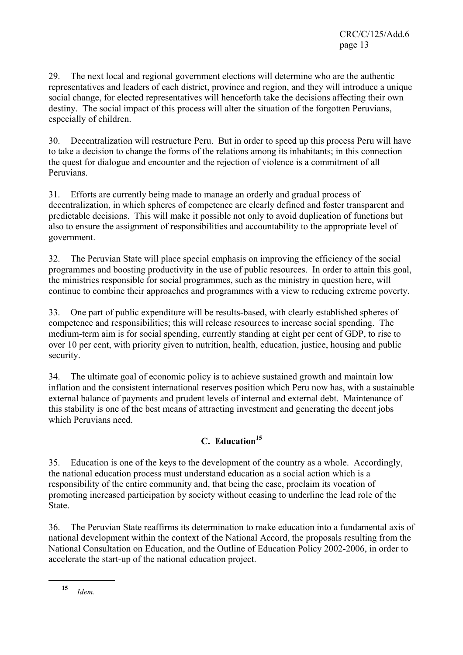29. The next local and regional government elections will determine who are the authentic representatives and leaders of each district, province and region, and they will introduce a unique social change, for elected representatives will henceforth take the decisions affecting their own destiny. The social impact of this process will alter the situation of the forgotten Peruvians, especially of children.

30. Decentralization will restructure Peru. But in order to speed up this process Peru will have to take a decision to change the forms of the relations among its inhabitants; in this connection the quest for dialogue and encounter and the rejection of violence is a commitment of all Peruvians.

31. Efforts are currently being made to manage an orderly and gradual process of decentralization, in which spheres of competence are clearly defined and foster transparent and predictable decisions. This will make it possible not only to avoid duplication of functions but also to ensure the assignment of responsibilities and accountability to the appropriate level of government.

32. The Peruvian State will place special emphasis on improving the efficiency of the social programmes and boosting productivity in the use of public resources. In order to attain this goal, the ministries responsible for social programmes, such as the ministry in question here, will continue to combine their approaches and programmes with a view to reducing extreme poverty.

33. One part of public expenditure will be results-based, with clearly established spheres of competence and responsibilities; this will release resources to increase social spending. The medium-term aim is for social spending, currently standing at eight per cent of GDP, to rise to over 10 per cent, with priority given to nutrition, health, education, justice, housing and public security.

34. The ultimate goal of economic policy is to achieve sustained growth and maintain low inflation and the consistent international reserves position which Peru now has, with a sustainable external balance of payments and prudent levels of internal and external debt. Maintenance of this stability is one of the best means of attracting investment and generating the decent jobs which Peruvians need.

# **C. Education15**

35. Education is one of the keys to the development of the country as a whole. Accordingly, the national education process must understand education as a social action which is a responsibility of the entire community and, that being the case, proclaim its vocation of promoting increased participation by society without ceasing to underline the lead role of the State.

36. The Peruvian State reaffirms its determination to make education into a fundamental axis of national development within the context of the National Accord, the proposals resulting from the National Consultation on Education, and the Outline of Education Policy 2002-2006, in order to accelerate the start-up of the national education project.

**<sup>15</sup>** *Idem.*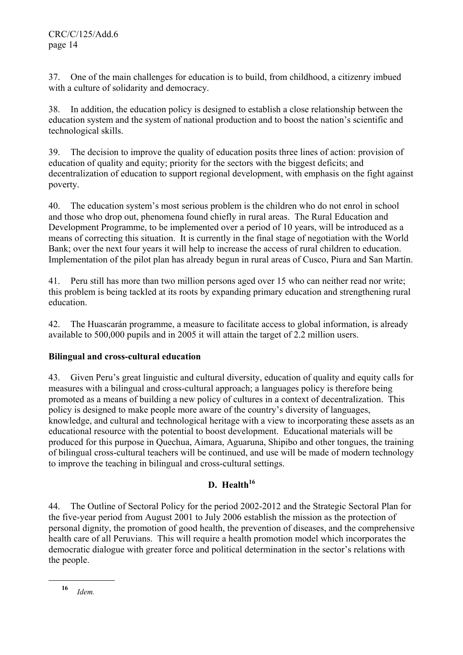37. One of the main challenges for education is to build, from childhood, a citizenry imbued with a culture of solidarity and democracy.

38. In addition, the education policy is designed to establish a close relationship between the education system and the system of national production and to boost the nation's scientific and technological skills.

39. The decision to improve the quality of education posits three lines of action: provision of education of quality and equity; priority for the sectors with the biggest deficits; and decentralization of education to support regional development, with emphasis on the fight against poverty.

40. The education system's most serious problem is the children who do not enrol in school and those who drop out, phenomena found chiefly in rural areas. The Rural Education and Development Programme, to be implemented over a period of 10 years, will be introduced as a means of correcting this situation. It is currently in the final stage of negotiation with the World Bank; over the next four years it will help to increase the access of rural children to education. Implementation of the pilot plan has already begun in rural areas of Cusco, Piura and San Martín.

41. Peru still has more than two million persons aged over 15 who can neither read nor write; this problem is being tackled at its roots by expanding primary education and strengthening rural education.

42. The Huascarán programme, a measure to facilitate access to global information, is already available to 500,000 pupils and in 2005 it will attain the target of 2.2 million users.

## **Bilingual and cross-cultural education**

43. Given Peru's great linguistic and cultural diversity, education of quality and equity calls for measures with a bilingual and cross-cultural approach; a languages policy is therefore being promoted as a means of building a new policy of cultures in a context of decentralization. This policy is designed to make people more aware of the country's diversity of languages, knowledge, and cultural and technological heritage with a view to incorporating these assets as an educational resource with the potential to boost development. Educational materials will be produced for this purpose in Quechua, Aimara, Aguaruna, Shipibo and other tongues, the training of bilingual cross-cultural teachers will be continued, and use will be made of modern technology to improve the teaching in bilingual and cross-cultural settings.

# **D.** Health<sup>16</sup>

44. The Outline of Sectoral Policy for the period 2002-2012 and the Strategic Sectoral Plan for the five-year period from August 2001 to July 2006 establish the mission as the protection of personal dignity, the promotion of good health, the prevention of diseases, and the comprehensive health care of all Peruvians. This will require a health promotion model which incorporates the democratic dialogue with greater force and political determination in the sector's relations with the people.

**<sup>16</sup>** *Idem.*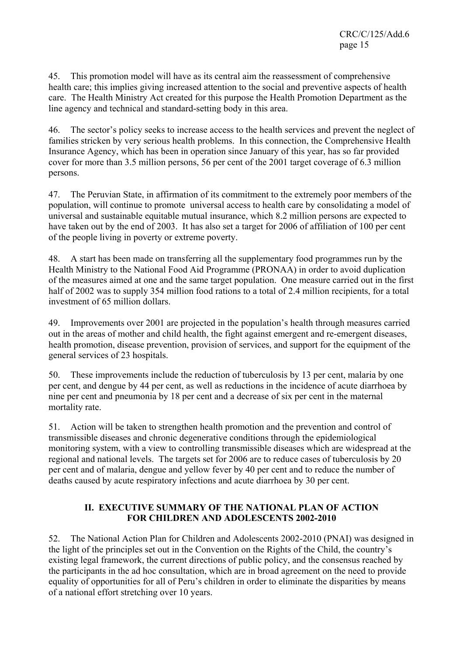45. This promotion model will have as its central aim the reassessment of comprehensive health care; this implies giving increased attention to the social and preventive aspects of health care. The Health Ministry Act created for this purpose the Health Promotion Department as the line agency and technical and standard-setting body in this area.

46. The sector's policy seeks to increase access to the health services and prevent the neglect of families stricken by very serious health problems. In this connection, the Comprehensive Health Insurance Agency, which has been in operation since January of this year, has so far provided cover for more than 3.5 million persons, 56 per cent of the 2001 target coverage of 6.3 million persons.

47. The Peruvian State, in affirmation of its commitment to the extremely poor members of the population, will continue to promote universal access to health care by consolidating a model of universal and sustainable equitable mutual insurance, which 8.2 million persons are expected to have taken out by the end of 2003. It has also set a target for 2006 of affiliation of 100 per cent of the people living in poverty or extreme poverty.

48. A start has been made on transferring all the supplementary food programmes run by the Health Ministry to the National Food Aid Programme (PRONAA) in order to avoid duplication of the measures aimed at one and the same target population. One measure carried out in the first half of 2002 was to supply 354 million food rations to a total of 2.4 million recipients, for a total investment of 65 million dollars.

49. Improvements over 2001 are projected in the population's health through measures carried out in the areas of mother and child health, the fight against emergent and re-emergent diseases, health promotion, disease prevention, provision of services, and support for the equipment of the general services of 23 hospitals.

50. These improvements include the reduction of tuberculosis by 13 per cent, malaria by one per cent, and dengue by 44 per cent, as well as reductions in the incidence of acute diarrhoea by nine per cent and pneumonia by 18 per cent and a decrease of six per cent in the maternal mortality rate.

51. Action will be taken to strengthen health promotion and the prevention and control of transmissible diseases and chronic degenerative conditions through the epidemiological monitoring system, with a view to controlling transmissible diseases which are widespread at the regional and national levels. The targets set for 2006 are to reduce cases of tuberculosis by 20 per cent and of malaria, dengue and yellow fever by 40 per cent and to reduce the number of deaths caused by acute respiratory infections and acute diarrhoea by 30 per cent.

## **II. EXECUTIVE SUMMARY OF THE NATIONAL PLAN OF ACTION FOR CHILDREN AND ADOLESCENTS 2002-2010**

52. The National Action Plan for Children and Adolescents 2002-2010 (PNAI) was designed in the light of the principles set out in the Convention on the Rights of the Child, the country's existing legal framework, the current directions of public policy, and the consensus reached by the participants in the ad hoc consultation, which are in broad agreement on the need to provide equality of opportunities for all of Peru's children in order to eliminate the disparities by means of a national effort stretching over 10 years.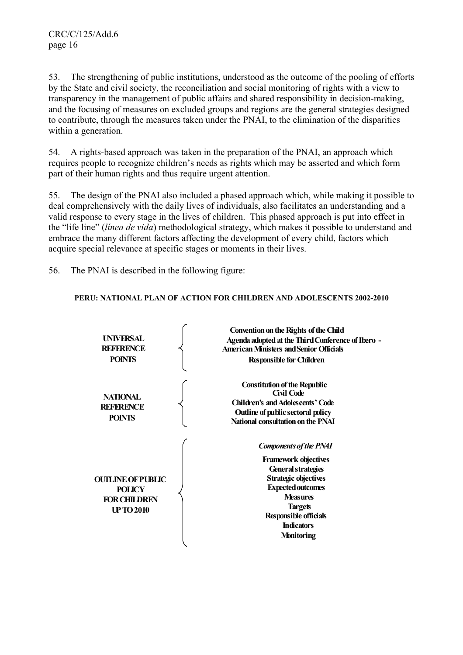53. The strengthening of public institutions, understood as the outcome of the pooling of efforts by the State and civil society, the reconciliation and social monitoring of rights with a view to transparency in the management of public affairs and shared responsibility in decision-making, and the focusing of measures on excluded groups and regions are the general strategies designed to contribute, through the measures taken under the PNAI, to the elimination of the disparities within a generation.

54. A rights-based approach was taken in the preparation of the PNAI, an approach which requires people to recognize children's needs as rights which may be asserted and which form part of their human rights and thus require urgent attention.

55. The design of the PNAI also included a phased approach which, while making it possible to deal comprehensively with the daily lives of individuals, also facilitates an understanding and a valid response to every stage in the lives of children. This phased approach is put into effect in the "life line" (*línea de vida*) methodological strategy, which makes it possible to understand and embrace the many different factors affecting the development of every child, factors which acquire special relevance at specific stages or moments in their lives.

56. The PNAI is described in the following figure:

## **PERU: NATIONAL PLAN OF ACTION FOR CHILDREN AND ADOLESCENTS 2002-2010**

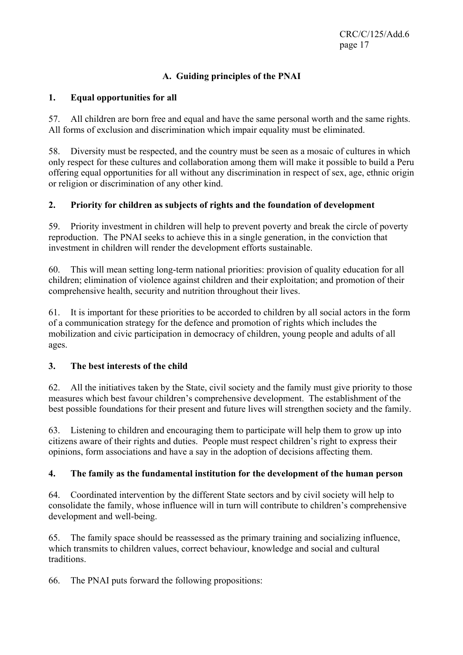# **A. Guiding principles of the PNAI**

## **1. Equal opportunities for all**

57. All children are born free and equal and have the same personal worth and the same rights. All forms of exclusion and discrimination which impair equality must be eliminated.

58. Diversity must be respected, and the country must be seen as a mosaic of cultures in which only respect for these cultures and collaboration among them will make it possible to build a Peru offering equal opportunities for all without any discrimination in respect of sex, age, ethnic origin or religion or discrimination of any other kind.

## **2. Priority for children as subjects of rights and the foundation of development**

59. Priority investment in children will help to prevent poverty and break the circle of poverty reproduction. The PNAI seeks to achieve this in a single generation, in the conviction that investment in children will render the development efforts sustainable.

60. This will mean setting long-term national priorities: provision of quality education for all children; elimination of violence against children and their exploitation; and promotion of their comprehensive health, security and nutrition throughout their lives.

61. It is important for these priorities to be accorded to children by all social actors in the form of a communication strategy for the defence and promotion of rights which includes the mobilization and civic participation in democracy of children, young people and adults of all ages.

## **3. The best interests of the child**

62. All the initiatives taken by the State, civil society and the family must give priority to those measures which best favour children's comprehensive development. The establishment of the best possible foundations for their present and future lives will strengthen society and the family.

63. Listening to children and encouraging them to participate will help them to grow up into citizens aware of their rights and duties. People must respect children's right to express their opinions, form associations and have a say in the adoption of decisions affecting them.

## **4. The family as the fundamental institution for the development of the human person**

64. Coordinated intervention by the different State sectors and by civil society will help to consolidate the family, whose influence will in turn will contribute to children's comprehensive development and well-being.

65. The family space should be reassessed as the primary training and socializing influence, which transmits to children values, correct behaviour, knowledge and social and cultural traditions.

66. The PNAI puts forward the following propositions: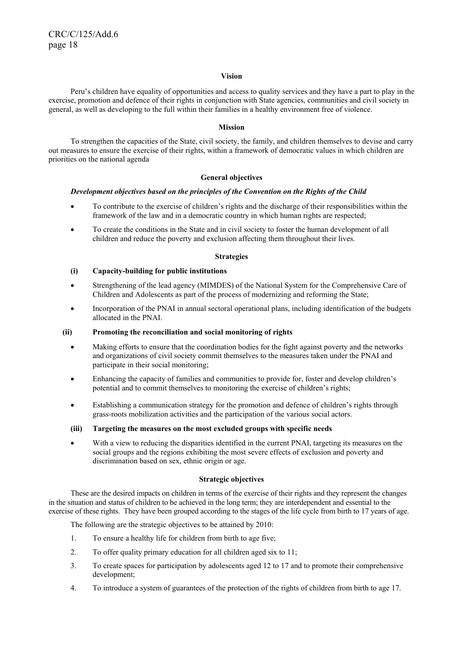#### **Vision**

Peru's children have equality of opportunities and access to quality services and they have a part to play in the exercise, promotion and defence of their rights in conjunction with State agencies, communities and civil society in general, as well as developing to the full within their families in a healthy environment free of violence.

#### **Mission**

To strengthen the capacities of the State, civil society, the family, and children themselves to devise and carry out measures to ensure the exercise of their rights, within a framework of democratic values in which children are priorities on the national agenda

#### **General objectives**

#### *Development objectives based on the principles of the Convention on the Rights of the Child*

- To contribute to the exercise of children's rights and the discharge of their responsibilities within the framework of the law and in a democratic country in which human rights are respected;
- To create the conditions in the State and in civil society to foster the human development of all children and reduce the poverty and exclusion affecting them throughout their lives.

#### **Strategies**

#### **(i) Capacity-building for public institutions**

- Strengthening of the lead agency (MIMDES) of the National System for the Comprehensive Care of Children and Adolescents as part of the process of modernizing and reforming the State;
- Incorporation of the PNAI in annual sectoral operational plans, including identification of the budgets allocated in the PNAI.

#### **(ii) Promoting the reconciliation and social monitoring of rights**

- Making efforts to ensure that the coordination bodies for the fight against poverty and the networks and organizations of civil society commit themselves to the measures taken under the PNAI and participate in their social monitoring;
- Enhancing the capacity of families and communities to provide for, foster and develop children's potential and to commit themselves to monitoring the exercise of children's rights;
- Establishing a communication strategy for the promotion and defence of children's rights through grass-roots mobilization activities and the participation of the various social actors.

#### **(iii) Targeting the measures on the most excluded groups with specific needs**

• With a view to reducing the disparities identified in the current PNAI, targeting its measures on the social groups and the regions exhibiting the most severe effects of exclusion and poverty and discrimination based on sex, ethnic origin or age.

#### **Strategic objectives**

 These are the desired impacts on children in terms of the exercise of their rights and they represent the changes in the situation and status of children to be achieved in the long term; they are interdependent and essential to the exercise of these rights. They have been grouped according to the stages of the life cycle from birth to 17 years of age.

The following are the strategic objectives to be attained by 2010:

- 1. To ensure a healthy life for children from birth to age five;
- 2. To offer quality primary education for all children aged six to 11;
- 3. To create spaces for participation by adolescents aged 12 to 17 and to promote their comprehensive development;
- 4. To introduce a system of guarantees of the protection of the rights of children from birth to age 17.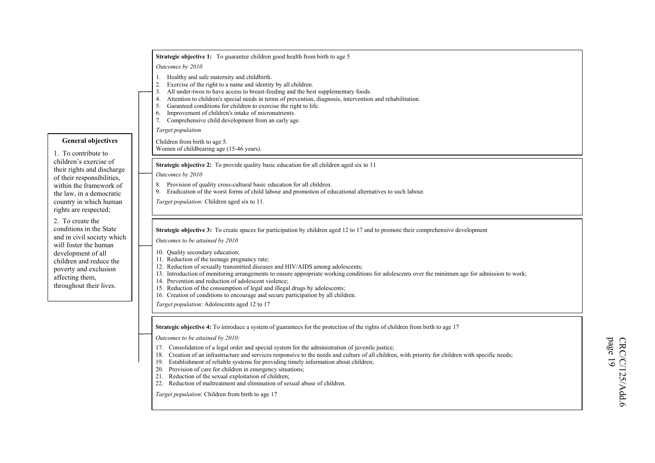|                                                                                                                      | Strategic objective 1: To guarantee children good health from birth to age 5                                                                                                                                                                                                                                                                                                                                                                                                                                                                                                                       |                            |
|----------------------------------------------------------------------------------------------------------------------|----------------------------------------------------------------------------------------------------------------------------------------------------------------------------------------------------------------------------------------------------------------------------------------------------------------------------------------------------------------------------------------------------------------------------------------------------------------------------------------------------------------------------------------------------------------------------------------------------|----------------------------|
|                                                                                                                      | Outcomes by 2010                                                                                                                                                                                                                                                                                                                                                                                                                                                                                                                                                                                   |                            |
|                                                                                                                      | 1. Healthy and safe maternity and childbirth.<br>Exercise of the right to a name and identity by all children.<br>2.<br>All under-twos to have access to breast-feeding and the best supplementary foods.<br>Attention to children's special needs in terms of prevention, diagnosis, intervention and rehabilitation.<br>4.<br>Garanteed conditions for children to exercise the right to life.<br>5.<br>Improvement of children's intake of micronutrients.<br>6.<br>7. Comprehensive child development from an early age.                                                                       |                            |
|                                                                                                                      | Target population                                                                                                                                                                                                                                                                                                                                                                                                                                                                                                                                                                                  |                            |
| <b>General objectives</b><br>1. To contribute to                                                                     | Children from birth to age 5.<br>Women of childbearing age (15-46 years).                                                                                                                                                                                                                                                                                                                                                                                                                                                                                                                          |                            |
| children's exercise of<br>their rights and discharge                                                                 | <b>Strategic objective 2:</b> To provide quality basic education for all children aged six to 11<br>Outcomes by 2010                                                                                                                                                                                                                                                                                                                                                                                                                                                                               |                            |
| of their responsibilities,<br>within the framework of<br>the law, in a democratic<br>country in which human          | Provision of quality cross-cultural basic education for all children.<br>8.<br>Eradication of the worst forms of child labour and promotion of educational alternatives to such labour.<br>9.<br>Target population: Children aged six to 11.                                                                                                                                                                                                                                                                                                                                                       |                            |
| rights are respected;<br>2. To create the<br>conditions in the State                                                 | <b>Strategic objective 3:</b> To create spaces for participation by children aged 12 to 17 and to promote their comprehensive development                                                                                                                                                                                                                                                                                                                                                                                                                                                          |                            |
| and in civil society which<br>will foster the human                                                                  | Outcomes to be attained by 2010                                                                                                                                                                                                                                                                                                                                                                                                                                                                                                                                                                    |                            |
| development of all<br>children and reduce the<br>poverty and exclusion<br>affecting them,<br>throughout their lives. | 10. Quality secondary education;<br>11. Reduction of the teenage pregnancy rate;<br>12. Reduction of sexually transmitted diseases and HIV/AIDS among adolescents;<br>13. Introduction of monitoring arrangements to ensure appropriate working conditions for adolescents over the minimum age for admission to work;<br>14. Prevention and reduction of adolescent violence;<br>15. Reduction of the consumption of legal and illegal drugs by adolescents;<br>16. Creation of conditions to encourage and secure participation by all children.                                                 |                            |
|                                                                                                                      | Target population: Adolescents aged 12 to 17                                                                                                                                                                                                                                                                                                                                                                                                                                                                                                                                                       |                            |
|                                                                                                                      | Strategic objective 4: To introduce a system of guarantees for the protection of the rights of children from birth to age 17                                                                                                                                                                                                                                                                                                                                                                                                                                                                       |                            |
|                                                                                                                      | Outcomes to be attained by 2010:<br>17. Consolidation of a legal order and special system for the administration of juvenile justice;<br>Creation of an infrastructure and services responsive to the needs and culture of all children, with priority for children with specific needs;<br>18.<br>Establishment of reliable systems for providing timely information about children;<br>19.<br>20. Provision of care for children in emergency situations;<br>21. Reduction of the sexual exploitation of children;<br>22. Reduction of maltreatment and elimination of sexual abuse of children. | page 19<br>CRC/C/125/Add.6 |
|                                                                                                                      | Target population: Children from birth to age 17                                                                                                                                                                                                                                                                                                                                                                                                                                                                                                                                                   |                            |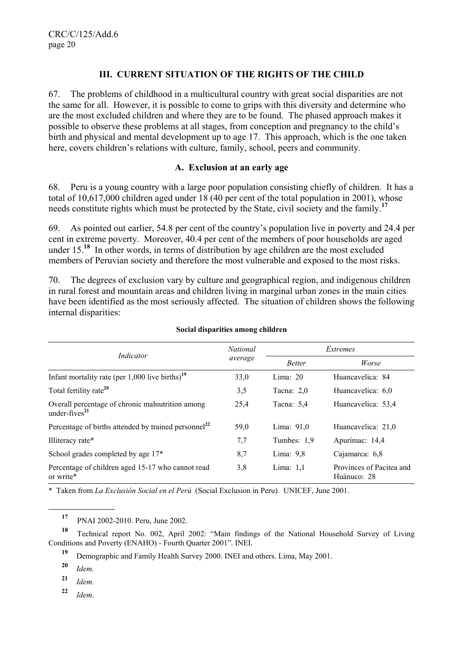## **III. CURRENT SITUATION OF THE RIGHTS OF THE CHILD**

67. The problems of childhood in a multicultural country with great social disparities are not the same for all. However, it is possible to come to grips with this diversity and determine who are the most excluded children and where they are to be found. The phased approach makes it possible to observe these problems at all stages, from conception and pregnancy to the child's birth and physical and mental development up to age 17. This approach, which is the one taken here, covers children's relations with culture, family, school, peers and community.

### **A. Exclusion at an early age**

68. Peru is a young country with a large poor population consisting chiefly of children. It has a total of 10,617,000 children aged under 18 (40 per cent of the total population in 2001), whose needs constitute rights which must be protected by the State, civil society and the family.**<sup>17</sup>**

69. As pointed out earlier, 54.8 per cent of the country's population live in poverty and 24.4 per cent in extreme poverty. Moreover, 40.4 per cent of the members of poor households are aged under 15.**<sup>18</sup>** In other words, in terms of distribution by age children are the most excluded members of Peruvian society and therefore the most vulnerable and exposed to the most risks.

70. The degrees of exclusion vary by culture and geographical region, and indigenous children in rural forest and mountain areas and children living in marginal urban zones in the main cities have been identified as the most seriously affected. The situation of children shows the following internal disparities:

| Indicator                                                            | <b>National</b> | Extremes      |                                         |  |
|----------------------------------------------------------------------|-----------------|---------------|-----------------------------------------|--|
|                                                                      | average         | <b>Better</b> | Worse                                   |  |
| Infant mortality rate (per $1,000$ live births) <sup>19</sup>        | 33,0            | Lima: $20$    | Huancavelica: 84                        |  |
| Total fertility rate <sup>20</sup>                                   | 3,5             | Tacna: $2.0$  | Huancavelica: 6,0                       |  |
| Overall percentage of chronic malnutrition among<br>under-fives $21$ | 25,4            | Tacna: $5.4$  | Huancavelica: 53,4                      |  |
| Percentage of births attended by trained personnel <sup>22</sup>     | 59,0            | Lima: $91,0$  | Huancavelica: 21,0                      |  |
| Illiteracy rate*                                                     | 7,7             | Tumbes: 1.9   | Apurímac: 14,4                          |  |
| School grades completed by age 17*                                   | 8,7             | Lima: $9,8$   | Cajamarca: 6,8                          |  |
| Percentage of children aged 15-17 who cannot read<br>or write*       | 3,8             | Lima: $1.1$   | Provinces of Pacitea and<br>Huánuco: 28 |  |

#### **Social disparities among children**

\* Taken from *La Exclusión Social en el Perú* (Social Exclusion in Peru). UNICEF, June 2001.

**<sup>18</sup>** Technical report No. 002, April 2002: "Main findings of the National Household Survey of Living Conditions and Poverty (ENAHO) - Fourth Quarter 2001". INEI.

**<sup>19</sup>** Demographic and Family Health Survey 2000. INEI and others. Lima, May 2001.

**<sup>20</sup>** *Idem.*

l

**<sup>21</sup>** *Idem.*

**<sup>22</sup>** *Idem*.

**<sup>17</sup>** PNAI 2002-2010. Peru, June 2002.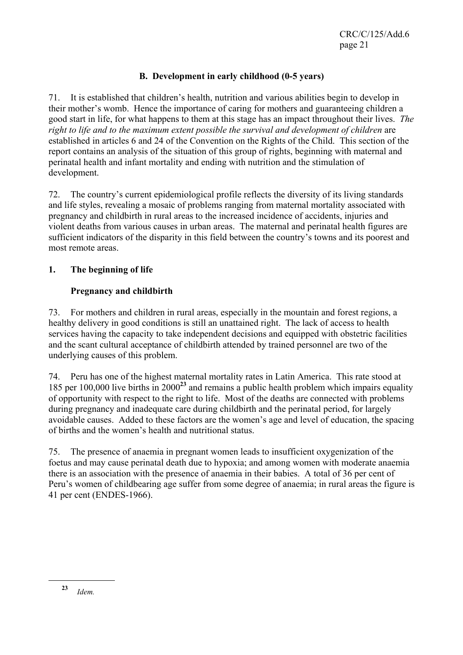## **B. Development in early childhood (0-5 years)**

71. It is established that children's health, nutrition and various abilities begin to develop in their mother's womb. Hence the importance of caring for mothers and guaranteeing children a good start in life, for what happens to them at this stage has an impact throughout their lives. *The right to life and to the maximum extent possible the survival and development of children* are established in articles 6 and 24 of the Convention on the Rights of the Child. This section of the report contains an analysis of the situation of this group of rights, beginning with maternal and perinatal health and infant mortality and ending with nutrition and the stimulation of development.

72. The country's current epidemiological profile reflects the diversity of its living standards and life styles, revealing a mosaic of problems ranging from maternal mortality associated with pregnancy and childbirth in rural areas to the increased incidence of accidents, injuries and violent deaths from various causes in urban areas. The maternal and perinatal health figures are sufficient indicators of the disparity in this field between the country's towns and its poorest and most remote areas.

## **1. The beginning of life**

## **Pregnancy and childbirth**

73. For mothers and children in rural areas, especially in the mountain and forest regions, a healthy delivery in good conditions is still an unattained right. The lack of access to health services having the capacity to take independent decisions and equipped with obstetric facilities and the scant cultural acceptance of childbirth attended by trained personnel are two of the underlying causes of this problem.

74. Peru has one of the highest maternal mortality rates in Latin America. This rate stood at 185 per 100,000 live births in 2000**<sup>23</sup>** and remains a public health problem which impairs equality of opportunity with respect to the right to life. Most of the deaths are connected with problems during pregnancy and inadequate care during childbirth and the perinatal period, for largely avoidable causes. Added to these factors are the women's age and level of education, the spacing of births and the women's health and nutritional status.

75. The presence of anaemia in pregnant women leads to insufficient oxygenization of the foetus and may cause perinatal death due to hypoxia; and among women with moderate anaemia there is an association with the presence of anaemia in their babies. A total of 36 per cent of Peru's women of childbearing age suffer from some degree of anaemia; in rural areas the figure is 41 per cent (ENDES-1966).

**<sup>23</sup>** *Idem.*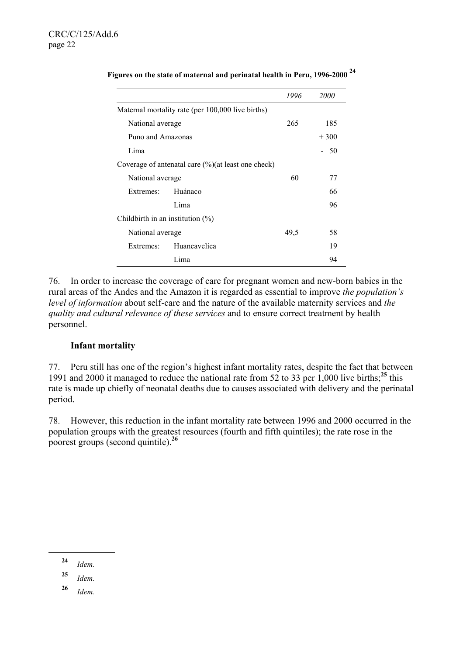|                                     |                                                        | 1996 | <i>2000</i> |
|-------------------------------------|--------------------------------------------------------|------|-------------|
|                                     | Maternal mortality rate (per 100,000 live births)      |      |             |
| National average                    |                                                        | 265  | 185         |
| Puno and Amazonas                   |                                                        |      | $+300$      |
| Lima                                |                                                        |      | 50          |
|                                     | Coverage of antenatal care $(\%)($ at least one check) |      |             |
| National average                    |                                                        | 60   | 77          |
| Extremes:                           | Huánaco                                                |      | 66          |
|                                     | Lima                                                   |      | 96          |
| Childbirth in an institution $(\%)$ |                                                        |      |             |
| National average                    |                                                        | 49,5 | 58          |
| Extremes:                           | Huancavelica                                           |      | 19          |
|                                     | Lima                                                   |      | 94          |

**Figures on the state of maternal and perinatal health in Peru, 1996-2000 <sup>24</sup>**

76. In order to increase the coverage of care for pregnant women and new-born babies in the rural areas of the Andes and the Amazon it is regarded as essential to improve *the population's level of information* about self-care and the nature of the available maternity services and *the quality and cultural relevance of these services* and to ensure correct treatment by health personnel.

### **Infant mortality**

77. Peru still has one of the region's highest infant mortality rates, despite the fact that between 1991 and 2000 it managed to reduce the national rate from 52 to 33 per 1,000 live births;**<sup>25</sup>** this rate is made up chiefly of neonatal deaths due to causes associated with delivery and the perinatal period.

78. However, this reduction in the infant mortality rate between 1996 and 2000 occurred in the population groups with the greatest resources (fourth and fifth quintiles); the rate rose in the poorest groups (second quintile).**<sup>26</sup>**

**<sup>24</sup>** *Idem.*

**<sup>25</sup>** *Idem.*

**<sup>26</sup>** *Idem.*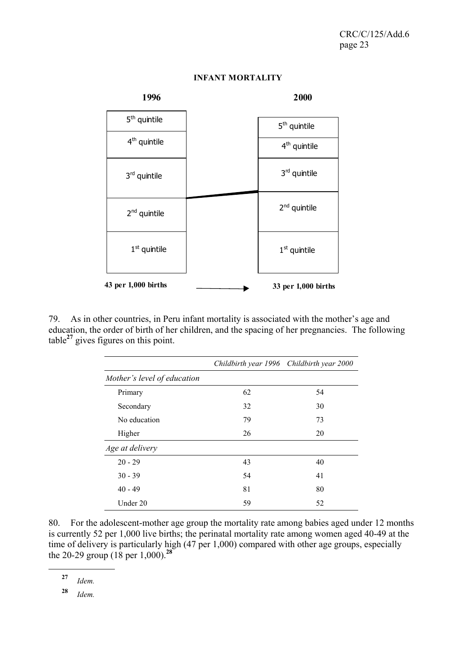

### **INFANT MORTALITY**

79. As in other countries, in Peru infant mortality is associated with the mother's age and education, the order of birth of her children, and the spacing of her pregnancies. The following table**<sup>27</sup>** gives figures on this point.

|                             |    | Childbirth year 1996 Childbirth year 2000 |
|-----------------------------|----|-------------------------------------------|
| Mother's level of education |    |                                           |
| Primary                     | 62 | 54                                        |
| Secondary                   | 32 | 30                                        |
| No education                | 79 | 73                                        |
| Higher                      | 26 | 20                                        |
| Age at delivery             |    |                                           |
| $20 - 29$                   | 43 | 40                                        |
| $30 - 39$                   | 54 | 41                                        |
| $40 - 49$                   | 81 | 80                                        |
| Under 20                    | 59 | 52                                        |

80. For the adolescent-mother age group the mortality rate among babies aged under 12 months is currently 52 per 1,000 live births; the perinatal mortality rate among women aged 40-49 at the time of delivery is particularly high (47 per 1,000) compared with other age groups, especially the 20-29 group (18 per 1,000).**<sup>28</sup>**

l

**<sup>28</sup>** *Idem.*

**<sup>27</sup>** *Idem.*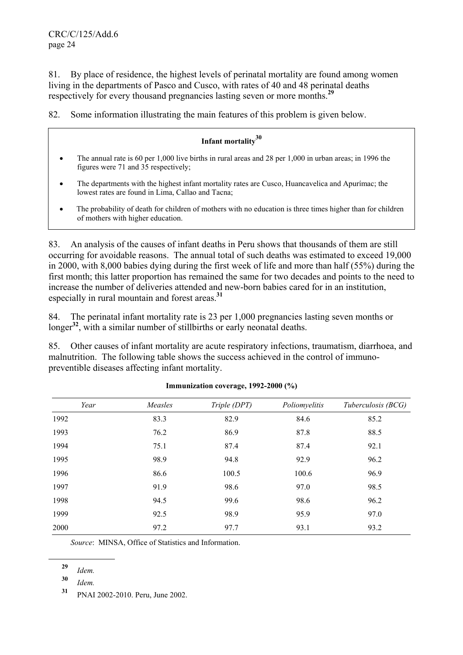81. By place of residence, the highest levels of perinatal mortality are found among women living in the departments of Pasco and Cusco, with rates of 40 and 48 perinatal deaths respectively for every thousand pregnancies lasting seven or more months.**<sup>29</sup>**

82. Some information illustrating the main features of this problem is given below.

# **Infant mortality<sup>30</sup>**

- The annual rate is 60 per 1,000 live births in rural areas and 28 per 1,000 in urban areas; in 1996 the figures were 71 and 35 respectively;
- The denartments with the highest infant mortality rates are Cusco, Huancavelica and Apurímac; the lowest rates are found in Lima, Callao and Tacna;
- The probability of death for children of mothers with no education is three times higher than for children of mothers with higher education.

83. An analysis of the causes of infant deaths in Peru shows that thousands of them are still occurring for avoidable reasons. The annual total of such deaths was estimated to exceed 19,000 in 2000, with 8,000 babies dying during the first week of life and more than half (55%) during the first month; this latter proportion has remained the same for two decades and points to the need to increase the number of deliveries attended and new-born babies cared for in an institution, especially in rural mountain and forest areas.**<sup>31</sup>**

84. The perinatal infant mortality rate is 23 per 1,000 pregnancies lasting seven months or longer<sup>32</sup>, with a similar number of stillbirths or early neonatal deaths.

85. Other causes of infant mortality are acute respiratory infections, traumatism, diarrhoea, and malnutrition. The following table shows the success achieved in the control of immunopreventible diseases affecting infant mortality.

| Year | Measles | Triple (DPT) | Poliomyelitis | Tuberculosis (BCG) |
|------|---------|--------------|---------------|--------------------|
| 1992 | 83.3    | 82.9         | 84.6          | 85.2               |
| 1993 | 76.2    | 86.9         | 87.8          | 88.5               |
| 1994 | 75.1    | 87.4         | 87.4          | 92.1               |
| 1995 | 98.9    | 94.8         | 92.9          | 96.2               |
| 1996 | 86.6    | 100.5        | 100.6         | 96.9               |
| 1997 | 91.9    | 98.6         | 97.0          | 98.5               |
| 1998 | 94.5    | 99.6         | 98.6          | 96.2               |
| 1999 | 92.5    | 98.9         | 95.9          | 97.0               |
| 2000 | 97.2    | 97.7         | 93.1          | 93.2               |

### **Immunization coverage, 1992-2000 (%)**

*Source*: MINSA, Office of Statistics and Information.

l

**<sup>30</sup>** *Idem.*

**<sup>29</sup>** *Idem.*

**<sup>31</sup>** PNAI 2002-2010. Peru, June 2002.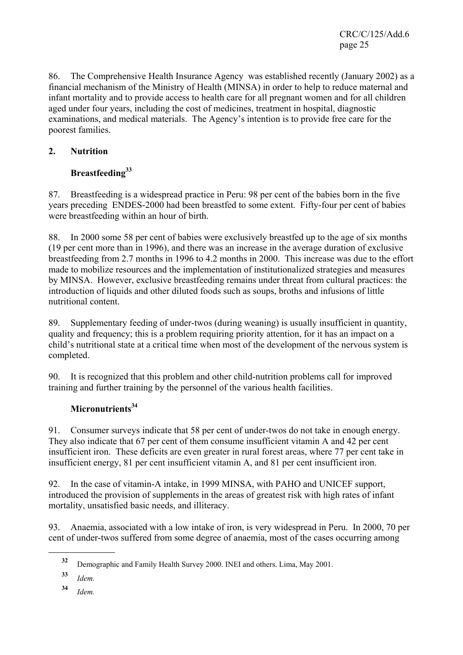CRC/C/125/Add.6 page 25

86. The Comprehensive Health Insurance Agency was established recently (January 2002) as a financial mechanism of the Ministry of Health (MINSA) in order to help to reduce maternal and infant mortality and to provide access to health care for all pregnant women and for all children aged under four years, including the cost of medicines, treatment in hospital, diagnostic examinations, and medical materials. The Agency's intention is to provide free care for the poorest families.

## **2. Nutrition**

# **Breastfeeding33**

87. Breastfeeding is a widespread practice in Peru: 98 per cent of the babies born in the five years preceding ENDES-2000 had been breastfed to some extent. Fifty-four per cent of babies were breastfeeding within an hour of birth.

88. In 2000 some 58 per cent of babies were exclusively breastfed up to the age of six months (19 per cent more than in 1996), and there was an increase in the average duration of exclusive breastfeeding from 2.7 months in 1996 to 4.2 months in 2000. This increase was due to the effort made to mobilize resources and the implementation of institutionalized strategies and measures by MINSA. However, exclusive breastfeeding remains under threat from cultural practices: the introduction of liquids and other diluted foods such as soups, broths and infusions of little nutritional content.

89. Supplementary feeding of under-twos (during weaning) is usually insufficient in quantity, quality and frequency; this is a problem requiring priority attention, for it has an impact on a child's nutritional state at a critical time when most of the development of the nervous system is completed.

90. It is recognized that this problem and other child-nutrition problems call for improved training and further training by the personnel of the various health facilities.

# Micronutrients<sup>34</sup>

91. Consumer surveys indicate that 58 per cent of under-twos do not take in enough energy. They also indicate that 67 per cent of them consume insufficient vitamin A and 42 per cent insufficient iron. These deficits are even greater in rural forest areas, where 77 per cent take in insufficient energy, 81 per cent insufficient vitamin A, and 81 per cent insufficient iron.

92. In the case of vitamin-A intake, in 1999 MINSA, with PAHO and UNICEF support, introduced the provision of supplements in the areas of greatest risk with high rates of infant mortality, unsatisfied basic needs, and illiteracy.

93. Anaemia, associated with a low intake of iron, is very widespread in Peru. In 2000, 70 per cent of under-twos suffered from some degree of anaemia, most of the cases occurring among

**<sup>32</sup>** Demographic and Family Health Survey 2000. INEI and others. Lima, May 2001.

**<sup>33</sup>** *Idem.*

**<sup>34</sup>** *Idem.*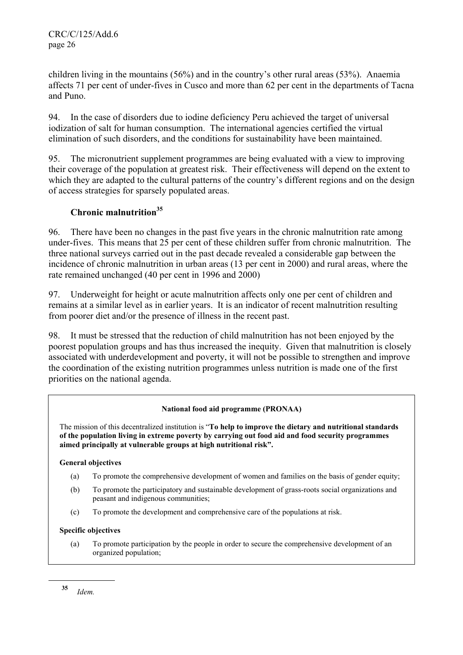children living in the mountains (56%) and in the country's other rural areas (53%). Anaemia affects 71 per cent of under-fives in Cusco and more than 62 per cent in the departments of Tacna and Puno.

94. In the case of disorders due to iodine deficiency Peru achieved the target of universal iodization of salt for human consumption. The international agencies certified the virtual elimination of such disorders, and the conditions for sustainability have been maintained.

95. The micronutrient supplement programmes are being evaluated with a view to improving their coverage of the population at greatest risk. Their effectiveness will depend on the extent to which they are adapted to the cultural patterns of the country's different regions and on the design of access strategies for sparsely populated areas.

## **Chronic malnutrition35**

96. There have been no changes in the past five years in the chronic malnutrition rate among under-fives. This means that 25 per cent of these children suffer from chronic malnutrition. The three national surveys carried out in the past decade revealed a considerable gap between the incidence of chronic malnutrition in urban areas (13 per cent in 2000) and rural areas, where the rate remained unchanged (40 per cent in 1996 and 2000)

97. Underweight for height or acute malnutrition affects only one per cent of children and remains at a similar level as in earlier years. It is an indicator of recent malnutrition resulting from poorer diet and/or the presence of illness in the recent past.

98. It must be stressed that the reduction of child malnutrition has not been enjoyed by the poorest population groups and has thus increased the inequity. Given that malnutrition is closely associated with underdevelopment and poverty, it will not be possible to strengthen and improve the coordination of the existing nutrition programmes unless nutrition is made one of the first priorities on the national agenda.

## **National food aid programme (PRONAA)**

The mission of this decentralized institution is "**To help to improve the dietary and nutritional standards of the population living in extreme poverty by carrying out food aid and food security programmes aimed principally at vulnerable groups at high nutritional risk".**

### **General objectives**

- (a) To promote the comprehensive development of women and families on the basis of gender equity;
- (b) To promote the participatory and sustainable development of grass-roots social organizations and peasant and indigenous communities;
- (c) To promote the development and comprehensive care of the populations at risk.

## **Specific objectives**

 (a) To promote participation by the people in order to secure the comprehensive development of an organized population;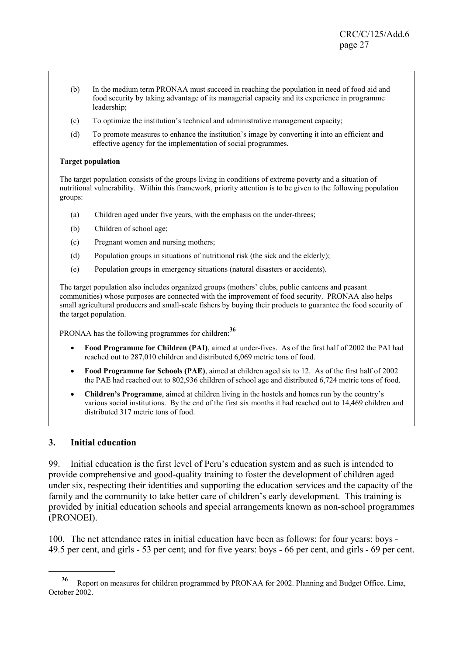- (b) In the medium term PRONAA must succeed in reaching the population in need of food aid and food security by taking advantage of its managerial capacity and its experience in programme leadership;
- (c) To optimize the institution's technical and administrative management capacity;
- (d) To promote measures to enhance the institution's image by converting it into an efficient and effective agency for the implementation of social programmes.

#### **Target population**

The target population consists of the groups living in conditions of extreme poverty and a situation of nutritional vulnerability. Within this framework, priority attention is to be given to the following population groups:

- (a) Children aged under five years, with the emphasis on the under-threes;
- (b) Children of school age;
- (c) Pregnant women and nursing mothers;
- (d) Population groups in situations of nutritional risk (the sick and the elderly);
- (e) Population groups in emergency situations (natural disasters or accidents).

The target population also includes organized groups (mothers' clubs, public canteens and peasant communities) whose purposes are connected with the improvement of food security. PRONAA also helps small agricultural producers and small-scale fishers by buying their products to guarantee the food security of the target population.

PRONAA has the following programmes for children:**<sup>36</sup>**

- **Food Programme for Children (PAI)**, aimed at under-fives. As of the first half of 2002 the PAI had reached out to 287,010 children and distributed 6,069 metric tons of food.
- **Food Programme for Schools (PAE)**, aimed at children aged six to 12. As of the first half of 2002 the PAE had reached out to 802,936 children of school age and distributed 6,724 metric tons of food.
- **Children's Programme**, aimed at children living in the hostels and homes run by the country's various social institutions. By the end of the first six months it had reached out to 14,469 children and distributed 317 metric tons of food.

### **3. Initial education**

l

99. Initial education is the first level of Peru's education system and as such is intended to provide comprehensive and good-quality training to foster the development of children aged under six, respecting their identities and supporting the education services and the capacity of the family and the community to take better care of children's early development. This training is provided by initial education schools and special arrangements known as non-school programmes (PRONOEI).

100. The net attendance rates in initial education have been as follows: for four years: boys - 49.5 per cent, and girls - 53 per cent; and for five years: boys - 66 per cent, and girls - 69 per cent.

**<sup>36</sup>** Report on measures for children programmed by PRONAA for 2002. Planning and Budget Office. Lima, October 2002.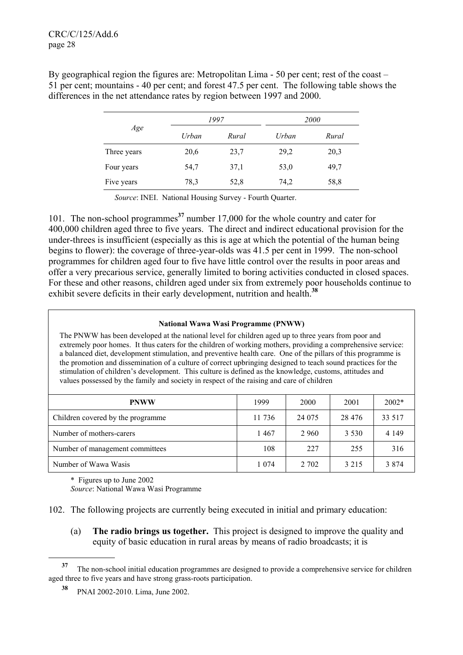By geographical region the figures are: Metropolitan Lima - 50 per cent; rest of the coast – 51 per cent; mountains - 40 per cent; and forest 47.5 per cent. The following table shows the differences in the net attendance rates by region between 1997 and 2000.

| Age         | 1997  |       | <i>2000</i> |       |
|-------------|-------|-------|-------------|-------|
|             | Urban | Rural | Urban       | Rural |
| Three years | 20,6  | 23,7  | 29,2        | 20,3  |
| Four years  | 54,7  | 37,1  | 53,0        | 49,7  |
| Five years  | 78,3  | 52,8  | 74,2        | 58,8  |

*Source*: INEI. National Housing Survey - Fourth Quarter.

101. The non-school programmes**<sup>37</sup>** number 17,000 for the whole country and cater for 400,000 children aged three to five years. The direct and indirect educational provision for the under-threes is insufficient (especially as this is age at which the potential of the human being begins to flower): the coverage of three-year-olds was 41.5 per cent in 1999. The non-school programmes for children aged four to five have little control over the results in poor areas and offer a very precarious service, generally limited to boring activities conducted in closed spaces. For these and other reasons, children aged under six from extremely poor households continue to exhibit severe deficits in their early development, nutrition and health.**<sup>38</sup>**

### **National Wawa Wasi Programme (PNWW)**

The PNWW has been developed at the national level for children aged up to three years from poor and extremely poor homes. It thus caters for the children of working mothers, providing a comprehensive service: a balanced diet, development stimulation, and preventive health care. One of the pillars of this programme is the promotion and dissemination of a culture of correct upbringing designed to teach sound practices for the stimulation of children's development. This culture is defined as the knowledge, customs, attitudes and values possessed by the family and society in respect of the raising and care of children

| <b>PNWW</b>                       | 1999   | 2000    | 2001     | $2002*$ |
|-----------------------------------|--------|---------|----------|---------|
| Children covered by the programme | 11 736 | 24 075  | 28 4 7 6 | 33 517  |
| Number of mothers-carers          | 1467   | 2 9 6 0 | 3 5 3 0  | 4 1 4 9 |
| Number of management committees   | 108    | 227     | 255      | 316     |
| Number of Wawa Wasis              | 1 074  | 2 702   | 3 2 1 5  | 3 8 7 4 |

\* Figures up to June 2002

l

*Source*: National Wawa Wasi Programme

102. The following projects are currently being executed in initial and primary education:

 (a) **The radio brings us together.** This project is designed to improve the quality and equity of basic education in rural areas by means of radio broadcasts; it is

**<sup>37</sup>** The non-school initial education programmes are designed to provide a comprehensive service for children aged three to five years and have strong grass-roots participation.

**<sup>38</sup>** PNAI 2002-2010. Lima, June 2002.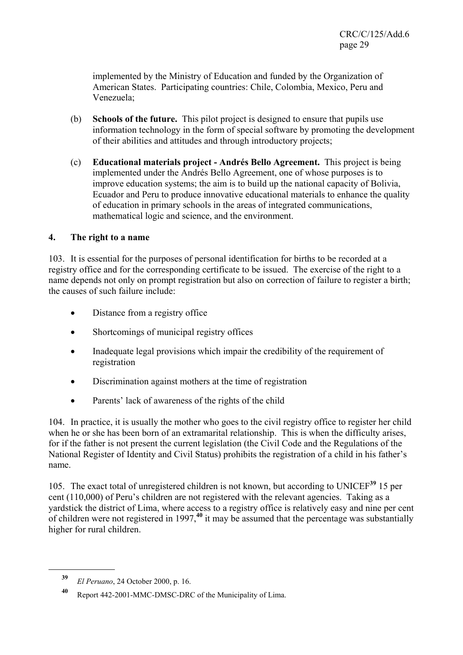implemented by the Ministry of Education and funded by the Organization of American States. Participating countries: Chile, Colombia, Mexico, Peru and Venezuela;

- (b) **Schools of the future.** This pilot project is designed to ensure that pupils use information technology in the form of special software by promoting the development of their abilities and attitudes and through introductory projects;
- (c) **Educational materials project Andrés Bello Agreement.** This project is being implemented under the Andrés Bello Agreement, one of whose purposes is to improve education systems; the aim is to build up the national capacity of Bolivia, Ecuador and Peru to produce innovative educational materials to enhance the quality of education in primary schools in the areas of integrated communications, mathematical logic and science, and the environment.

## **4. The right to a name**

103. It is essential for the purposes of personal identification for births to be recorded at a registry office and for the corresponding certificate to be issued. The exercise of the right to a name depends not only on prompt registration but also on correction of failure to register a birth; the causes of such failure include:

- Distance from a registry office
- Shortcomings of municipal registry offices
- Inadequate legal provisions which impair the credibility of the requirement of registration
- Discrimination against mothers at the time of registration
- Parents' lack of awareness of the rights of the child

104. In practice, it is usually the mother who goes to the civil registry office to register her child when he or she has been born of an extramarital relationship. This is when the difficulty arises, for if the father is not present the current legislation (the Civil Code and the Regulations of the National Register of Identity and Civil Status) prohibits the registration of a child in his father's name.

105. The exact total of unregistered children is not known, but according to UNICEF**<sup>39</sup>** 15 per cent (110,000) of Peru's children are not registered with the relevant agencies. Taking as a yardstick the district of Lima, where access to a registry office is relatively easy and nine per cent of children were not registered in 1997,**<sup>40</sup>** it may be assumed that the percentage was substantially higher for rural children.

**<sup>39</sup>** *El Peruano*, 24 October 2000, p. 16.

**<sup>40</sup>** Report 442-2001-MMC-DMSC-DRC of the Municipality of Lima.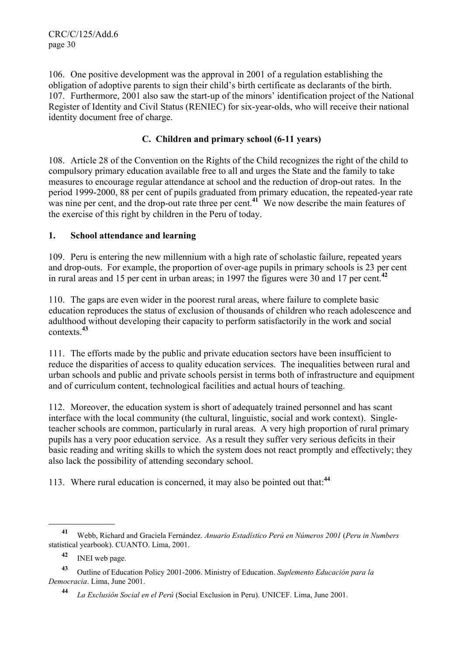106. One positive development was the approval in 2001 of a regulation establishing the obligation of adoptive parents to sign their child's birth certificate as declarants of the birth. 107. Furthermore, 2001 also saw the start-up of the minors' identification project of the National Register of Identity and Civil Status (RENIEC) for six-year-olds, who will receive their national identity document free of charge.

## **C. Children and primary school (6-11 years)**

108. Article 28 of the Convention on the Rights of the Child recognizes the right of the child to compulsory primary education available free to all and urges the State and the family to take measures to encourage regular attendance at school and the reduction of drop-out rates. In the period 1999-2000, 88 per cent of pupils graduated from primary education, the repeated-year rate was nine per cent, and the drop-out rate three per cent.**<sup>41</sup>** We now describe the main features of the exercise of this right by children in the Peru of today.

## **1. School attendance and learning**

109. Peru is entering the new millennium with a high rate of scholastic failure, repeated years and drop-outs. For example, the proportion of over-age pupils in primary schools is 23 per cent in rural areas and 15 per cent in urban areas; in 1997 the figures were 30 and 17 per cent.**<sup>42</sup>**

110. The gaps are even wider in the poorest rural areas, where failure to complete basic education reproduces the status of exclusion of thousands of children who reach adolescence and adulthood without developing their capacity to perform satisfactorily in the work and social contexts.**<sup>43</sup>**

111. The efforts made by the public and private education sectors have been insufficient to reduce the disparities of access to quality education services. The inequalities between rural and urban schools and public and private schools persist in terms both of infrastructure and equipment and of curriculum content, technological facilities and actual hours of teaching.

112. Moreover, the education system is short of adequately trained personnel and has scant interface with the local community (the cultural, linguistic, social and work context). Singleteacher schools are common, particularly in rural areas. A very high proportion of rural primary pupils has a very poor education service. As a result they suffer very serious deficits in their basic reading and writing skills to which the system does not react promptly and effectively; they also lack the possibility of attending secondary school.

113. Where rural education is concerned, it may also be pointed out that:**<sup>44</sup>**

**<sup>41</sup>** Webb, Richard and Graciela Fernández. *Anuario Estadístico Perú en Números 2001* (*Peru in Numbers* statistical yearbook). CUANTO. Lima, 2001.

**<sup>42</sup>** INEI web page.

**<sup>43</sup>** Outline of Education Policy 2001-2006. Ministry of Education. *Suplemento Educación para la Democracia*. Lima, June 2001.

**<sup>44</sup>** *La Exclusión Social en el Perú* (Social Exclusion in Peru). UNICEF. Lima, June 2001.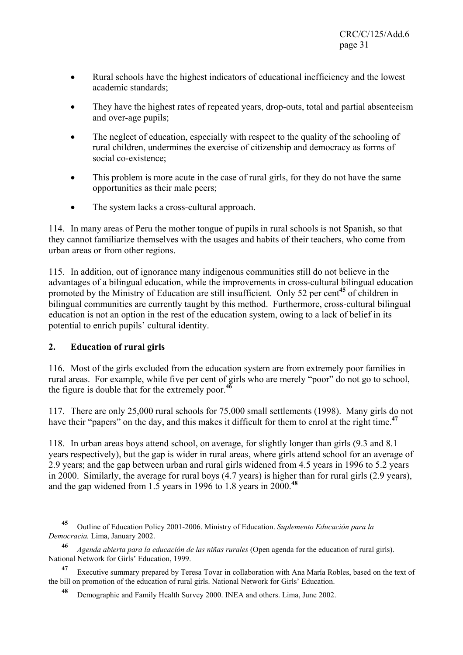- Rural schools have the highest indicators of educational inefficiency and the lowest academic standards;
- They have the highest rates of repeated years, drop-outs, total and partial absenteeism and over-age pupils;
- The neglect of education, especially with respect to the quality of the schooling of rural children, undermines the exercise of citizenship and democracy as forms of social co-existence;
- This problem is more acute in the case of rural girls, for they do not have the same opportunities as their male peers;
- The system lacks a cross-cultural approach.

114. In many areas of Peru the mother tongue of pupils in rural schools is not Spanish, so that they cannot familiarize themselves with the usages and habits of their teachers, who come from urban areas or from other regions.

115. In addition, out of ignorance many indigenous communities still do not believe in the advantages of a bilingual education, while the improvements in cross-cultural bilingual education promoted by the Ministry of Education are still insufficient. Only 52 per cent**<sup>45</sup>** of children in bilingual communities are currently taught by this method. Furthermore, cross-cultural bilingual education is not an option in the rest of the education system, owing to a lack of belief in its potential to enrich pupils' cultural identity.

## **2. Education of rural girls**

l

116. Most of the girls excluded from the education system are from extremely poor families in rural areas. For example, while five per cent of girls who are merely "poor" do not go to school, the figure is double that for the extremely poor.<sup>46</sup>

117. There are only 25,000 rural schools for 75,000 small settlements (1998). Many girls do not have their "papers" on the day, and this makes it difficult for them to enrol at the right time.**<sup>47</sup>**

118. In urban areas boys attend school, on average, for slightly longer than girls (9.3 and 8.1 years respectively), but the gap is wider in rural areas, where girls attend school for an average of 2.9 years; and the gap between urban and rural girls widened from 4.5 years in 1996 to 5.2 years in 2000. Similarly, the average for rural boys (4.7 years) is higher than for rural girls (2.9 years), and the gap widened from 1.5 years in 1996 to 1.8 years in 2000.**<sup>48</sup>**

**<sup>45</sup>** Outline of Education Policy 2001-2006. Ministry of Education. *Suplemento Educación para la Democracia.* Lima, January 2002.

**<sup>46</sup>** *Agenda abierta para la educación de las niñas rurales* (Open agenda for the education of rural girls). National Network for Girls' Education, 1999.

**<sup>47</sup>** Executive summary prepared by Teresa Tovar in collaboration with Ana María Robles, based on the text of the bill on promotion of the education of rural girls. National Network for Girls' Education.

**<sup>48</sup>** Demographic and Family Health Survey 2000. INEA and others. Lima, June 2002.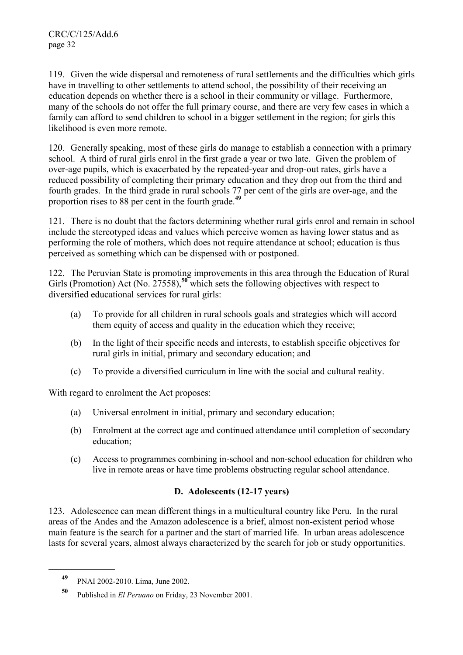119. Given the wide dispersal and remoteness of rural settlements and the difficulties which girls have in travelling to other settlements to attend school, the possibility of their receiving an education depends on whether there is a school in their community or village. Furthermore, many of the schools do not offer the full primary course, and there are very few cases in which a family can afford to send children to school in a bigger settlement in the region; for girls this likelihood is even more remote.

120. Generally speaking, most of these girls do manage to establish a connection with a primary school. A third of rural girls enrol in the first grade a year or two late. Given the problem of over-age pupils, which is exacerbated by the repeated-year and drop-out rates, girls have a reduced possibility of completing their primary education and they drop out from the third and fourth grades. In the third grade in rural schools 77 per cent of the girls are over-age, and the proportion rises to 88 per cent in the fourth grade.**<sup>49</sup>**

121. There is no doubt that the factors determining whether rural girls enrol and remain in school include the stereotyped ideas and values which perceive women as having lower status and as performing the role of mothers, which does not require attendance at school; education is thus perceived as something which can be dispensed with or postponed.

122. The Peruvian State is promoting improvements in this area through the Education of Rural Girls (Promotion) Act (No. 27558),<sup>50</sup> which sets the following objectives with respect to diversified educational services for rural girls:

- (a) To provide for all children in rural schools goals and strategies which will accord them equity of access and quality in the education which they receive;
- (b) In the light of their specific needs and interests, to establish specific objectives for rural girls in initial, primary and secondary education; and
- (c) To provide a diversified curriculum in line with the social and cultural reality.

With regard to enrolment the Act proposes:

- (a) Universal enrolment in initial, primary and secondary education;
- (b) Enrolment at the correct age and continued attendance until completion of secondary education;
- (c) Access to programmes combining in-school and non-school education for children who live in remote areas or have time problems obstructing regular school attendance.

## **D. Adolescents (12-17 years)**

123. Adolescence can mean different things in a multicultural country like Peru. In the rural areas of the Andes and the Amazon adolescence is a brief, almost non-existent period whose main feature is the search for a partner and the start of married life. In urban areas adolescence lasts for several years, almost always characterized by the search for job or study opportunities.

**<sup>49</sup>** PNAI 2002-2010. Lima, June 2002.

**<sup>50</sup>** Published in *El Peruano* on Friday, 23 November 2001.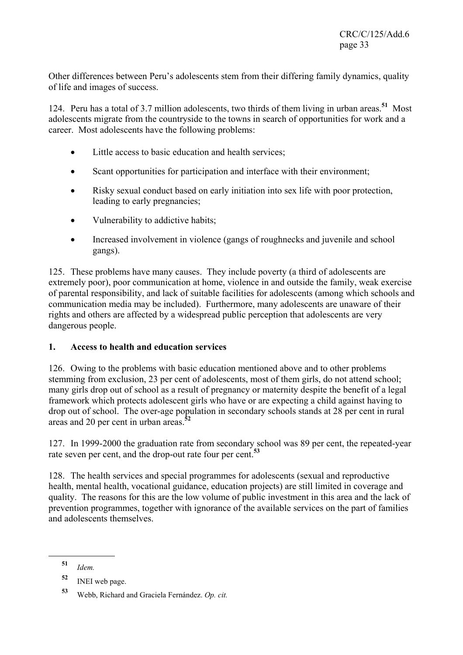Other differences between Peru's adolescents stem from their differing family dynamics, quality of life and images of success.

124. Peru has a total of 3.7 million adolescents, two thirds of them living in urban areas.**<sup>51</sup>** Most adolescents migrate from the countryside to the towns in search of opportunities for work and a career. Most adolescents have the following problems:

- Little access to basic education and health services;
- Scant opportunities for participation and interface with their environment;
- Risky sexual conduct based on early initiation into sex life with poor protection, leading to early pregnancies;
- Vulnerability to addictive habits;
- Increased involvement in violence (gangs of roughnecks and juvenile and school gangs).

125. These problems have many causes. They include poverty (a third of adolescents are extremely poor), poor communication at home, violence in and outside the family, weak exercise of parental responsibility, and lack of suitable facilities for adolescents (among which schools and communication media may be included). Furthermore, many adolescents are unaware of their rights and others are affected by a widespread public perception that adolescents are very dangerous people.

## **1. Access to health and education services**

126. Owing to the problems with basic education mentioned above and to other problems stemming from exclusion, 23 per cent of adolescents, most of them girls, do not attend school; many girls drop out of school as a result of pregnancy or maternity despite the benefit of a legal framework which protects adolescent girls who have or are expecting a child against having to drop out of school. The over-age population in secondary schools stands at 28 per cent in rural areas and 20 per cent in urban areas.**<sup>52</sup>**

127. In 1999-2000 the graduation rate from secondary school was 89 per cent, the repeated-year rate seven per cent, and the drop-out rate four per cent.**<sup>53</sup>**

128. The health services and special programmes for adolescents (sexual and reproductive health, mental health, vocational guidance, education projects) are still limited in coverage and quality. The reasons for this are the low volume of public investment in this area and the lack of prevention programmes, together with ignorance of the available services on the part of families and adolescents themselves.

**<sup>51</sup>** *Idem.*

**<sup>52</sup>** INEI web page.

**<sup>53</sup>** Webb, Richard and Graciela Fernández. *Op. cit.*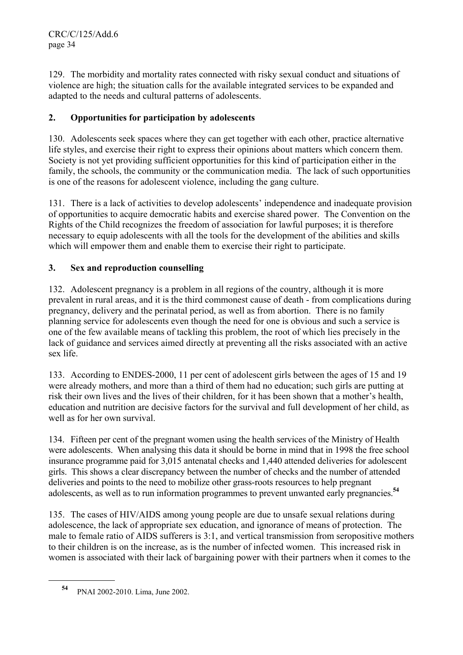129. The morbidity and mortality rates connected with risky sexual conduct and situations of violence are high; the situation calls for the available integrated services to be expanded and adapted to the needs and cultural patterns of adolescents.

# **2. Opportunities for participation by adolescents**

130. Adolescents seek spaces where they can get together with each other, practice alternative life styles, and exercise their right to express their opinions about matters which concern them. Society is not yet providing sufficient opportunities for this kind of participation either in the family, the schools, the community or the communication media. The lack of such opportunities is one of the reasons for adolescent violence, including the gang culture.

131. There is a lack of activities to develop adolescents' independence and inadequate provision of opportunities to acquire democratic habits and exercise shared power. The Convention on the Rights of the Child recognizes the freedom of association for lawful purposes; it is therefore necessary to equip adolescents with all the tools for the development of the abilities and skills which will empower them and enable them to exercise their right to participate.

## **3. Sex and reproduction counselling**

132. Adolescent pregnancy is a problem in all regions of the country, although it is more prevalent in rural areas, and it is the third commonest cause of death - from complications during pregnancy, delivery and the perinatal period, as well as from abortion. There is no family planning service for adolescents even though the need for one is obvious and such a service is one of the few available means of tackling this problem, the root of which lies precisely in the lack of guidance and services aimed directly at preventing all the risks associated with an active sex life.

133. According to ENDES-2000, 11 per cent of adolescent girls between the ages of 15 and 19 were already mothers, and more than a third of them had no education; such girls are putting at risk their own lives and the lives of their children, for it has been shown that a mother's health, education and nutrition are decisive factors for the survival and full development of her child, as well as for her own survival.

134. Fifteen per cent of the pregnant women using the health services of the Ministry of Health were adolescents. When analysing this data it should be borne in mind that in 1998 the free school insurance programme paid for 3,015 antenatal checks and 1,440 attended deliveries for adolescent girls. This shows a clear discrepancy between the number of checks and the number of attended deliveries and points to the need to mobilize other grass-roots resources to help pregnant adolescents, as well as to run information programmes to prevent unwanted early pregnancies.**<sup>54</sup>**

135. The cases of HIV/AIDS among young people are due to unsafe sexual relations during adolescence, the lack of appropriate sex education, and ignorance of means of protection. The male to female ratio of AIDS sufferers is 3:1, and vertical transmission from seropositive mothers to their children is on the increase, as is the number of infected women. This increased risk in women is associated with their lack of bargaining power with their partners when it comes to the

**<sup>54</sup>** PNAI 2002-2010. Lima, June 2002.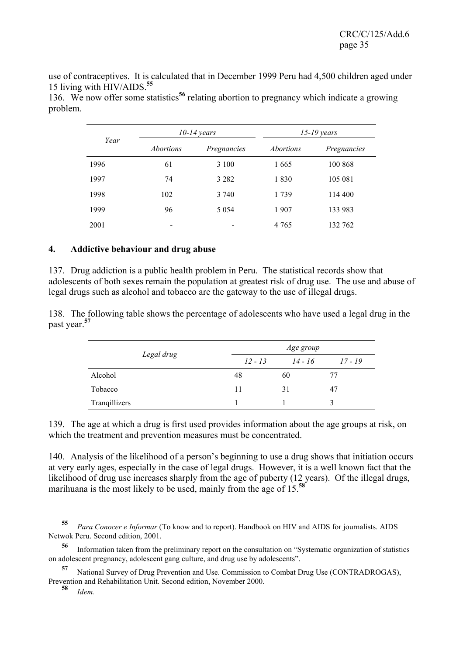use of contraceptives. It is calculated that in December 1999 Peru had 4,500 children aged under 15 living with HIV/AIDS.**<sup>55</sup>**

136. We now offer some statistics**<sup>56</sup>** relating abortion to pregnancy which indicate a growing problem.

| Year | $10-14$ years    |             | $15-19$ years    |             |
|------|------------------|-------------|------------------|-------------|
|      | <i>Abortions</i> | Pregnancies | <i>Abortions</i> | Pregnancies |
| 1996 | 61               | 3 100       | 1665             | 100 868     |
| 1997 | 74               | 3 2 8 2     | 1830             | 105 081     |
| 1998 | 102              | 3 740       | 1739             | 114 400     |
| 1999 | 96               | 5 0 5 4     | 1907             | 133 983     |
| 2001 | $\qquad \qquad$  | -           | 4 7 6 5          | 132 762     |

### **4. Addictive behaviour and drug abuse**

137. Drug addiction is a public health problem in Peru. The statistical records show that adolescents of both sexes remain the population at greatest risk of drug use. The use and abuse of legal drugs such as alcohol and tobacco are the gateway to the use of illegal drugs.

138. The following table shows the percentage of adolescents who have used a legal drug in the past year.**<sup>57</sup>**

|               | Age group |         |         |  |
|---------------|-----------|---------|---------|--|
| Legal drug    | $12 - 13$ | 14 - 16 | 17 - 19 |  |
| Alcohol       | 48        | 60      | 77      |  |
| Tobacco       | 11        | 31      | 47      |  |
| Tranqillizers |           |         | 3       |  |

139. The age at which a drug is first used provides information about the age groups at risk, on which the treatment and prevention measures must be concentrated.

140. Analysis of the likelihood of a person's beginning to use a drug shows that initiation occurs at very early ages, especially in the case of legal drugs. However, it is a well known fact that the likelihood of drug use increases sharply from the age of puberty (12 years). Of the illegal drugs, marihuana is the most likely to be used, mainly from the age of 15.**<sup>58</sup>**

**<sup>55</sup>** *Para Conocer e Informar* (To know and to report). Handbook on HIV and AIDS for journalists. AIDS Netwok Peru. Second edition, 2001.

**<sup>56</sup>** Information taken from the preliminary report on the consultation on "Systematic organization of statistics on adolescent pregnancy, adolescent gang culture, and drug use by adolescents".

**<sup>57</sup>** National Survey of Drug Prevention and Use. Commission to Combat Drug Use (CONTRADROGAS), Prevention and Rehabilitation Unit. Second edition, November 2000.

**<sup>58</sup>** *Idem.*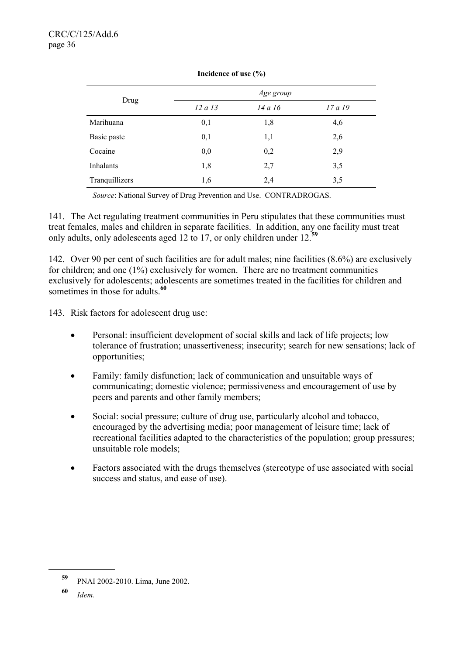|                |         | Age group |         |
|----------------|---------|-----------|---------|
| Drug           | 12 a 13 | 14 a 16   | 17 a 19 |
| Marihuana      | 0,1     | 1,8       | 4,6     |
| Basic paste    | 0,1     | 1,1       | 2,6     |
| Cocaine        | 0,0     | 0,2       | 2,9     |
| Inhalants      | 1,8     | 2,7       | 3,5     |
| Tranquillizers | 1,6     | 2,4       | 3,5     |

**Incidence of use (%)**

*Source*: National Survey of Drug Prevention and Use. CONTRADROGAS.

141. The Act regulating treatment communities in Peru stipulates that these communities must treat females, males and children in separate facilities. In addition, any one facility must treat only adults, only adolescents aged 12 to 17, or only children under 12.**<sup>59</sup>**

142. Over 90 per cent of such facilities are for adult males; nine facilities (8.6%) are exclusively for children; and one (1%) exclusively for women. There are no treatment communities exclusively for adolescents; adolescents are sometimes treated in the facilities for children and sometimes in those for adults.<sup>60</sup>

143. Risk factors for adolescent drug use:

- Personal: insufficient development of social skills and lack of life projects; low tolerance of frustration; unassertiveness; insecurity; search for new sensations; lack of opportunities;
- Family: family disfunction; lack of communication and unsuitable ways of communicating; domestic violence; permissiveness and encouragement of use by peers and parents and other family members;
- Social: social pressure; culture of drug use, particularly alcohol and tobacco, encouraged by the advertising media; poor management of leisure time; lack of recreational facilities adapted to the characteristics of the population; group pressures; unsuitable role models;
- Factors associated with the drugs themselves (stereotype of use associated with social success and status, and ease of use).

**<sup>59</sup>** PNAI 2002-2010. Lima, June 2002.

**<sup>60</sup>** *Idem.*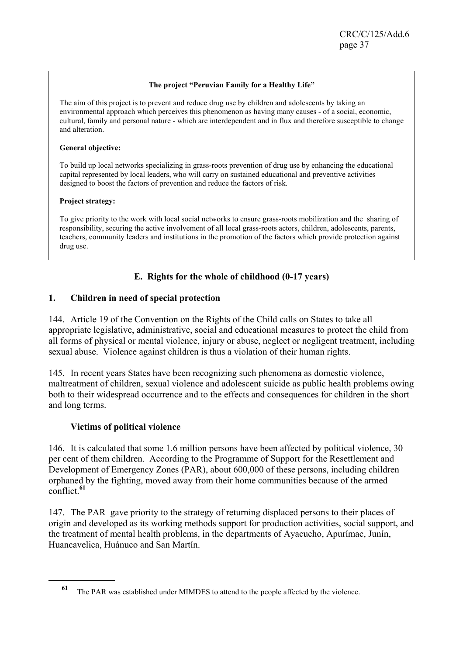### **The project "Peruvian Family for a Healthy Life"**

The aim of this project is to prevent and reduce drug use by children and adolescents by taking an environmental approach which perceives this phenomenon as having many causes - of a social, economic, cultural, family and personal nature - which are interdependent and in flux and therefore susceptible to change and alteration.

#### **General objective:**

To build up local networks specializing in grass-roots prevention of drug use by enhancing the educational capital represented by local leaders, who will carry on sustained educational and preventive activities designed to boost the factors of prevention and reduce the factors of risk.

### **Project strategy:**

To give priority to the work with local social networks to ensure grass-roots mobilization and the sharing of responsibility, securing the active involvement of all local grass-roots actors, children, adolescents, parents, teachers, community leaders and institutions in the promotion of the factors which provide protection against drug use.

# **E. Rights for the whole of childhood (0-17 years)**

# **1. Children in need of special protection**

144. Article 19 of the Convention on the Rights of the Child calls on States to take all appropriate legislative, administrative, social and educational measures to protect the child from all forms of physical or mental violence, injury or abuse, neglect or negligent treatment, including sexual abuse. Violence against children is thus a violation of their human rights.

145. In recent years States have been recognizing such phenomena as domestic violence, maltreatment of children, sexual violence and adolescent suicide as public health problems owing both to their widespread occurrence and to the effects and consequences for children in the short and long terms.

### **Victims of political violence**

l

146. It is calculated that some 1.6 million persons have been affected by political violence, 30 per cent of them children. According to the Programme of Support for the Resettlement and Development of Emergency Zones (PAR), about 600,000 of these persons, including children orphaned by the fighting, moved away from their home communities because of the armed conflict.**<sup>61</sup>**

147. The PAR gave priority to the strategy of returning displaced persons to their places of origin and developed as its working methods support for production activities, social support, and the treatment of mental health problems, in the departments of Ayacucho, Apurímac, Junín, Huancavelica, Huánuco and San Martín.

**<sup>61</sup>** The PAR was established under MIMDES to attend to the people affected by the violence.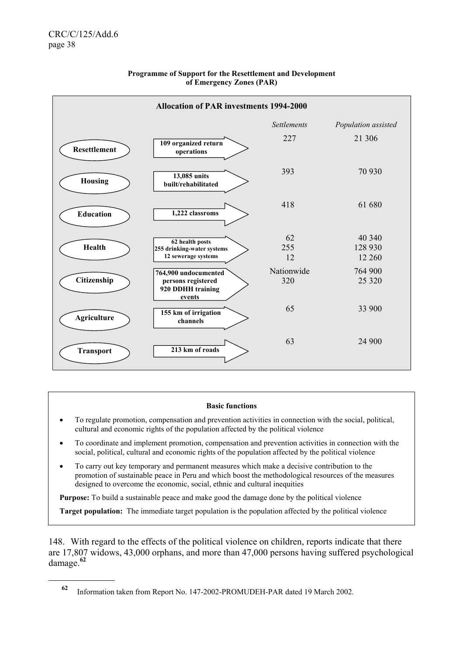l



#### **Programme of Support for the Resettlement and Development of Emergency Zones (PAR)**

#### **Basic functions**

- To regulate promotion, compensation and prevention activities in connection with the social, political, cultural and economic rights of the population affected by the political violence
- To coordinate and implement promotion, compensation and prevention activities in connection with the social, political, cultural and economic rights of the population affected by the political violence
- To carry out key temporary and permanent measures which make a decisive contribution to the promotion of sustainable peace in Peru and which boost the methodological resources of the measures designed to overcome the economic, social, ethnic and cultural inequities

**Purpose:** To build a sustainable peace and make good the damage done by the political violence

**Target population:** The immediate target population is the population affected by the political violence

148. With regard to the effects of the political violence on children, reports indicate that there are 17,807 widows, 43,000 orphans, and more than 47,000 persons having suffered psychological damage.**<sup>62</sup>**

**<sup>62</sup>** Information taken from Report No. 147-2002-PROMUDEH-PAR dated 19 March 2002.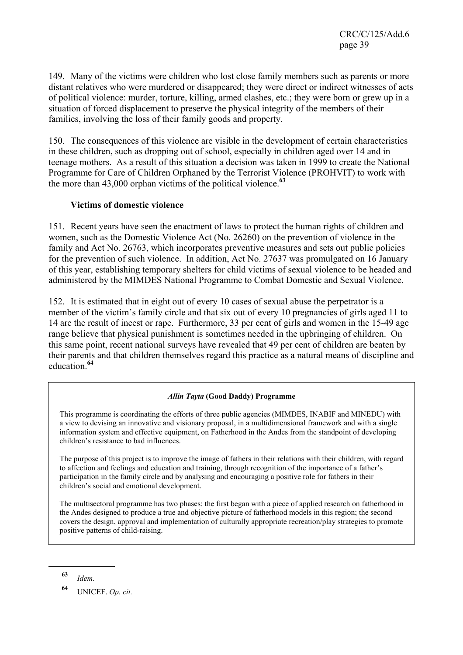149. Many of the victims were children who lost close family members such as parents or more distant relatives who were murdered or disappeared; they were direct or indirect witnesses of acts of political violence: murder, torture, killing, armed clashes, etc.; they were born or grew up in a situation of forced displacement to preserve the physical integrity of the members of their families, involving the loss of their family goods and property.

150. The consequences of this violence are visible in the development of certain characteristics in these children, such as dropping out of school, especially in children aged over 14 and in teenage mothers. As a result of this situation a decision was taken in 1999 to create the National Programme for Care of Children Orphaned by the Terrorist Violence (PROHVIT) to work with the more than 43,000 orphan victims of the political violence.**<sup>63</sup>**

# **Victims of domestic violence**

151. Recent years have seen the enactment of laws to protect the human rights of children and women, such as the Domestic Violence Act (No. 26260) on the prevention of violence in the family and Act No. 26763, which incorporates preventive measures and sets out public policies for the prevention of such violence. In addition, Act No. 27637 was promulgated on 16 January of this year, establishing temporary shelters for child victims of sexual violence to be headed and administered by the MIMDES National Programme to Combat Domestic and Sexual Violence.

152. It is estimated that in eight out of every 10 cases of sexual abuse the perpetrator is a member of the victim's family circle and that six out of every 10 pregnancies of girls aged 11 to 14 are the result of incest or rape. Furthermore, 33 per cent of girls and women in the 15-49 age range believe that physical punishment is sometimes needed in the upbringing of children. On this same point, recent national surveys have revealed that 49 per cent of children are beaten by their parents and that children themselves regard this practice as a natural means of discipline and education.**<sup>64</sup>**

# *Allin Tayta* **(Good Daddy) Programme**

This programme is coordinating the efforts of three public agencies (MIMDES, INABIF and MINEDU) with a view to devising an innovative and visionary proposal, in a multidimensional framework and with a single information system and effective equipment, on Fatherhood in the Andes from the standpoint of developing children's resistance to bad influences.

The purpose of this project is to improve the image of fathers in their relations with their children, with regard to affection and feelings and education and training, through recognition of the importance of a father's participation in the family circle and by analysing and encouraging a positive role for fathers in their children's social and emotional development.

The multisectoral programme has two phases: the first began with a piece of applied research on fatherhood in the Andes designed to produce a true and objective picture of fatherhood models in this region; the second covers the design, approval and implementation of culturally appropriate recreation/play strategies to promote positive patterns of child-raising.

**<sup>63</sup>** *Idem.*

**<sup>64</sup>** UNICEF. *Op. cit.*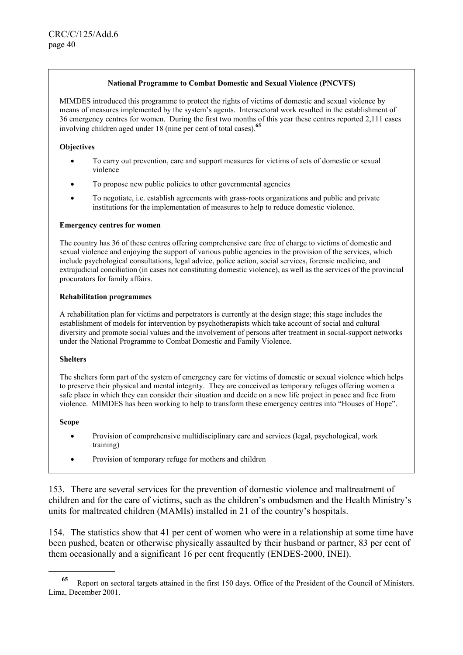#### **National Programme to Combat Domestic and Sexual Violence (PNCVFS)**

MIMDES introduced this programme to protect the rights of victims of domestic and sexual violence by means of measures implemented by the system's agents. Intersectoral work resulted in the establishment of 36 emergency centres for women. During the first two months of this year these centres reported 2,111 cases involving children aged under 18 (nine per cent of total cases).**<sup>65</sup>**

#### **Objectives**

- To carry out prevention, care and support measures for victims of acts of domestic or sexual violence
- To propose new public policies to other governmental agencies
- To negotiate, i.e. establish agreements with grass-roots organizations and public and private institutions for the implementation of measures to help to reduce domestic violence.

#### **Emergency centres for women**

The country has 36 of these centres offering comprehensive care free of charge to victims of domestic and sexual violence and enjoying the support of various public agencies in the provision of the services, which include psychological consultations, legal advice, police action, social services, forensic medicine, and extrajudicial conciliation (in cases not constituting domestic violence), as well as the services of the provincial procurators for family affairs.

#### **Rehabilitation programmes**

A rehabilitation plan for victims and perpetrators is currently at the design stage; this stage includes the establishment of models for intervention by psychotherapists which take account of social and cultural diversity and promote social values and the involvement of persons after treatment in social-support networks under the National Programme to Combat Domestic and Family Violence.

#### **Shelters**

The shelters form part of the system of emergency care for victims of domestic or sexual violence which helps to preserve their physical and mental integrity. They are conceived as temporary refuges offering women a safe place in which they can consider their situation and decide on a new life project in peace and free from violence. MIMDES has been working to help to transform these emergency centres into "Houses of Hope".

#### **Scope**

l

- Provision of comprehensive multidisciplinary care and services (legal, psychological, work training)
- Provision of temporary refuge for mothers and children

153. There are several services for the prevention of domestic violence and maltreatment of children and for the care of victims, such as the children's ombudsmen and the Health Ministry's units for maltreated children (MAMIs) installed in 21 of the country's hospitals.

154. The statistics show that 41 per cent of women who were in a relationship at some time have been pushed, beaten or otherwise physically assaulted by their husband or partner, 83 per cent of them occasionally and a significant 16 per cent frequently (ENDES-2000, INEI).

**<sup>65</sup>** Report on sectoral targets attained in the first 150 days. Office of the President of the Council of Ministers. Lima, December 2001.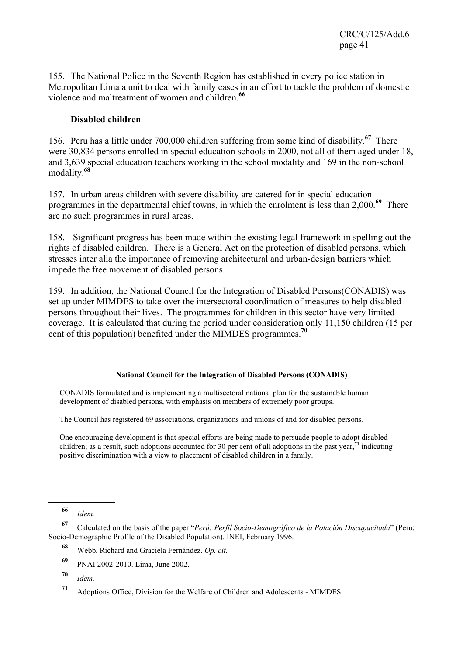155. The National Police in the Seventh Region has established in every police station in Metropolitan Lima a unit to deal with family cases in an effort to tackle the problem of domestic violence and maltreatment of women and children.**<sup>66</sup>**

# **Disabled children**

156. Peru has a little under 700,000 children suffering from some kind of disability.**<sup>67</sup>** There were 30,834 persons enrolled in special education schools in 2000, not all of them aged under 18, and 3,639 special education teachers working in the school modality and 169 in the non-school modality.**<sup>68</sup>**

157. In urban areas children with severe disability are catered for in special education programmes in the departmental chief towns, in which the enrolment is less than 2,000.**<sup>69</sup>** There are no such programmes in rural areas.

158. Significant progress has been made within the existing legal framework in spelling out the rights of disabled children. There is a General Act on the protection of disabled persons, which stresses inter alia the importance of removing architectural and urban-design barriers which impede the free movement of disabled persons.

159. In addition, the National Council for the Integration of Disabled Persons(CONADIS) was set up under MIMDES to take over the intersectoral coordination of measures to help disabled persons throughout their lives. The programmes for children in this sector have very limited coverage. It is calculated that during the period under consideration only 11,150 children (15 per cent of this population) benefited under the MIMDES programmes.**<sup>70</sup>**

# **National Council for the Integration of Disabled Persons (CONADIS)**

CONADIS formulated and is implementing a multisectoral national plan for the sustainable human development of disabled persons, with emphasis on members of extremely poor groups.

The Council has registered 69 associations, organizations and unions of and for disabled persons.

One encouraging development is that special efforts are being made to persuade people to adopt disabled children; as a result, such adoptions accounted for 30 per cent of all adoptions in the past year,**<sup>71</sup>** indicating positive discrimination with a view to placement of disabled children in a family.

l

**<sup>67</sup>** Calculated on the basis of the paper "*Perú: Perfil Socio-Demográfico de la Polación Discapacitada*" (Peru: Socio-Demographic Profile of the Disabled Population). INEI, February 1996.

- **<sup>69</sup>** PNAI 2002-2010. Lima, June 2002.
- **<sup>70</sup>** *Idem.*

**<sup>66</sup>** *Idem.*

**<sup>68</sup>** Webb, Richard and Graciela Fernández. *Op. cit.*

**<sup>71</sup>** Adoptions Office, Division for the Welfare of Children and Adolescents - MIMDES.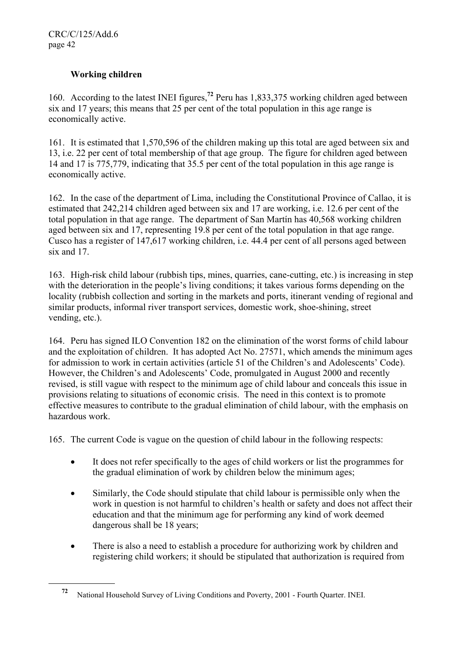l

# **Working children**

160. According to the latest INEI figures,**<sup>72</sup>** Peru has 1,833,375 working children aged between six and 17 years; this means that 25 per cent of the total population in this age range is economically active.

161. It is estimated that 1,570,596 of the children making up this total are aged between six and 13, i.e. 22 per cent of total membership of that age group. The figure for children aged between 14 and 17 is 775,779, indicating that 35.5 per cent of the total population in this age range is economically active.

162. In the case of the department of Lima, including the Constitutional Province of Callao, it is estimated that 242,214 children aged between six and 17 are working, i.e. 12.6 per cent of the total population in that age range. The department of San Martín has 40,568 working children aged between six and 17, representing 19.8 per cent of the total population in that age range. Cusco has a register of 147,617 working children, i.e. 44.4 per cent of all persons aged between six and 17.

163. High-risk child labour (rubbish tips, mines, quarries, cane-cutting, etc.) is increasing in step with the deterioration in the people's living conditions; it takes various forms depending on the locality (rubbish collection and sorting in the markets and ports, itinerant vending of regional and similar products, informal river transport services, domestic work, shoe-shining, street vending, etc.).

164. Peru has signed ILO Convention 182 on the elimination of the worst forms of child labour and the exploitation of children. It has adopted Act No. 27571, which amends the minimum ages for admission to work in certain activities (article 51 of the Children's and Adolescents' Code). However, the Children's and Adolescents' Code, promulgated in August 2000 and recently revised, is still vague with respect to the minimum age of child labour and conceals this issue in provisions relating to situations of economic crisis. The need in this context is to promote effective measures to contribute to the gradual elimination of child labour, with the emphasis on hazardous work.

165. The current Code is vague on the question of child labour in the following respects:

- It does not refer specifically to the ages of child workers or list the programmes for the gradual elimination of work by children below the minimum ages;
- Similarly, the Code should stipulate that child labour is permissible only when the work in question is not harmful to children's health or safety and does not affect their education and that the minimum age for performing any kind of work deemed dangerous shall be 18 years;
- There is also a need to establish a procedure for authorizing work by children and registering child workers; it should be stipulated that authorization is required from

**<sup>72</sup>** National Household Survey of Living Conditions and Poverty, 2001 - Fourth Quarter. INEI.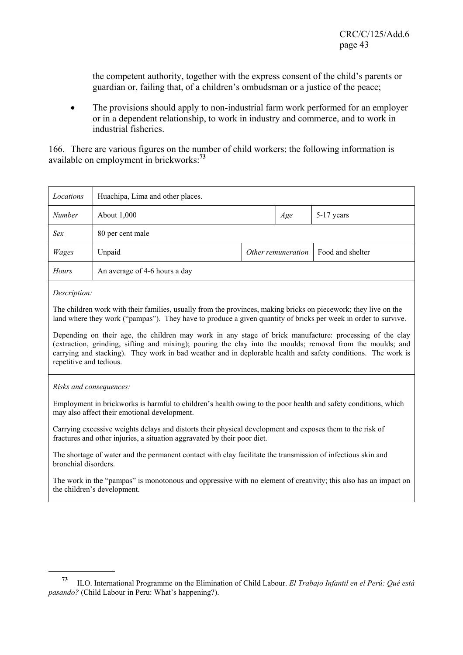the competent authority, together with the express consent of the child's parents or guardian or, failing that, of a children's ombudsman or a justice of the peace;

• The provisions should apply to non-industrial farm work performed for an employer or in a dependent relationship, to work in industry and commerce, and to work in industrial fisheries.

166. There are various figures on the number of child workers; the following information is available on employment in brickworks:**<sup>73</sup>**

| Locations    | Huachipa, Lima and other places.                   |  |  |  |  |
|--------------|----------------------------------------------------|--|--|--|--|
| Number       | About 1,000<br>5-17 years<br>Age                   |  |  |  |  |
| Sex          | 80 per cent male                                   |  |  |  |  |
| <b>Wages</b> | Other remuneration  <br>Food and shelter<br>Unpaid |  |  |  |  |
| Hours        | An average of 4-6 hours a day                      |  |  |  |  |
|              |                                                    |  |  |  |  |

*Description:* 

l

The children work with their families, usually from the provinces, making bricks on piecework; they live on the land where they work ("pampas"). They have to produce a given quantity of bricks per week in order to survive.

Depending on their age, the children may work in any stage of brick manufacture: processing of the clay (extraction, grinding, sifting and mixing); pouring the clay into the moulds; removal from the moulds; and carrying and stacking). They work in bad weather and in deplorable health and safety conditions. The work is repetitive and tedious.

*Risks and consequences:* 

Employment in brickworks is harmful to children's health owing to the poor health and safety conditions, which may also affect their emotional development.

Carrying excessive weights delays and distorts their physical development and exposes them to the risk of fractures and other injuries, a situation aggravated by their poor diet.

The shortage of water and the permanent contact with clay facilitate the transmission of infectious skin and bronchial disorders.

The work in the "pampas" is monotonous and oppressive with no element of creativity; this also has an impact on the children's development.

**<sup>73</sup>** ILO. International Programme on the Elimination of Child Labour. *El Trabajo Infantil en el Perú: Qué está pasando?* (Child Labour in Peru: What's happening?).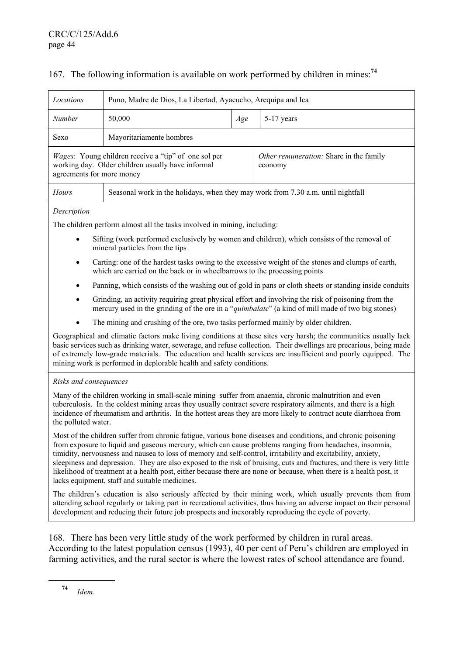## 167. The following information is available on work performed by children in mines:**<sup>74</sup>**

| Locations                                                                                                           | Puno, Madre de Dios, La Libertad, Ayacucho, Arequipa and Ica                                                     |     |                                                                                                                                                                                                                                                                                                                                                         |  |  |  |
|---------------------------------------------------------------------------------------------------------------------|------------------------------------------------------------------------------------------------------------------|-----|---------------------------------------------------------------------------------------------------------------------------------------------------------------------------------------------------------------------------------------------------------------------------------------------------------------------------------------------------------|--|--|--|
| Number                                                                                                              | 50,000                                                                                                           | Age | 5-17 years                                                                                                                                                                                                                                                                                                                                              |  |  |  |
| Sexo                                                                                                                | Mayoritariamente hombres                                                                                         |     |                                                                                                                                                                                                                                                                                                                                                         |  |  |  |
| agreements for more money                                                                                           | <i>Wages:</i> Young children receive a "tip" of one sol per<br>working day. Older children usually have informal |     | Other remuneration: Share in the family<br>economy                                                                                                                                                                                                                                                                                                      |  |  |  |
| Hours                                                                                                               | Seasonal work in the holidays, when they may work from 7.30 a.m. until nightfall                                 |     |                                                                                                                                                                                                                                                                                                                                                         |  |  |  |
| Description                                                                                                         |                                                                                                                  |     |                                                                                                                                                                                                                                                                                                                                                         |  |  |  |
|                                                                                                                     | The children perform almost all the tasks involved in mining, including:                                         |     |                                                                                                                                                                                                                                                                                                                                                         |  |  |  |
| $\bullet$                                                                                                           | mineral particles from the tips                                                                                  |     | Sifting (work performed exclusively by women and children), which consists of the removal of                                                                                                                                                                                                                                                            |  |  |  |
| $\bullet$                                                                                                           | which are carried on the back or in wheelbarrows to the processing points                                        |     | Carting: one of the hardest tasks owing to the excessive weight of the stones and clumps of earth,                                                                                                                                                                                                                                                      |  |  |  |
| Panning, which consists of the washing out of gold in pans or cloth sheets or standing inside conduits<br>$\bullet$ |                                                                                                                  |     |                                                                                                                                                                                                                                                                                                                                                         |  |  |  |
| $\bullet$                                                                                                           |                                                                                                                  |     | Grinding, an activity requiring great physical effort and involving the risk of poisoning from the<br>mercury used in the grinding of the ore in a " <i>quimbalate</i> " (a kind of mill made of two big stones)                                                                                                                                        |  |  |  |
| The mining and crushing of the ore, two tasks performed mainly by older children.                                   |                                                                                                                  |     |                                                                                                                                                                                                                                                                                                                                                         |  |  |  |
|                                                                                                                     | mining work is performed in deplorable health and safety conditions.                                             |     | Geographical and climatic factors make living conditions at these sites very harsh; the communities usually lack<br>basic services such as drinking water, sewerage, and refuse collection. Their dwellings are precarious, being made<br>of extremely low-grade materials. The education and health services are insufficient and poorly equipped. The |  |  |  |
| Risks and consequences                                                                                              |                                                                                                                  |     |                                                                                                                                                                                                                                                                                                                                                         |  |  |  |
| the polluted water.                                                                                                 | Many of the children working in small-scale mining suffer from anaemia, chronic malnutrition and even            |     | tuberculosis. In the coldest mining areas they usually contract severe respiratory ailments, and there is a high<br>incidence of rheumatism and arthritis. In the hottest areas they are more likely to contract acute diarrhoea from                                                                                                                   |  |  |  |
|                                                                                                                     | timidity, nervousness and nausea to loss of memory and self-control, irritability and excitability, anxiety,     |     | Most of the children suffer from chronic fatigue, various bone diseases and conditions, and chronic poisoning<br>from exposure to liquid and gaseous mercury, which can cause problems ranging from headaches, insomnia,<br>sleepiness and depression. They are also exposed to the risk of bruising, outs and fractures, and there is very little      |  |  |  |

piness and depression. They are also exposed to the risk of bruising, cuts and fractures, and there is very little likelihood of treatment at a health post, either because there are none or because, when there is a health post, it lacks equipment, staff and suitable medicines.

The children's education is also seriously affected by their mining work, which usually prevents them from attending school regularly or taking part in recreational activities, thus having an adverse impact on their personal development and reducing their future job prospects and inexorably reproducing the cycle of poverty.

168. There has been very little study of the work performed by children in rural areas. According to the latest population census (1993), 40 per cent of Peru's children are employed in farming activities, and the rural sector is where the lowest rates of school attendance are found.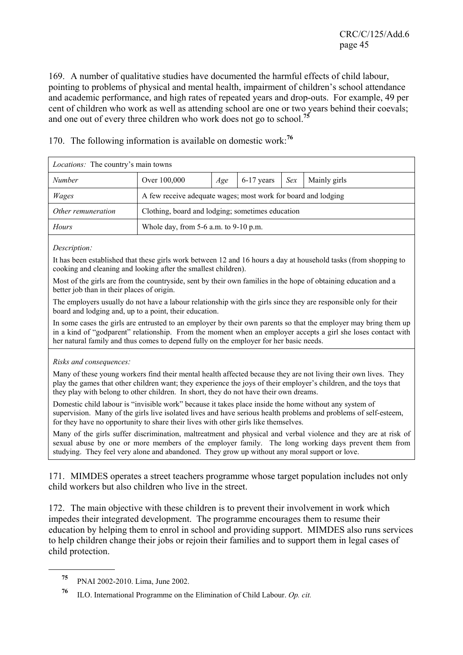169. A number of qualitative studies have documented the harmful effects of child labour, pointing to problems of physical and mental health, impairment of children's school attendance and academic performance, and high rates of repeated years and drop-outs. For example, 49 per cent of children who work as well as attending school are one or two years behind their coevals; and one out of every three children who work does not go to school.**<sup>75</sup>**

*Locations:* The country's main towns *Number* **Over 100,000** *Age* 6-17 years *Sex* Mainly girls *Wages* A few receive adequate wages; most work for board and lodging

170. The following information is available on domestic work:**<sup>76</sup>**

*Other remuneration* | Clothing, board and lodging; sometimes education

*Hours* Whole day, from 5-6 a.m. to 9-10 p.m.

#### *Description:*

It has been established that these girls work between 12 and 16 hours a day at household tasks (from shopping to cooking and cleaning and looking after the smallest children).

Most of the girls are from the countryside, sent by their own families in the hope of obtaining education and a better job than in their places of origin.

The employers usually do not have a labour relationship with the girls since they are responsible only for their board and lodging and, up to a point, their education.

In some cases the girls are entrusted to an employer by their own parents so that the employer may bring them up in a kind of "godparent" relationship. From the moment when an employer accepts a girl she loses contact with her natural family and thus comes to depend fully on the employer for her basic needs.

#### *Risks and consequences:*

Many of these young workers find their mental health affected because they are not living their own lives. They play the games that other children want; they experience the joys of their employer's children, and the toys that they play with belong to other children. In short, they do not have their own dreams.

Domestic child labour is "invisible work" because it takes place inside the home without any system of supervision. Many of the girls live isolated lives and have serious health problems and problems of self-esteem, for they have no opportunity to share their lives with other girls like themselves.

Many of the girls suffer discrimination, maltreatment and physical and verbal violence and they are at risk of sexual abuse by one or more members of the employer family. The long working days prevent them from studying. They feel very alone and abandoned. They grow up without any moral support or love.

171. MIMDES operates a street teachers programme whose target population includes not only child workers but also children who live in the street.

172. The main objective with these children is to prevent their involvement in work which impedes their integrated development. The programme encourages them to resume their education by helping them to enrol in school and providing support. MIMDES also runs services to help children change their jobs or rejoin their families and to support them in legal cases of child protection.

**<sup>75</sup>** PNAI 2002-2010. Lima, June 2002.

**<sup>76</sup>** ILO. International Programme on the Elimination of Child Labour. *Op. cit.*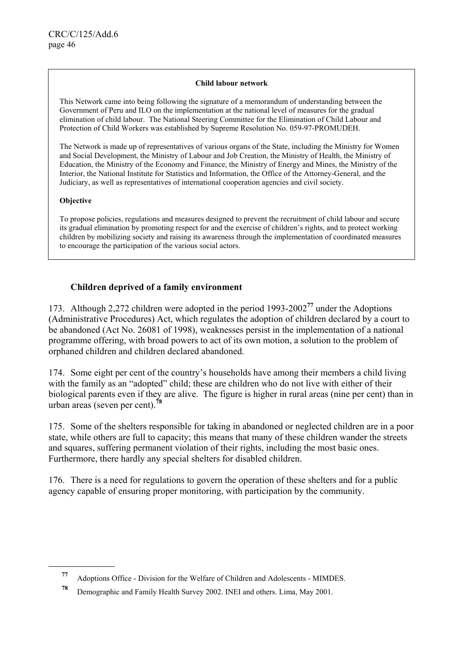#### **Child labour network**

This Network came into being following the signature of a memorandum of understanding between the Government of Peru and ILO on the implementation at the national level of measures for the gradual elimination of child labour. The National Steering Committee for the Elimination of Child Labour and Protection of Child Workers was established by Supreme Resolution No. 059-97-PROMUDEH.

The Network is made up of representatives of various organs of the State, including the Ministry for Women and Social Development, the Ministry of Labour and Job Creation, the Ministry of Health, the Ministry of Education, the Ministry of the Economy and Finance, the Ministry of Energy and Mines, the Ministry of the Interior, the National Institute for Statistics and Information, the Office of the Attorney-General, and the Judiciary, as well as representatives of international cooperation agencies and civil society.

### **Objective**

l

To propose policies, regulations and measures designed to prevent the recruitment of child labour and secure its gradual elimination by promoting respect for and the exercise of children's rights, and to protect working children by mobilizing society and raising its awareness through the implementation of coordinated measures to encourage the participation of the various social actors.

# **Children deprived of a family environment**

173. Although 2,272 children were adopted in the period 1993-2002**<sup>77</sup>** under the Adoptions (Administrative Procedures) Act, which regulates the adoption of children declared by a court to be abandoned (Act No. 26081 of 1998), weaknesses persist in the implementation of a national programme offering, with broad powers to act of its own motion, a solution to the problem of orphaned children and children declared abandoned.

174. Some eight per cent of the country's households have among their members a child living with the family as an "adopted" child; these are children who do not live with either of their biological parents even if they are alive. The figure is higher in rural areas (nine per cent) than in urban areas (seven per cent).**<sup>78</sup>**

175. Some of the shelters responsible for taking in abandoned or neglected children are in a poor state, while others are full to capacity; this means that many of these children wander the streets and squares, suffering permanent violation of their rights, including the most basic ones. Furthermore, there hardly any special shelters for disabled children.

176. There is a need for regulations to govern the operation of these shelters and for a public agency capable of ensuring proper monitoring, with participation by the community.

**<sup>77</sup>** Adoptions Office - Division for the Welfare of Children and Adolescents - MIMDES.

**<sup>78</sup>** Demographic and Family Health Survey 2002. INEI and others. Lima, May 2001.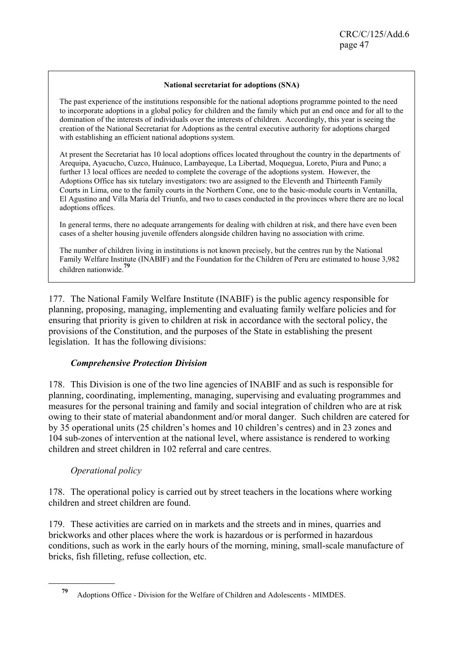#### **National secretariat for adoptions (SNA)**

The past experience of the institutions responsible for the national adoptions programme pointed to the need to incorporate adoptions in a global policy for children and the family which put an end once and for all to the domination of the interests of individuals over the interests of children. Accordingly, this year is seeing the creation of the National Secretariat for Adoptions as the central executive authority for adoptions charged with establishing an efficient national adoptions system.

At present the Secretariat has 10 local adoptions offices located throughout the country in the departments of Arequipa, Ayacucho, Cuzco, Huánuco, Lambayeque, La Libertad, Moquegua, Loreto, Piura and Puno; a further 13 local offices are needed to complete the coverage of the adoptions system. However, the Adoptions Office has six tutelary investigators: two are assigned to the Eleventh and Thirteenth Family Courts in Lima, one to the family courts in the Northern Cone, one to the basic-module courts in Ventanilla, El Agustino and Villa María del Triunfo, and two to cases conducted in the provinces where there are no local adoptions offices.

In general terms, there no adequate arrangements for dealing with children at risk, and there have even been cases of a shelter housing juvenile offenders alongside children having no association with crime.

The number of children living in institutions is not known precisely, but the centres run by the National Family Welfare Institute (INABIF) and the Foundation for the Children of Peru are estimated to house 3,982 children nationwide.**<sup>79</sup>**

177. The National Family Welfare Institute (INABIF) is the public agency responsible for planning, proposing, managing, implementing and evaluating family welfare policies and for ensuring that priority is given to children at risk in accordance with the sectoral policy, the provisions of the Constitution, and the purposes of the State in establishing the present legislation. It has the following divisions:

### *Comprehensive Protection Division*

178. This Division is one of the two line agencies of INABIF and as such is responsible for planning, coordinating, implementing, managing, supervising and evaluating programmes and measures for the personal training and family and social integration of children who are at risk owing to their state of material abandonment and/or moral danger. Such children are catered for by 35 operational units (25 children's homes and 10 children's centres) and in 23 zones and 104 sub-zones of intervention at the national level, where assistance is rendered to working children and street children in 102 referral and care centres.

# *Operational policy*

l

178. The operational policy is carried out by street teachers in the locations where working children and street children are found.

179. These activities are carried on in markets and the streets and in mines, quarries and brickworks and other places where the work is hazardous or is performed in hazardous conditions, such as work in the early hours of the morning, mining, small-scale manufacture of bricks, fish filleting, refuse collection, etc.

**<sup>79</sup>** Adoptions Office - Division for the Welfare of Children and Adolescents - MIMDES.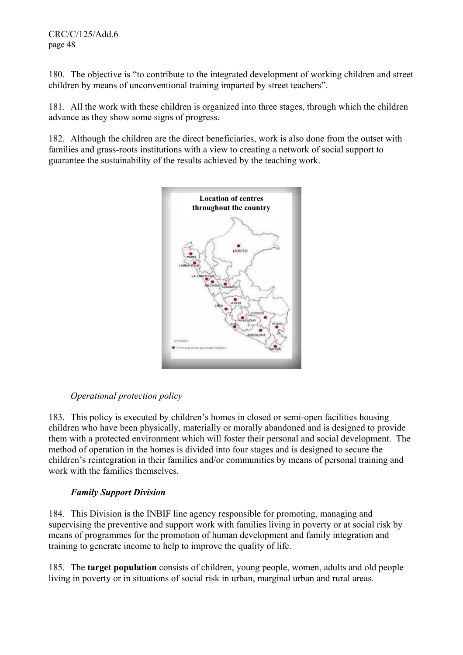180. The objective is "to contribute to the integrated development of working children and street children by means of unconventional training imparted by street teachers".

181. All the work with these children is organized into three stages, through which the children advance as they show some signs of progress.

182. Although the children are the direct beneficiaries, work is also done from the outset with families and grass-roots institutions with a view to creating a network of social support to guarantee the sustainability of the results achieved by the teaching work.



# *Operational protection policy*

183. This policy is executed by children's homes in closed or semi-open facilities housing children who have been physically, materially or morally abandoned and is designed to provide them with a protected environment which will foster their personal and social development. The method of operation in the homes is divided into four stages and is designed to secure the children's reintegration in their families and/or communities by means of personal training and work with the families themselves.

# *Family Support Division*

184. This Division is the INBIF line agency responsible for promoting, managing and supervising the preventive and support work with families living in poverty or at social risk by means of programmes for the promotion of human development and family integration and training to generate income to help to improve the quality of life.

185. The **target population** consists of children, young people, women, adults and old people living in poverty or in situations of social risk in urban, marginal urban and rural areas.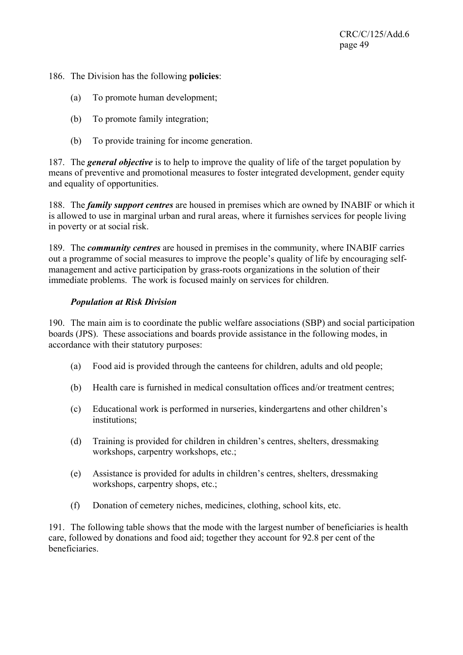186. The Division has the following **policies**:

- (a) To promote human development;
- (b) To promote family integration;
- (b) To provide training for income generation.

187. The *general objective* is to help to improve the quality of life of the target population by means of preventive and promotional measures to foster integrated development, gender equity and equality of opportunities.

188. The *family support centres* are housed in premises which are owned by INABIF or which it is allowed to use in marginal urban and rural areas, where it furnishes services for people living in poverty or at social risk.

189. The *community centres* are housed in premises in the community, where INABIF carries out a programme of social measures to improve the people's quality of life by encouraging selfmanagement and active participation by grass-roots organizations in the solution of their immediate problems. The work is focused mainly on services for children.

# *Population at Risk Division*

190. The main aim is to coordinate the public welfare associations (SBP) and social participation boards (JPS). These associations and boards provide assistance in the following modes, in accordance with their statutory purposes:

- (a) Food aid is provided through the canteens for children, adults and old people;
- (b) Health care is furnished in medical consultation offices and/or treatment centres;
- (c) Educational work is performed in nurseries, kindergartens and other children's institutions;
- (d) Training is provided for children in children's centres, shelters, dressmaking workshops, carpentry workshops, etc.;
- (e) Assistance is provided for adults in children's centres, shelters, dressmaking workshops, carpentry shops, etc.;
- (f) Donation of cemetery niches, medicines, clothing, school kits, etc.

191. The following table shows that the mode with the largest number of beneficiaries is health care, followed by donations and food aid; together they account for 92.8 per cent of the beneficiaries.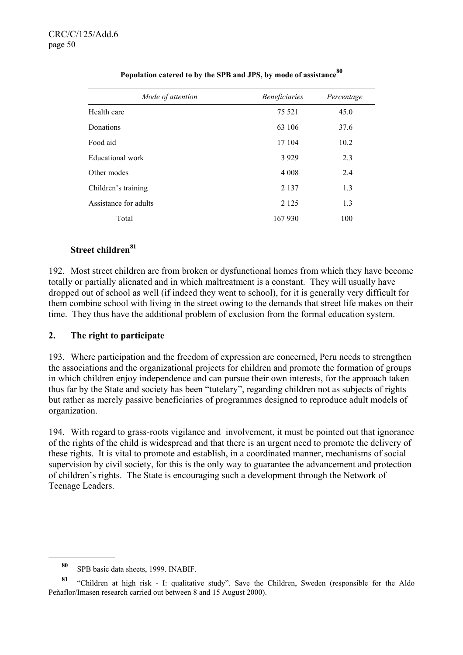| Mode of attention     | <b>Beneficiaries</b> | Percentage |
|-----------------------|----------------------|------------|
| Health care           | 75 5 21              | 45.0       |
| Donations             | 63 106               | 37.6       |
| Food aid              | 17 104               | 10.2       |
| Educational work      | 3 9 2 9              | 2.3        |
| Other modes           | 4 0 0 8              | 2.4        |
| Children's training   | 2 1 3 7              | 1.3        |
| Assistance for adults | 2 1 2 5              | 1.3        |
| Total                 | 167 930              | 100        |

# **Population catered to by the SPB and JPS, by mode of assistance<sup>80</sup>**

# **Street children81**

192. Most street children are from broken or dysfunctional homes from which they have become totally or partially alienated and in which maltreatment is a constant. They will usually have dropped out of school as well (if indeed they went to school), for it is generally very difficult for them combine school with living in the street owing to the demands that street life makes on their time. They thus have the additional problem of exclusion from the formal education system.

# **2. The right to participate**

193. Where participation and the freedom of expression are concerned, Peru needs to strengthen the associations and the organizational projects for children and promote the formation of groups in which children enjoy independence and can pursue their own interests, for the approach taken thus far by the State and society has been "tutelary", regarding children not as subjects of rights but rather as merely passive beneficiaries of programmes designed to reproduce adult models of organization.

194. With regard to grass-roots vigilance and involvement, it must be pointed out that ignorance of the rights of the child is widespread and that there is an urgent need to promote the delivery of these rights. It is vital to promote and establish, in a coordinated manner, mechanisms of social supervision by civil society, for this is the only way to guarantee the advancement and protection of children's rights. The State is encouraging such a development through the Network of Teenage Leaders.

**<sup>80</sup>** SPB basic data sheets, 1999. INABIF.

**<sup>81</sup>** "Children at high risk - I: qualitative study". Save the Children, Sweden (responsible for the Aldo Peñaflor/Imasen research carried out between 8 and 15 August 2000).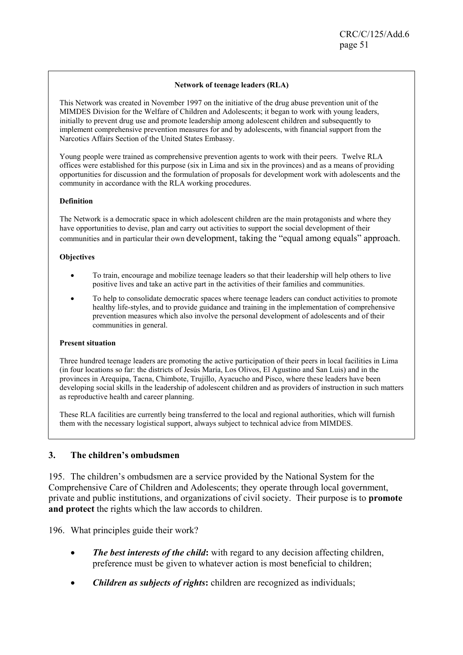#### **Network of teenage leaders (RLA)**

This Network was created in November 1997 on the initiative of the drug abuse prevention unit of the MIMDES Division for the Welfare of Children and Adolescents; it began to work with young leaders, initially to prevent drug use and promote leadership among adolescent children and subsequently to implement comprehensive prevention measures for and by adolescents, with financial support from the Narcotics Affairs Section of the United States Embassy.

Young people were trained as comprehensive prevention agents to work with their peers. Twelve RLA offices were established for this purpose (six in Lima and six in the provinces) and as a means of providing opportunities for discussion and the formulation of proposals for development work with adolescents and the community in accordance with the RLA working procedures.

#### **Definition**

The Network is a democratic space in which adolescent children are the main protagonists and where they have opportunities to devise, plan and carry out activities to support the social development of their communities and in particular their own development, taking the "equal among equals" approach.

#### **Objectives**

- To train, encourage and mobilize teenage leaders so that their leadership will help others to live positive lives and take an active part in the activities of their families and communities.
- To help to consolidate democratic spaces where teenage leaders can conduct activities to promote healthy life-styles, and to provide guidance and training in the implementation of comprehensive prevention measures which also involve the personal development of adolescents and of their communities in general.

#### **Present situation**

Three hundred teenage leaders are promoting the active participation of their peers in local facilities in Lima (in four locations so far: the districts of Jesús María, Los Olivos, El Agustino and San Luis) and in the provinces in Arequipa, Tacna, Chimbote, Trujillo, Ayacucho and Pisco, where these leaders have been developing social skills in the leadership of adolescent children and as providers of instruction in such matters as reproductive health and career planning.

These RLA facilities are currently being transferred to the local and regional authorities, which will furnish them with the necessary logistical support, always subject to technical advice from MIMDES.

### **3. The children's ombudsmen**

195. The children's ombudsmen are a service provided by the National System for the Comprehensive Care of Children and Adolescents; they operate through local government, private and public institutions, and organizations of civil society. Their purpose is to **promote and protect** the rights which the law accords to children.

196. What principles guide their work?

- *The best interests of the child*: with regard to any decision affecting children, preference must be given to whatever action is most beneficial to children;
- *Children as subjects of rights***:** children are recognized as individuals;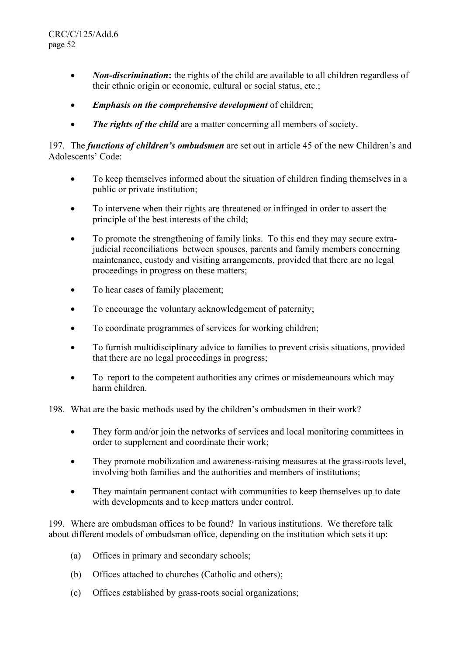- *Non-discrimination*: the rights of the child are available to all children regardless of their ethnic origin or economic, cultural or social status, etc.;
- *Emphasis on the comprehensive development* of children;
- *The rights of the child* are a matter concerning all members of society.

197. The *functions of children's ombudsmen* are set out in article 45 of the new Children's and Adolescents' Code:

- To keep themselves informed about the situation of children finding themselves in a public or private institution;
- To intervene when their rights are threatened or infringed in order to assert the principle of the best interests of the child;
- To promote the strengthening of family links. To this end they may secure extrajudicial reconciliations between spouses, parents and family members concerning maintenance, custody and visiting arrangements, provided that there are no legal proceedings in progress on these matters;
- To hear cases of family placement;
- To encourage the voluntary acknowledgement of paternity;
- To coordinate programmes of services for working children;
- To furnish multidisciplinary advice to families to prevent crisis situations, provided that there are no legal proceedings in progress;
- To report to the competent authorities any crimes or misdemeanours which may harm children.

198. What are the basic methods used by the children's ombudsmen in their work?

- They form and/or join the networks of services and local monitoring committees in order to supplement and coordinate their work;
- They promote mobilization and awareness-raising measures at the grass-roots level, involving both families and the authorities and members of institutions;
- They maintain permanent contact with communities to keep themselves up to date with developments and to keep matters under control.

199. Where are ombudsman offices to be found?In various institutions. We therefore talk about different models of ombudsman office, depending on the institution which sets it up:

- (a) Offices in primary and secondary schools;
- (b) Offices attached to churches (Catholic and others);
- (c) Offices established by grass-roots social organizations;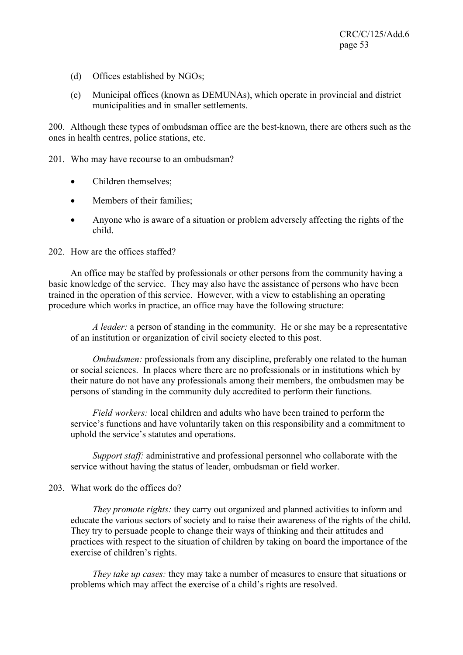- (d) Offices established by NGOs;
- (e) Municipal offices (known as DEMUNAs), which operate in provincial and district municipalities and in smaller settlements.

200. Although these types of ombudsman office are the best-known, there are others such as the ones in health centres, police stations, etc.

201. Who may have recourse to an ombudsman?

- Children themselves;
- Members of their families;
- Anyone who is aware of a situation or problem adversely affecting the rights of the child.

202. How are the offices staffed?

 An office may be staffed by professionals or other persons from the community having a basic knowledge of the service. They may also have the assistance of persons who have been trained in the operation of this service. However, with a view to establishing an operating procedure which works in practice, an office may have the following structure:

*A leader:* a person of standing in the community. He or she may be a representative of an institution or organization of civil society elected to this post.

*Ombudsmen:* professionals from any discipline, preferably one related to the human or social sciences. In places where there are no professionals or in institutions which by their nature do not have any professionals among their members, the ombudsmen may be persons of standing in the community duly accredited to perform their functions.

*Field workers:* local children and adults who have been trained to perform the service's functions and have voluntarily taken on this responsibility and a commitment to uphold the service's statutes and operations.

*Support staff:* administrative and professional personnel who collaborate with the service without having the status of leader, ombudsman or field worker.

### 203. What work do the offices do?

*They promote rights:* they carry out organized and planned activities to inform and educate the various sectors of society and to raise their awareness of the rights of the child. They try to persuade people to change their ways of thinking and their attitudes and practices with respect to the situation of children by taking on board the importance of the exercise of children's rights.

*They take up cases:* they may take a number of measures to ensure that situations or problems which may affect the exercise of a child's rights are resolved.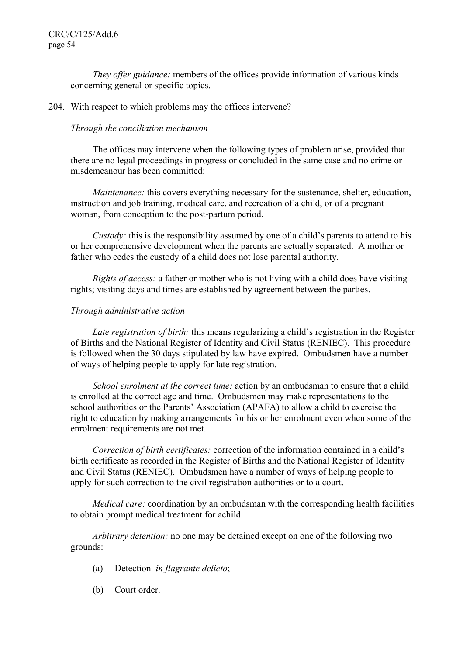*They offer guidance:* members of the offices provide information of various kinds concerning general or specific topics.

### 204. With respect to which problems may the offices intervene?

### *Through the conciliation mechanism*

 The offices may intervene when the following types of problem arise, provided that there are no legal proceedings in progress or concluded in the same case and no crime or misdemeanour has been committed:

*Maintenance:* this covers everything necessary for the sustenance, shelter, education, instruction and job training, medical care, and recreation of a child, or of a pregnant woman, from conception to the post-partum period.

*Custody:* this is the responsibility assumed by one of a child's parents to attend to his or her comprehensive development when the parents are actually separated. A mother or father who cedes the custody of a child does not lose parental authority.

*Rights of access:* a father or mother who is not living with a child does have visiting rights; visiting days and times are established by agreement between the parties.

### *Through administrative action*

*Late registration of birth:* this means regularizing a child's registration in the Register of Births and the National Register of Identity and Civil Status (RENIEC). This procedure is followed when the 30 days stipulated by law have expired. Ombudsmen have a number of ways of helping people to apply for late registration.

*School enrolment at the correct time:* action by an ombudsman to ensure that a child is enrolled at the correct age and time. Ombudsmen may make representations to the school authorities or the Parents' Association (APAFA) to allow a child to exercise the right to education by making arrangements for his or her enrolment even when some of the enrolment requirements are not met.

 *Correction of birth certificates:* correction of the information contained in a child's birth certificate as recorded in the Register of Births and the National Register of Identity and Civil Status (RENIEC). Ombudsmen have a number of ways of helping people to apply for such correction to the civil registration authorities or to a court.

*Medical care:* coordination by an ombudsman with the corresponding health facilities to obtain prompt medical treatment for achild.

 *Arbitrary detention:* no one may be detained except on one of the following two grounds:

- (a) Detection *in flagrante delicto*;
- (b) Court order.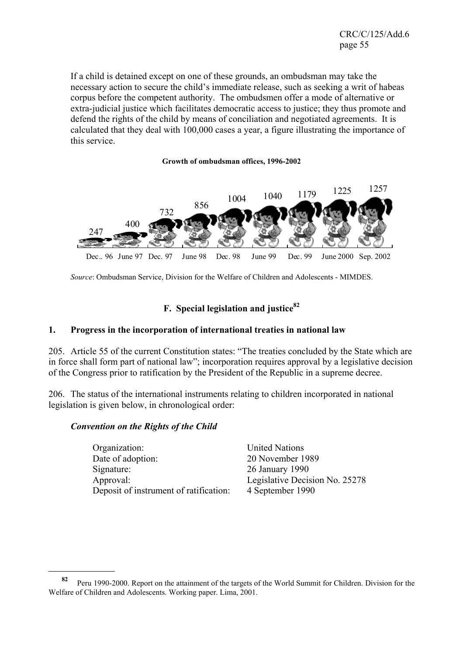If a child is detained except on one of these grounds, an ombudsman may take the necessary action to secure the child's immediate release, such as seeking a writ of habeas corpus before the competent authority. The ombudsmen offer a mode of alternative or extra-judicial justice which facilitates democratic access to justice; they thus promote and defend the rights of the child by means of conciliation and negotiated agreements. It is calculated that they deal with 100,000 cases a year, a figure illustrating the importance of this service.

#### **Growth of ombudsman offices, 1996-2002**



*Source*: Ombudsman Service, Division for the Welfare of Children and Adolescents - MIMDES.

# **F. Special legislation and justice<sup>82</sup>**

## **1. Progress in the incorporation of international treaties in national law**

205. Article 55 of the current Constitution states: "The treaties concluded by the State which are in force shall form part of national law"; incorporation requires approval by a legislative decision of the Congress prior to ratification by the President of the Republic in a supreme decree.

206. The status of the international instruments relating to children incorporated in national legislation is given below, in chronological order:

### *Convention on the Rights of the Child*

l

 Organization: United Nations Date of adoption: 20 November 1989 Signature: 26 January 1990 Approval: Legislative Decision No. 25278 Deposit of instrument of ratification: 4 September 1990

**<sup>82</sup>** Peru 1990-2000. Report on the attainment of the targets of the World Summit for Children. Division for the Welfare of Children and Adolescents. Working paper. Lima, 2001.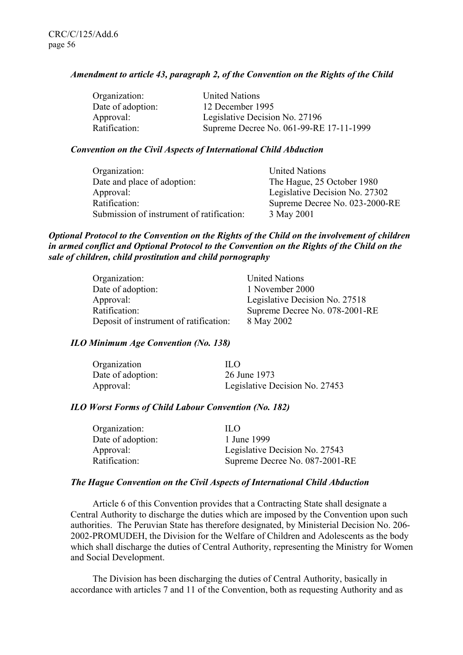### *Amendment to article 43, paragraph 2, of the Convention on the Rights of the Child*

| Organization:     | <b>United Nations</b>                   |
|-------------------|-----------------------------------------|
| Date of adoption: | 12 December 1995                        |
| Approval:         | Legislative Decision No. 27196          |
| Ratification:     | Supreme Decree No. 061-99-RE 17-11-1999 |

### *Convention on the Civil Aspects of International Child Abduction*

| Organization:                             | <b>United Nations</b>          |
|-------------------------------------------|--------------------------------|
| Date and place of adoption:               | The Hague, 25 October 1980     |
| Approval:                                 | Legislative Decision No. 27302 |
| Ratification:                             | Supreme Decree No. 023-2000-RE |
| Submission of instrument of ratification: | 3 May 2001                     |

### *Optional Protocol to the Convention on the Rights of the Child on the involvement of children in armed conflict and Optional Protocol to the Convention on the Rights of the Child on the sale of children, child prostitution and child pornography*

| Organization:                          | <b>United Nations</b>          |
|----------------------------------------|--------------------------------|
| Date of adoption:                      | 1 November 2000                |
| Approval:                              | Legislative Decision No. 27518 |
| Ratification:                          | Supreme Decree No. 078-2001-RE |
| Deposit of instrument of ratification: | 8 May 2002                     |

### *ILO Minimum Age Convention (No. 138)*

| Organization      | H O                            |
|-------------------|--------------------------------|
| Date of adoption: | 26 June 1973                   |
| Approval:         | Legislative Decision No. 27453 |

### *ILO Worst Forms of Child Labour Convention (No. 182)*

| HΩ                             |
|--------------------------------|
| 1 June 1999                    |
| Legislative Decision No. 27543 |
| Supreme Decree No. 087-2001-RE |
|                                |

### *The Hague Convention on the Civil Aspects of International Child Abduction*

 Article 6 of this Convention provides that a Contracting State shall designate a Central Authority to discharge the duties which are imposed by the Convention upon such authorities. The Peruvian State has therefore designated, by Ministerial Decision No. 206- 2002-PROMUDEH, the Division for the Welfare of Children and Adolescents as the body which shall discharge the duties of Central Authority, representing the Ministry for Women and Social Development.

 The Division has been discharging the duties of Central Authority, basically in accordance with articles 7 and 11 of the Convention, both as requesting Authority and as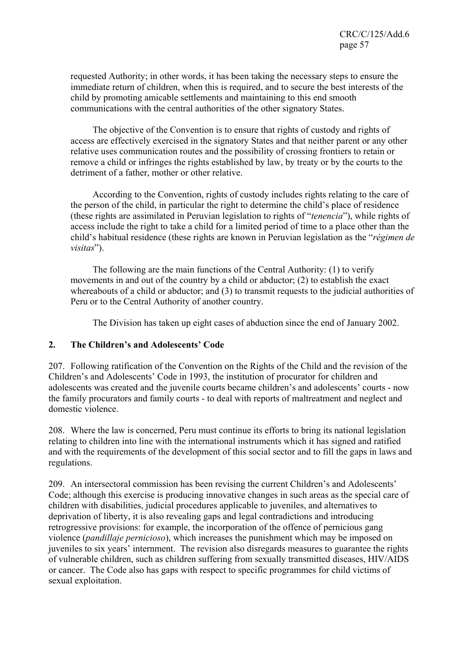requested Authority; in other words, it has been taking the necessary steps to ensure the immediate return of children, when this is required, and to secure the best interests of the child by promoting amicable settlements and maintaining to this end smooth communications with the central authorities of the other signatory States.

 The objective of the Convention is to ensure that rights of custody and rights of access are effectively exercised in the signatory States and that neither parent or any other relative uses communication routes and the possibility of crossing frontiers to retain or remove a child or infringes the rights established by law, by treaty or by the courts to the detriment of a father, mother or other relative.

 According to the Convention, rights of custody includes rights relating to the care of the person of the child, in particular the right to determine the child's place of residence (these rights are assimilated in Peruvian legislation to rights of "*tenencia*"), while rights of access include the right to take a child for a limited period of time to a place other than the child's habitual residence (these rights are known in Peruvian legislation as the "*régimen de visitas*").

 The following are the main functions of the Central Authority: (1) to verify movements in and out of the country by a child or abductor; (2) to establish the exact whereabouts of a child or abductor; and (3) to transmit requests to the judicial authorities of Peru or to the Central Authority of another country.

The Division has taken up eight cases of abduction since the end of January 2002.

# **2. The Children's and Adolescents' Code**

207. Following ratification of the Convention on the Rights of the Child and the revision of the Children's and Adolescents' Code in 1993, the institution of procurator for children and adolescents was created and the juvenile courts became children's and adolescents' courts - now the family procurators and family courts - to deal with reports of maltreatment and neglect and domestic violence.

208. Where the law is concerned, Peru must continue its efforts to bring its national legislation relating to children into line with the international instruments which it has signed and ratified and with the requirements of the development of this social sector and to fill the gaps in laws and regulations.

209. An intersectoral commission has been revising the current Children's and Adolescents' Code; although this exercise is producing innovative changes in such areas as the special care of children with disabilities, judicial procedures applicable to juveniles, and alternatives to deprivation of liberty, it is also revealing gaps and legal contradictions and introducing retrogressive provisions: for example, the incorporation of the offence of pernicious gang violence (*pandillaje pernicioso*), which increases the punishment which may be imposed on juveniles to six years' internment. The revision also disregards measures to guarantee the rights of vulnerable children, such as children suffering from sexually transmitted diseases, HIV/AIDS or cancer. The Code also has gaps with respect to specific programmes for child victims of sexual exploitation.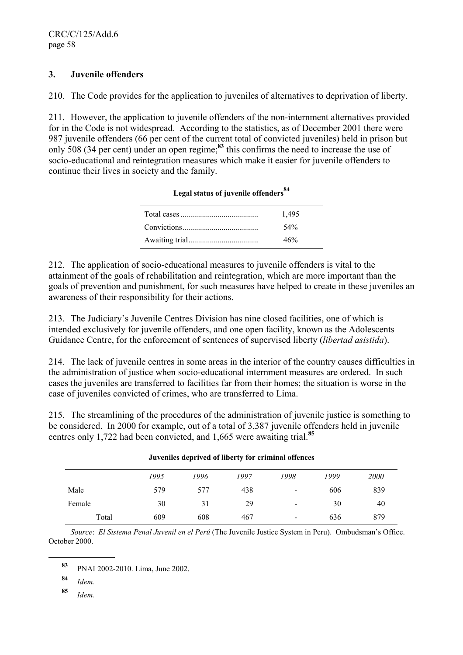# **3. Juvenile offenders**

210. The Code provides for the application to juveniles of alternatives to deprivation of liberty.

211. However, the application to juvenile offenders of the non-internment alternatives provided for in the Code is not widespread. According to the statistics, as of December 2001 there were 987 juvenile offenders (66 per cent of the current total of convicted juveniles) held in prison but only 508 (34 per cent) under an open regime;**<sup>83</sup>** this confirms the need to increase the use of socio-educational and reintegration measures which make it easier for juvenile offenders to continue their lives in society and the family.

| 1,495 |  |
|-------|--|
| 54%   |  |
| 46%   |  |
|       |  |

# **Legal status of juvenile offenders<sup>84</sup>**

212. The application of socio-educational measures to juvenile offenders is vital to the attainment of the goals of rehabilitation and reintegration, which are more important than the goals of prevention and punishment, for such measures have helped to create in these juveniles an awareness of their responsibility for their actions.

213. The Judiciary's Juvenile Centres Division has nine closed facilities, one of which is intended exclusively for juvenile offenders, and one open facility, known as the Adolescents Guidance Centre, for the enforcement of sentences of supervised liberty (*libertad asistida*).

214. The lack of juvenile centres in some areas in the interior of the country causes difficulties in the administration of justice when socio-educational internment measures are ordered. In such cases the juveniles are transferred to facilities far from their homes; the situation is worse in the case of juveniles convicted of crimes, who are transferred to Lima.

215. The streamlining of the procedures of the administration of juvenile justice is something to be considered. In 2000 for example, out of a total of 3,387 juvenile offenders held in juvenile centres only 1,722 had been convicted, and 1,665 were awaiting trial.**<sup>85</sup>**

|        | 1995 | 1996 | 1997 | 1998                     | 1999 | <i>2000</i> |
|--------|------|------|------|--------------------------|------|-------------|
| Male   | 579  | 577  | 438  | $\blacksquare$           | 606  | 839         |
| Female | 30   | 31   | 29   | $\blacksquare$           | 30   | 40          |
| Total  | 609  | 608  | 467  | $\overline{\phantom{a}}$ | 636  | 879         |

#### **Juveniles deprived of liberty for criminal offences**

*Source*: *El Sistema Penal Juvenil en el Perú* (The Juvenile Justice System in Peru). Ombudsman's Office. October 2000.

l

**<sup>85</sup>** *Idem.*

**<sup>83</sup>** PNAI 2002-2010. Lima, June 2002.

**<sup>84</sup>** *Idem.*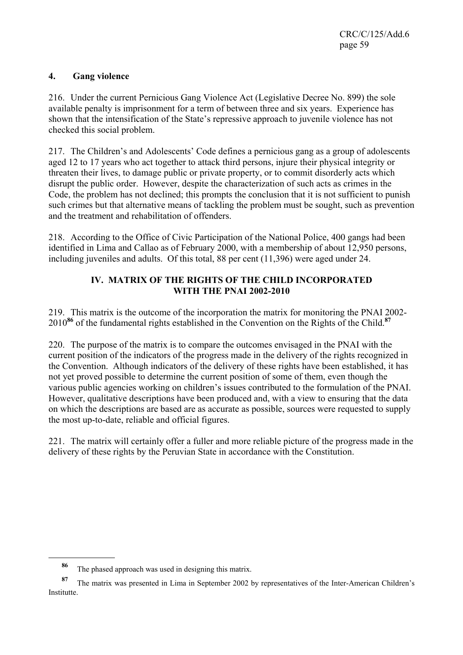CRC/C/125/Add.6 page 59

## **4. Gang violence**

216. Under the current Pernicious Gang Violence Act (Legislative Decree No. 899) the sole available penalty is imprisonment for a term of between three and six years. Experience has shown that the intensification of the State's repressive approach to juvenile violence has not checked this social problem.

217. The Children's and Adolescents' Code defines a pernicious gang as a group of adolescents aged 12 to 17 years who act together to attack third persons, injure their physical integrity or threaten their lives, to damage public or private property, or to commit disorderly acts which disrupt the public order. However, despite the characterization of such acts as crimes in the Code, the problem has not declined; this prompts the conclusion that it is not sufficient to punish such crimes but that alternative means of tackling the problem must be sought, such as prevention and the treatment and rehabilitation of offenders.

218. According to the Office of Civic Participation of the National Police, 400 gangs had been identified in Lima and Callao as of February 2000, with a membership of about 12,950 persons, including juveniles and adults. Of this total, 88 per cent (11,396) were aged under 24.

# **IV. MATRIX OF THE RIGHTS OF THE CHILD INCORPORATED WITH THE PNAI 2002-2010**

219. This matrix is the outcome of the incorporation the matrix for monitoring the PNAI 2002- 2010**<sup>86</sup>** of the fundamental rights established in the Convention on the Rights of the Child.**<sup>87</sup>**

220. The purpose of the matrix is to compare the outcomes envisaged in the PNAI with the current position of the indicators of the progress made in the delivery of the rights recognized in the Convention. Although indicators of the delivery of these rights have been established, it has not yet proved possible to determine the current position of some of them, even though the various public agencies working on children's issues contributed to the formulation of the PNAI. However, qualitative descriptions have been produced and, with a view to ensuring that the data on which the descriptions are based are as accurate as possible, sources were requested to supply the most up-to-date, reliable and official figures.

221. The matrix will certainly offer a fuller and more reliable picture of the progress made in the delivery of these rights by the Peruvian State in accordance with the Constitution.

**<sup>86</sup>** The phased approach was used in designing this matrix.

The matrix was presented in Lima in September 2002 by representatives of the Inter-American Children's Institutte.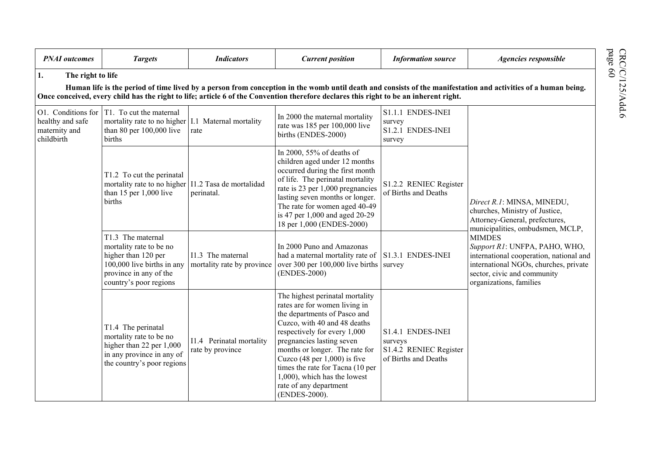| <b>PNAI</b> outcomes                                                                                                                                                                                                                                                                                                                         | <b>Targets</b>                                                                                                                                        | <b>Indicators</b>                               | <b>Current position</b>                                                                                                                                                                                                                                                                                                                                                          | <b>Information source</b>                                                      | Agencies responsible                                                                                                                                                                                                                                                                                                               |  |  |  |
|----------------------------------------------------------------------------------------------------------------------------------------------------------------------------------------------------------------------------------------------------------------------------------------------------------------------------------------------|-------------------------------------------------------------------------------------------------------------------------------------------------------|-------------------------------------------------|----------------------------------------------------------------------------------------------------------------------------------------------------------------------------------------------------------------------------------------------------------------------------------------------------------------------------------------------------------------------------------|--------------------------------------------------------------------------------|------------------------------------------------------------------------------------------------------------------------------------------------------------------------------------------------------------------------------------------------------------------------------------------------------------------------------------|--|--|--|
| page 60<br>1.<br>The right to life<br>Human life is the period of time lived by a person from conception in the womb until death and consists of the manifestation and activities of a human being.<br>Once conceived, every child has the right to life; article 6 of the Convention therefore declares this right to be an inherent right. |                                                                                                                                                       |                                                 |                                                                                                                                                                                                                                                                                                                                                                                  |                                                                                |                                                                                                                                                                                                                                                                                                                                    |  |  |  |
| O1. Conditions for<br>healthy and safe<br>maternity and<br>childbirth                                                                                                                                                                                                                                                                        | T1. To cut the maternal<br>mortality rate to no higher 1.1 Maternal mortality<br>than 80 per $100,000$ live<br>births                                 | rate                                            | In 2000 the maternal mortality<br>rate was 185 per 100,000 live<br>births (ENDES-2000)                                                                                                                                                                                                                                                                                           | S1.1.1 ENDES-INEI<br>survey<br>S1.2.1 ENDES-INEI<br>survey                     | Direct R.1: MINSA, MINEDU,<br>churches, Ministry of Justice,<br>Attorney-General, prefectures,<br>municipalities, ombudsmen, MCLP,<br><b>MIMDES</b><br>Support R1: UNFPA, PAHO, WHO,<br>international cooperation, national and<br>international NGOs, churches, private<br>sector, civic and community<br>organizations, families |  |  |  |
|                                                                                                                                                                                                                                                                                                                                              | T1.2 To cut the perinatal<br>mortality rate to no higher   I1.2 Tasa de mortalidad<br>than $15$ per $1,000$ live<br>births                            | perinatal.                                      | In 2000, 55% of deaths of<br>children aged under 12 months<br>occurred during the first month<br>of life. The perinatal mortality<br>rate is 23 per 1,000 pregnancies<br>lasting seven months or longer.<br>The rate for women aged 40-49<br>is 47 per 1,000 and aged 20-29<br>18 per 1,000 (ENDES-2000)                                                                         | S1.2.2 RENIEC Register<br>of Births and Deaths                                 |                                                                                                                                                                                                                                                                                                                                    |  |  |  |
|                                                                                                                                                                                                                                                                                                                                              | T1.3 The maternal<br>mortality rate to be no<br>higher than 120 per<br>100,000 live births in any<br>province in any of the<br>country's poor regions | I1.3 The maternal<br>mortality rate by province | In 2000 Puno and Amazonas<br>had a maternal mortality rate of S1.3.1 ENDES-INEI<br>over 300 per $100,000$ live births survey<br>(ENDES-2000)                                                                                                                                                                                                                                     |                                                                                |                                                                                                                                                                                                                                                                                                                                    |  |  |  |
|                                                                                                                                                                                                                                                                                                                                              | T1.4 The perinatal<br>mortality rate to be no<br>higher than 22 per 1,000<br>in any province in any of<br>the country's poor regions                  | I1.4 Perinatal mortality<br>rate by province    | The highest perinatal mortality<br>rates are for women living in<br>the departments of Pasco and<br>Cuzco, with 40 and 48 deaths<br>respectively for every 1,000<br>pregnancies lasting seven<br>months or longer. The rate for<br>Cuzco $(48$ per 1,000) is five<br>times the rate for Tacna (10 per<br>1,000), which has the lowest<br>rate of any department<br>(ENDES-2000). | S1.4.1 ENDES-INEI<br>surveys<br>S1.4.2 RENIEC Register<br>of Births and Deaths |                                                                                                                                                                                                                                                                                                                                    |  |  |  |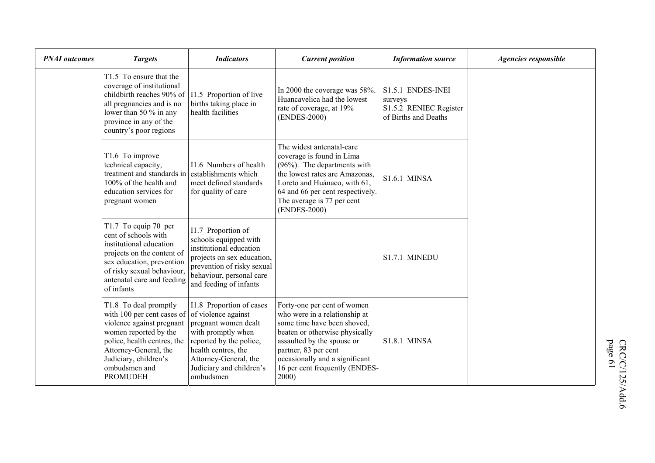| <b>PNAI</b> outcomes | <b>Targets</b>                                                                                                                                                                                                                 | <b>Indicators</b>                                                                                                                                                                                                 | <b>Current position</b>                                                                                                                                                                                                                                          | <b>Information source</b>                                                      | Agencies responsible |
|----------------------|--------------------------------------------------------------------------------------------------------------------------------------------------------------------------------------------------------------------------------|-------------------------------------------------------------------------------------------------------------------------------------------------------------------------------------------------------------------|------------------------------------------------------------------------------------------------------------------------------------------------------------------------------------------------------------------------------------------------------------------|--------------------------------------------------------------------------------|----------------------|
|                      | T <sub>1.5</sub> To ensure that the<br>coverage of institutional<br>childbirth reaches 90% of<br>all pregnancies and is no<br>lower than 50 % in any<br>province in any of the<br>country's poor regions                       | I1.5 Proportion of live<br>births taking place in<br>health facilities                                                                                                                                            | In 2000 the coverage was 58%.<br>Huancavelica had the lowest<br>rate of coverage, at 19%<br>(ENDES-2000)                                                                                                                                                         | S1.5.1 ENDES-INEI<br>surveys<br>S1.5.2 RENIEC Register<br>of Births and Deaths |                      |
|                      | T1.6 To improve<br>technical capacity,<br>treatment and standards in<br>100% of the health and<br>education services for<br>pregnant women                                                                                     | I1.6 Numbers of health<br>establishments which<br>meet defined standards<br>for quality of care                                                                                                                   | The widest antenatal-care<br>coverage is found in Lima<br>(96%). The departments with<br>the lowest rates are Amazonas.<br>Loreto and Huánaco, with 61,<br>64 and 66 per cent respectively.<br>The average is 77 per cent<br>(ENDES-2000)                        | <b>S1.6.1 MINSA</b>                                                            |                      |
|                      | T1.7 To equip 70 per<br>cent of schools with<br>institutional education<br>projects on the content of<br>sex education, prevention<br>of risky sexual behaviour,<br>antenatal care and feeding<br>of infants                   | I1.7 Proportion of<br>schools equipped with<br>institutional education<br>projects on sex education,<br>prevention of risky sexual<br>behaviour, personal care<br>and feeding of infants                          |                                                                                                                                                                                                                                                                  | S1.7.1 MINEDU                                                                  |                      |
|                      | T1.8 To deal promptly<br>with 100 per cent cases of<br>violence against pregnant<br>women reported by the<br>police, health centres, the<br>Attorney-General, the<br>Judiciary, children's<br>ombudsmen and<br><b>PROMUDEH</b> | I1.8 Proportion of cases<br>of violence against<br>pregnant women dealt<br>with promptly when<br>reported by the police,<br>health centres, the<br>Attorney-General, the<br>Judiciary and children's<br>ombudsmen | Forty-one per cent of women<br>who were in a relationship at<br>some time have been shoved,<br>beaten or otherwise physically<br>assaulted by the spouse or<br>partner, 83 per cent<br>occasionally and a significant<br>16 per cent frequently (ENDES-<br>2000) | <b>S1.8.1 MINSA</b>                                                            |                      |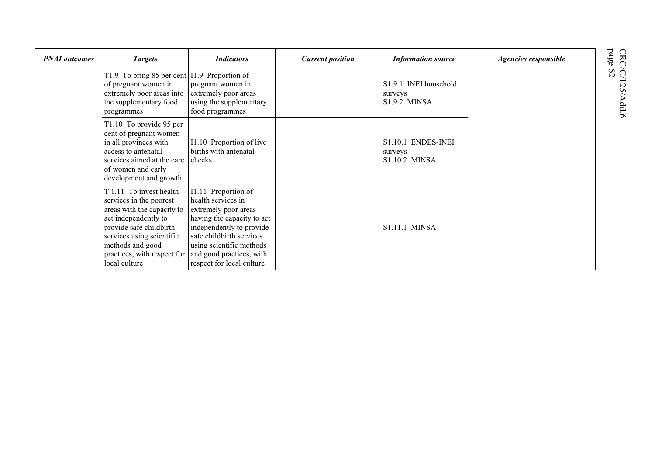| <b>PNAI</b> outcomes | <b>Targets</b>                                                                                                                                                                                                                       | <b>Indicators</b>                                                                                                                                                                                                                            | <b>Current position</b> | <b>Information source</b>                               | Agencies responsible |
|----------------------|--------------------------------------------------------------------------------------------------------------------------------------------------------------------------------------------------------------------------------------|----------------------------------------------------------------------------------------------------------------------------------------------------------------------------------------------------------------------------------------------|-------------------------|---------------------------------------------------------|----------------------|
|                      | T1.9 To bring 85 per cent<br>of pregnant women in<br>extremely poor areas into<br>the supplementary food<br>programmes                                                                                                               | I1.9 Proportion of<br>pregnant women in<br>extremely poor areas<br>using the supplementary<br>food programmes                                                                                                                                |                         | S1.9.1 INEI household<br>surveys<br><b>S1.9.2 MINSA</b> |                      |
|                      | T1.10 To provide 95 per<br>cent of pregnant women<br>in all provinces with<br>access to antenatal<br>services aimed at the care<br>of women and early<br>development and growth                                                      | I1.10 Proportion of live<br>births with antenatal<br>checks                                                                                                                                                                                  |                         | S1.10.1 ENDES-INEI<br>surveys<br>S1.10.2 MINSA          |                      |
|                      | T.1.11 To invest health<br>services in the poorest<br>areas with the capacity to<br>act independently to<br>provide safe childbirth<br>services using scientific<br>methods and good<br>practices, with respect for<br>local culture | I1.11 Proportion of<br>health services in<br>extremely poor areas<br>having the capacity to act<br>independently to provide<br>safe childbirth services<br>using scientific methods<br>and good practices, with<br>respect for local culture |                         | <b>S1.11.1 MINSA</b>                                    |                      |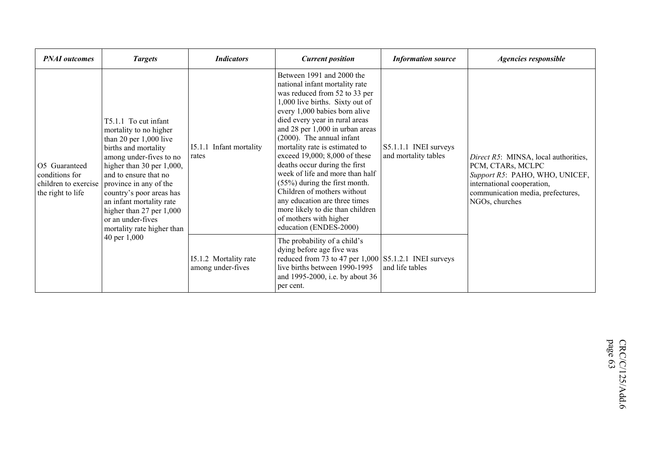| <b>PNAI</b> outcomes                                 | <b>Targets</b>                                                                                                                                                                                                                                                                                                                                                                  | <b>Indicators</b>                          | <b>Current position</b>                                                                                                                                                                                                                                                                                                                                                                                                                                                                                                                                                                               | <b>Information source</b>                     | <b>Agencies responsible</b>                                                                                                                                                      |
|------------------------------------------------------|---------------------------------------------------------------------------------------------------------------------------------------------------------------------------------------------------------------------------------------------------------------------------------------------------------------------------------------------------------------------------------|--------------------------------------------|-------------------------------------------------------------------------------------------------------------------------------------------------------------------------------------------------------------------------------------------------------------------------------------------------------------------------------------------------------------------------------------------------------------------------------------------------------------------------------------------------------------------------------------------------------------------------------------------------------|-----------------------------------------------|----------------------------------------------------------------------------------------------------------------------------------------------------------------------------------|
| O5 Guaranteed<br>conditions for<br>the right to life | T5.1.1 To cut infant<br>mortality to no higher<br>than 20 per $1,000$ live<br>births and mortality<br>among under-fives to no<br>higher than 30 per 1,000,<br>and to ensure that no<br>children to exercise   province in any of the<br>country's poor areas has<br>an infant mortality rate<br>higher than $27$ per $1,000$<br>or an under-fives<br>mortality rate higher than | I5.1.1<br>Infant mortality<br>rates        | Between 1991 and 2000 the<br>national infant mortality rate<br>was reduced from 52 to 33 per<br>1,000 live births. Sixty out of<br>every 1,000 babies born alive<br>died every year in rural areas<br>and 28 per 1,000 in urban areas<br>$(2000)$ . The annual infant<br>mortality rate is estimated to<br>exceed 19,000; 8,000 of these<br>deaths occur during the first<br>week of life and more than half<br>(55%) during the first month.<br>Children of mothers without<br>any education are three times<br>more likely to die than children<br>of mothers with higher<br>education (ENDES-2000) | S5.1.1.1 INEI surveys<br>and mortality tables | Direct R5: MINSA, local authorities,<br>PCM, CTARs, MCLPC<br>Support R5: PAHO, WHO, UNICEF,<br>international cooperation,<br>communication media, prefectures,<br>NGOs, churches |
|                                                      | 40 per 1,000                                                                                                                                                                                                                                                                                                                                                                    | 15.1.2 Mortality rate<br>among under-fives | The probability of a child's<br>dying before age five was<br>reduced from 73 to 47 per 1,000 S5.1.2.1 INEI surveys<br>live births between 1990-1995<br>and 1995-2000, i.e. by about 36<br>per cent.                                                                                                                                                                                                                                                                                                                                                                                                   | and life tables                               |                                                                                                                                                                                  |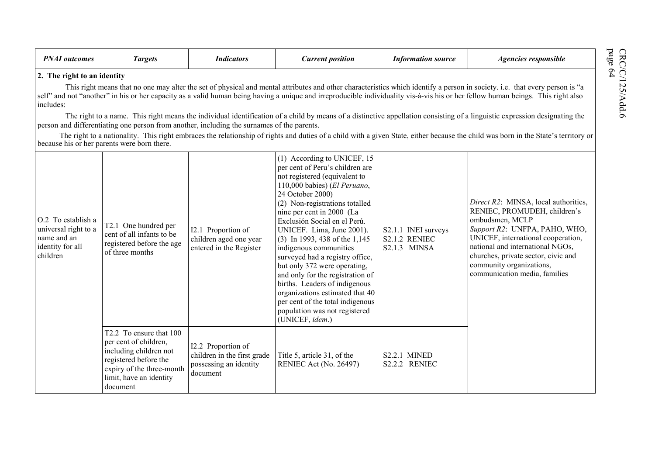| <b>PNAI</b> outcomes                                                                      | <b>Targets</b>                                                                                                                                                          | <b>Indicators</b>                                                                       | <b>Current position</b>                                                                                                                                                                                                                                                                                                                                                                                                                                                                                                                                                                                       | <b>Information source</b>                                   | Agencies responsible                                                                                                                                                                                                                                                                                                                                                                                                                                                                                                                                                                                                                                                                                                                |
|-------------------------------------------------------------------------------------------|-------------------------------------------------------------------------------------------------------------------------------------------------------------------------|-----------------------------------------------------------------------------------------|---------------------------------------------------------------------------------------------------------------------------------------------------------------------------------------------------------------------------------------------------------------------------------------------------------------------------------------------------------------------------------------------------------------------------------------------------------------------------------------------------------------------------------------------------------------------------------------------------------------|-------------------------------------------------------------|-------------------------------------------------------------------------------------------------------------------------------------------------------------------------------------------------------------------------------------------------------------------------------------------------------------------------------------------------------------------------------------------------------------------------------------------------------------------------------------------------------------------------------------------------------------------------------------------------------------------------------------------------------------------------------------------------------------------------------------|
| 2. The right to an identity<br>includes:                                                  | person and differentiating one person from another, including the surnames of the parents.<br>because his or her parents were born there.                               |                                                                                         |                                                                                                                                                                                                                                                                                                                                                                                                                                                                                                                                                                                                               |                                                             | This right means that no one may alter the set of physical and mental attributes and other characteristics which identify a person in society. i.e. that every person is "a<br>self" and not "another" in his or her capacity as a valid human being having a unique and irreproducible individuality vis-à-vis his or her fellow human beings. This right also<br>The right to a name. This right means the individual identification of a child by means of a distinctive appellation consisting of a linguistic expression designating the<br>The right to a nationality. This right embraces the relationship of rights and duties of a child with a given State, either because the child was born in the State's territory or |
| O.2 To establish a<br>universal right to a<br>name and an<br>identity for all<br>children | T2.1 One hundred per<br>cent of all infants to be<br>registered before the age<br>of three months                                                                       | I2.1 Proportion of<br>children aged one year<br>entered in the Register                 | (1) According to UNICEF, 15<br>per cent of Peru's children are<br>not registered (equivalent to<br>110,000 babies) (El Peruano,<br>24 October 2000)<br>(2) Non-registrations totalled<br>nine per cent in 2000 (La<br>Exclusión Social en el Perú.<br>UNICEF. Lima, June 2001).<br>(3) In 1993, 438 of the 1,145<br>indigenous communities<br>surveyed had a registry office,<br>but only 372 were operating,<br>and only for the registration of<br>births. Leaders of indigenous<br>organizations estimated that 40<br>per cent of the total indigenous<br>population was not registered<br>(UNICEF, idem.) | S2.1.1 INEI surveys<br><b>S2.1.2 RENIEC</b><br>S2.1.3 MINSA | Direct R2: MINSA, local authorities,<br>RENIEC, PROMUDEH, children's<br>ombudsmen, MCLP<br>Support R2: UNFPA, PAHO, WHO,<br>UNICEF, international cooperation,<br>national and international NGOs,<br>churches, private sector, civic and<br>community organizations,<br>communication media, families                                                                                                                                                                                                                                                                                                                                                                                                                              |
|                                                                                           | T2.2 To ensure that 100<br>per cent of children,<br>including children not<br>registered before the<br>expiry of the three-month<br>limit, have an identity<br>document | I2.2 Proportion of<br>children in the first grade<br>possessing an identity<br>document | Title 5, article 31, of the<br>RENIEC Act (No. 26497)                                                                                                                                                                                                                                                                                                                                                                                                                                                                                                                                                         | <b>S2.2.1 MINED</b><br>S2.2.2 RENIEC                        |                                                                                                                                                                                                                                                                                                                                                                                                                                                                                                                                                                                                                                                                                                                                     |

 $\text{CRC/C/125/Add}$ 6 page 64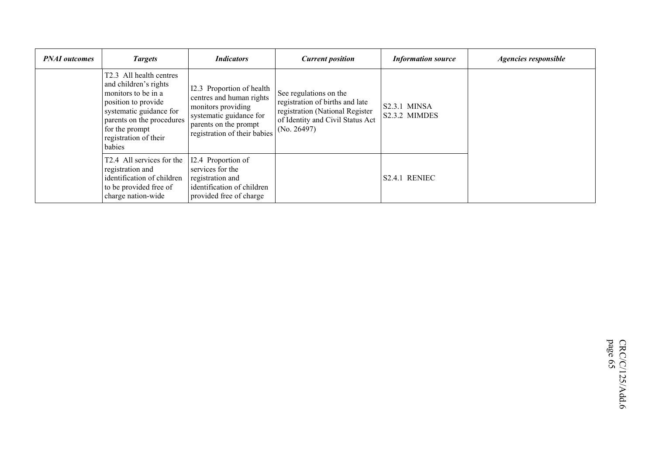| <b>PNAI</b> outcomes | <b>Targets</b>                                                                                                                                                                                              | <b>Indicators</b>                                                                                                                                               | <b>Current position</b>                                                                                                                         | <b>Information source</b>       | Agencies responsible |
|----------------------|-------------------------------------------------------------------------------------------------------------------------------------------------------------------------------------------------------------|-----------------------------------------------------------------------------------------------------------------------------------------------------------------|-------------------------------------------------------------------------------------------------------------------------------------------------|---------------------------------|----------------------|
|                      | T2.3 All health centres<br>and children's rights<br>monitors to be in a<br>position to provide<br>systematic guidance for<br>parents on the procedures<br>for the prompt<br>registration of their<br>babies | I2.3 Proportion of health<br>centres and human rights<br>monitors providing<br>systematic guidance for<br>parents on the prompt<br>registration of their babies | See regulations on the<br>registration of births and late<br>registration (National Register<br>of Identity and Civil Status Act<br>(No. 26497) | $S2.3.1$ MINSA<br>S2.3.2 MIMDES |                      |
|                      | T2.4 All services for the<br>registration and<br>identification of children<br>to be provided free of<br>charge nation-wide                                                                                 | I2.4 Proportion of<br>services for the<br>registration and<br>identification of children<br>provided free of charge                                             |                                                                                                                                                 | S <sub>2.4.1</sub> RENIEC       |                      |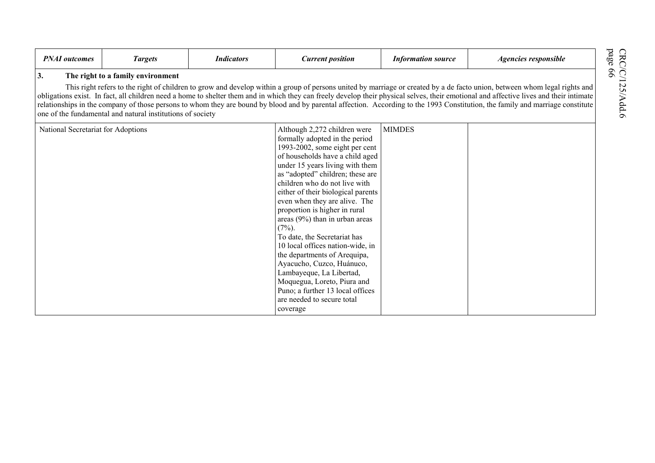| <b>PNAI</b> outcomes               | <b>Targets</b>                                                                                  | <b>Indicators</b> | <b>Current position</b>                                                                                                                                                                                                                                                                                                                                                                                                                                                                                                                                                                                                                                                         | <b>Information source</b> | Agencies responsible                                                                                                                                                                                                                                                                                                                                                                                                                                                                                                                                    |
|------------------------------------|-------------------------------------------------------------------------------------------------|-------------------|---------------------------------------------------------------------------------------------------------------------------------------------------------------------------------------------------------------------------------------------------------------------------------------------------------------------------------------------------------------------------------------------------------------------------------------------------------------------------------------------------------------------------------------------------------------------------------------------------------------------------------------------------------------------------------|---------------------------|---------------------------------------------------------------------------------------------------------------------------------------------------------------------------------------------------------------------------------------------------------------------------------------------------------------------------------------------------------------------------------------------------------------------------------------------------------------------------------------------------------------------------------------------------------|
| 3.                                 | The right to a family environment<br>one of the fundamental and natural institutions of society |                   |                                                                                                                                                                                                                                                                                                                                                                                                                                                                                                                                                                                                                                                                                 |                           | This right refers to the right of children to grow and develop within a group of persons united by marriage or created by a de facto union, between whom legal rights and<br>obligations exist. In fact, all children need a home to shelter them and in which they can freely develop their physical selves, their emotional and affective lives and their intimate<br>relationships in the company of those persons to whom they are bound by blood and by parental affection. According to the 1993 Constitution, the family and marriage constitute |
| National Secretariat for Adoptions |                                                                                                 |                   | Although 2,272 children were<br>formally adopted in the period<br>1993-2002, some eight per cent<br>of households have a child aged<br>under 15 years living with them<br>as "adopted" children; these are<br>children who do not live with<br>either of their biological parents<br>even when they are alive. The<br>proportion is higher in rural<br>areas $(9\%)$ than in urban areas<br>$(7\%)$ .<br>To date, the Secretariat has<br>10 local offices nation-wide, in<br>the departments of Arequipa,<br>Ayacucho, Cuzco, Huánuco,<br>Lambayeque, La Libertad,<br>Moquegua, Loreto, Piura and<br>Puno; a further 13 local offices<br>are needed to secure total<br>coverage | <b>MIMDES</b>             |                                                                                                                                                                                                                                                                                                                                                                                                                                                                                                                                                         |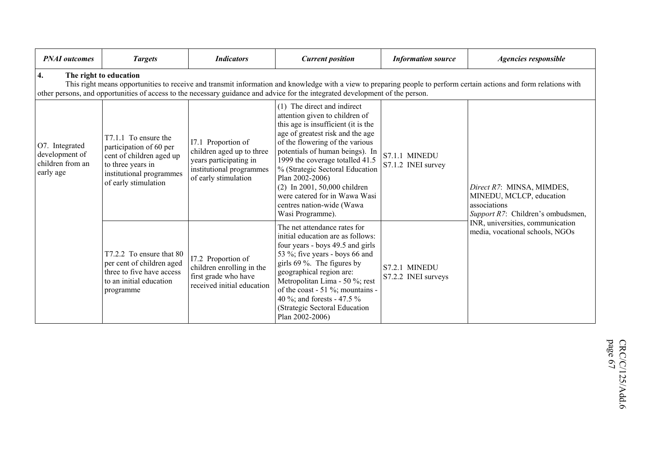| <b>PNAI</b> outcomes                                              | <b>Targets</b>                                                                                                                                                                                                                                                                                                                 | <b>Indicators</b>                                                                                                             | <b>Current position</b>                                                                                                                                                                                                                                                                                                                                                                                                   | <b>Information source</b>            | Agencies responsible                                                                                       |  |  |  |
|-------------------------------------------------------------------|--------------------------------------------------------------------------------------------------------------------------------------------------------------------------------------------------------------------------------------------------------------------------------------------------------------------------------|-------------------------------------------------------------------------------------------------------------------------------|---------------------------------------------------------------------------------------------------------------------------------------------------------------------------------------------------------------------------------------------------------------------------------------------------------------------------------------------------------------------------------------------------------------------------|--------------------------------------|------------------------------------------------------------------------------------------------------------|--|--|--|
| 4.                                                                | The right to education<br>This right means opportunities to receive and transmit information and knowledge with a view to preparing people to perform certain actions and form relations with<br>other persons, and opportunities of access to the necessary guidance and advice for the integrated development of the person. |                                                                                                                               |                                                                                                                                                                                                                                                                                                                                                                                                                           |                                      |                                                                                                            |  |  |  |
| O7. Integrated<br>development of<br>children from an<br>early age | T7.1.1 To ensure the<br>participation of 60 per<br>cent of children aged up<br>to three years in<br>institutional programmes<br>of early stimulation                                                                                                                                                                           | I7.1 Proportion of<br>children aged up to three<br>years participating in<br>institutional programmes<br>of early stimulation | (1) The direct and indirect<br>attention given to children of<br>this age is insufficient (it is the<br>age of greatest risk and the age<br>of the flowering of the various<br>potentials of human beings). In<br>1999 the coverage totalled 41.5<br>% (Strategic Sectoral Education<br>Plan 2002-2006)<br>(2) In 2001, 50,000 children<br>were catered for in Wawa Wasi<br>centres nation-wide (Wawa<br>Wasi Programme). | S7.1.1 MINEDU<br>S7.1.2 INEI survey  | Direct R7: MINSA, MIMDES,<br>MINEDU, MCLCP, education<br>associations<br>Support R7: Children's ombudsmen, |  |  |  |
|                                                                   | T7.2.2 To ensure that 80<br>per cent of children aged<br>three to five have access<br>to an initial education<br>programme                                                                                                                                                                                                     | I7.2 Proportion of<br>children enrolling in the<br>first grade who have<br>received initial education                         | The net attendance rates for<br>initial education are as follows:<br>four years - boys 49.5 and girls<br>53 %; five years - boys 66 and<br>girls $69\%$ . The figures by<br>geographical region are:<br>Metropolitan Lima - 50 %; rest<br>of the coast - 51 %; mountains -<br>40 %; and forests - 47.5 %<br>(Strategic Sectoral Education<br>Plan 2002-2006)                                                              | S7.2.1 MINEDU<br>S7.2.2 INEI surveys | INR, universities, communication<br>media, vocational schools, NGOs                                        |  |  |  |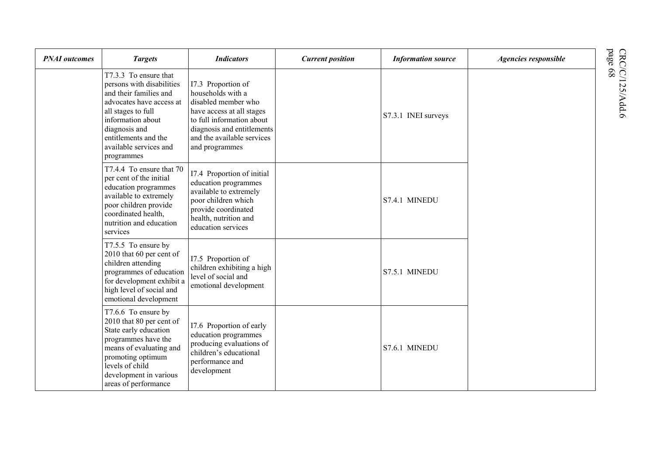| <b>PNAI</b> outcomes | <b>Targets</b>                                                                                                                                                                                                                       | <b>Indicators</b>                                                                                                                                                                                      | <b>Current position</b> | <b>Information source</b> | Agencies responsible |
|----------------------|--------------------------------------------------------------------------------------------------------------------------------------------------------------------------------------------------------------------------------------|--------------------------------------------------------------------------------------------------------------------------------------------------------------------------------------------------------|-------------------------|---------------------------|----------------------|
|                      | T7.3.3 To ensure that<br>persons with disabilities<br>and their families and<br>advocates have access at<br>all stages to full<br>information about<br>diagnosis and<br>entitlements and the<br>available services and<br>programmes | I7.3 Proportion of<br>households with a<br>disabled member who<br>have access at all stages<br>to full information about<br>diagnosis and entitlements<br>and the available services<br>and programmes |                         | S7.3.1 INEI surveys       |                      |
|                      | T7.4.4 To ensure that 70<br>per cent of the initial<br>education programmes<br>available to extremely<br>poor children provide<br>coordinated health,<br>nutrition and education<br>services                                         | I7.4 Proportion of initial<br>education programmes<br>available to extremely<br>poor children which<br>provide coordinated<br>health, nutrition and<br>education services                              |                         | S7.4.1 MINEDU             |                      |
|                      | T7.5.5 To ensure by<br>2010 that 60 per cent of<br>children attending<br>programmes of education<br>for development exhibit a<br>high level of social and<br>emotional development                                                   | I7.5 Proportion of<br>children exhibiting a high<br>level of social and<br>emotional development                                                                                                       |                         | S7.5.1 MINEDU             |                      |
|                      | T7.6.6 To ensure by<br>2010 that 80 per cent of<br>State early education<br>programmes have the<br>means of evaluating and<br>promoting optimum<br>levels of child<br>development in various<br>areas of performance                 | 17.6 Proportion of early<br>education programmes<br>producing evaluations of<br>children's educational<br>performance and<br>development                                                               |                         | S7.6.1 MINEDU             |                      |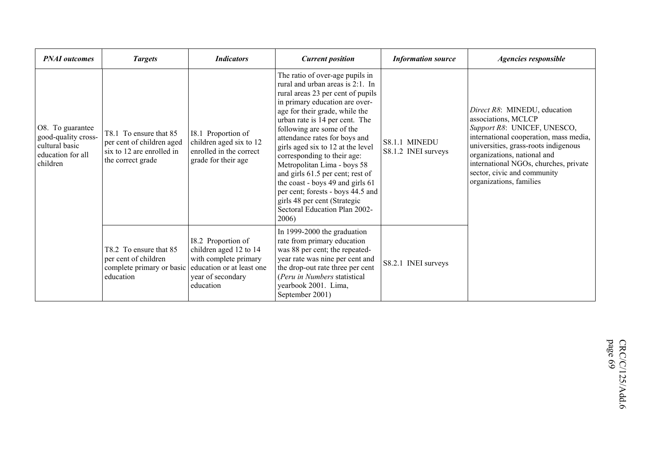| <b>PNAI</b> outcomes                                                                       | <b>Targets</b>                                                                                        | <b>Indicators</b>                                                                                                                    | <b>Current position</b>                                                                                                                                                                                                                                                                                                                                                                                                                                                                                                                                                | <b>Information source</b>            | Agencies responsible                                                                                                                                                                                                                                                                                   |
|--------------------------------------------------------------------------------------------|-------------------------------------------------------------------------------------------------------|--------------------------------------------------------------------------------------------------------------------------------------|------------------------------------------------------------------------------------------------------------------------------------------------------------------------------------------------------------------------------------------------------------------------------------------------------------------------------------------------------------------------------------------------------------------------------------------------------------------------------------------------------------------------------------------------------------------------|--------------------------------------|--------------------------------------------------------------------------------------------------------------------------------------------------------------------------------------------------------------------------------------------------------------------------------------------------------|
| O8. To guarantee<br>good-quality cross-<br>cultural basic<br>education for all<br>children | T8.1 To ensure that 85<br>per cent of children aged<br>six to 12 are enrolled in<br>the correct grade | I8.1 Proportion of<br>children aged six to 12<br>enrolled in the correct<br>grade for their age                                      | The ratio of over-age pupils in<br>rural and urban areas is 2:1. In<br>rural areas 23 per cent of pupils<br>in primary education are over-<br>age for their grade, while the<br>urban rate is 14 per cent. The<br>following are some of the<br>attendance rates for boys and<br>girls aged six to 12 at the level<br>corresponding to their age:<br>Metropolitan Lima - boys 58<br>and girls 61.5 per cent; rest of<br>the coast - boys 49 and girls 61<br>per cent; forests - boys 44.5 and<br>girls 48 per cent (Strategic<br>Sectoral Education Plan 2002-<br>2006) | S8.1.1 MINEDU<br>S8.1.2 INEI surveys | Direct R8: MINEDU, education<br>associations, MCLCP<br>Support R8: UNICEF, UNESCO,<br>international cooperation, mass media,<br>universities, grass-roots indigenous<br>organizations, national and<br>international NGOs, churches, private<br>sector, civic and community<br>organizations, families |
|                                                                                            | T8.2 To ensure that 85<br>per cent of children<br>complete primary or basic<br>education              | I8.2 Proportion of<br>children aged 12 to 14<br>with complete primary<br>education or at least one<br>year of secondary<br>education | In 1999-2000 the graduation<br>rate from primary education<br>was 88 per cent; the repeated-<br>year rate was nine per cent and<br>the drop-out rate three per cent<br>(Peru in Numbers statistical<br>yearbook 2001. Lima,<br>September 2001)                                                                                                                                                                                                                                                                                                                         | S8.2.1 INEI surveys                  |                                                                                                                                                                                                                                                                                                        |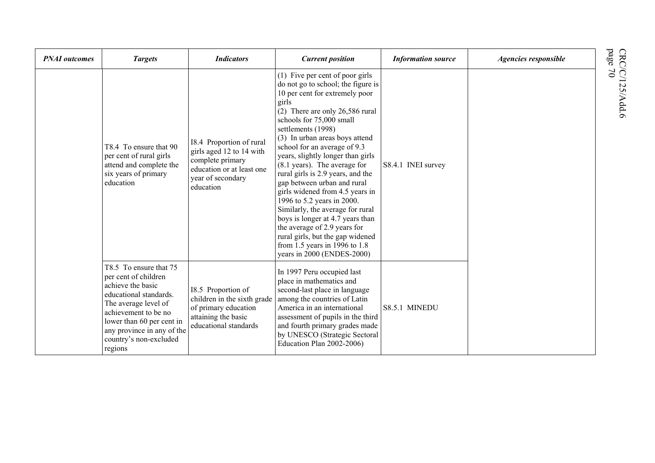| <b>PNAI</b> outcomes | <b>Targets</b>                                                                                                                                                                                                                                | <b>Indicators</b>                                                                                                                       | <b>Current position</b>                                                                                                                                                                                                                                                                                                                                                                                                                                                                                                                                                                                                                                                                                 | <b>Information source</b> | Agencies responsible |
|----------------------|-----------------------------------------------------------------------------------------------------------------------------------------------------------------------------------------------------------------------------------------------|-----------------------------------------------------------------------------------------------------------------------------------------|---------------------------------------------------------------------------------------------------------------------------------------------------------------------------------------------------------------------------------------------------------------------------------------------------------------------------------------------------------------------------------------------------------------------------------------------------------------------------------------------------------------------------------------------------------------------------------------------------------------------------------------------------------------------------------------------------------|---------------------------|----------------------|
|                      | T8.4 To ensure that 90<br>per cent of rural girls<br>attend and complete the<br>six years of primary<br>education                                                                                                                             | 18.4 Proportion of rural<br>girls aged 12 to 14 with<br>complete primary<br>education or at least one<br>year of secondary<br>education | (1) Five per cent of poor girls<br>do not go to school; the figure is<br>10 per cent for extremely poor<br>girls<br>(2) There are only 26,586 rural<br>schools for 75,000 small<br>settlements (1998)<br>(3) In urban areas boys attend<br>school for an average of 9.3<br>years, slightly longer than girls<br>$(8.1 \text{ years})$ . The average for<br>rural girls is 2.9 years, and the<br>gap between urban and rural<br>girls widened from 4.5 years in<br>1996 to 5.2 years in 2000.<br>Similarly, the average for rural<br>boys is longer at 4.7 years than<br>the average of 2.9 years for<br>rural girls, but the gap widened<br>from 1.5 years in 1996 to 1.8<br>years in 2000 (ENDES-2000) | S8.4.1 INEI survey        |                      |
|                      | T8.5 To ensure that 75<br>per cent of children<br>achieve the basic<br>educational standards.<br>The average level of<br>achievement to be no<br>lower than 60 per cent in<br>any province in any of the<br>country's non-excluded<br>regions | I8.5 Proportion of<br>children in the sixth grade<br>of primary education<br>attaining the basic<br>educational standards               | In 1997 Peru occupied last<br>place in mathematics and<br>second-last place in language<br>among the countries of Latin<br>America in an international<br>assessment of pupils in the third<br>and fourth primary grades made<br>by UNESCO (Strategic Sectoral<br>Education Plan 2002-2006)                                                                                                                                                                                                                                                                                                                                                                                                             | S8.5.1 MINEDU             |                      |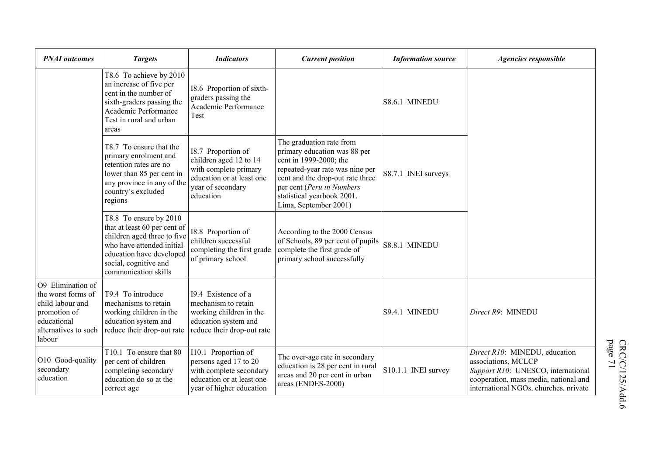| <b>PNAI</b> outcomes                                                                                                         | <b>Targets</b>                                                                                                                                                                                  | <b>Indicators</b>                                                                                                                    | <b>Current position</b>                                                                                                                                                                                                                       | <b>Information source</b> | Agencies responsible                                                                                                                                                         |
|------------------------------------------------------------------------------------------------------------------------------|-------------------------------------------------------------------------------------------------------------------------------------------------------------------------------------------------|--------------------------------------------------------------------------------------------------------------------------------------|-----------------------------------------------------------------------------------------------------------------------------------------------------------------------------------------------------------------------------------------------|---------------------------|------------------------------------------------------------------------------------------------------------------------------------------------------------------------------|
|                                                                                                                              | T8.6 To achieve by 2010<br>an increase of five per<br>cent in the number of<br>sixth-graders passing the<br>Academic Performance<br>Test in rural and urban<br>areas                            | 18.6 Proportion of sixth-<br>graders passing the<br>Academic Performance<br>Test                                                     |                                                                                                                                                                                                                                               | S8.6.1 MINEDU             |                                                                                                                                                                              |
|                                                                                                                              | T8.7 To ensure that the<br>primary enrolment and<br>retention rates are no<br>lower than 85 per cent in<br>any province in any of the<br>country's excluded<br>regions                          | I8.7 Proportion of<br>children aged 12 to 14<br>with complete primary<br>education or at least one<br>year of secondary<br>education | The graduation rate from<br>primary education was 88 per<br>cent in 1999-2000; the<br>repeated-year rate was nine per<br>cent and the drop-out rate three<br>per cent (Peru in Numbers<br>statistical yearbook 2001.<br>Lima, September 2001) | S8.7.1 INEI surveys       |                                                                                                                                                                              |
|                                                                                                                              | T8.8 To ensure by 2010<br>that at least 60 per cent of<br>children aged three to five<br>who have attended initial<br>education have developed<br>social, cognitive and<br>communication skills | I8.8 Proportion of<br>children successful<br>completing the first grade<br>of primary school                                         | According to the 2000 Census<br>of Schools, 89 per cent of pupils<br>complete the first grade of<br>primary school successfully                                                                                                               | S8.8.1 MINEDU             |                                                                                                                                                                              |
| O9 Elimination of<br>the worst forms of<br>child labour and<br>promotion of<br>educational<br>alternatives to such<br>labour | T9.4 To introduce<br>mechanisms to retain<br>working children in the<br>education system and<br>reduce their drop-out rate                                                                      | 19.4 Existence of a<br>mechanism to retain<br>working children in the<br>education system and<br>reduce their drop-out rate          |                                                                                                                                                                                                                                               | S9.4.1 MINEDU             | Direct R9: MINEDU                                                                                                                                                            |
| O10 Good-quality<br>secondary<br>education                                                                                   | T10.1 To ensure that 80<br>per cent of children<br>completing secondary<br>education do so at the<br>correct age                                                                                | I10.1 Proportion of<br>persons aged 17 to 20<br>with complete secondary<br>education or at least one<br>year of higher education     | The over-age rate in secondary<br>education is 28 per cent in rural<br>areas and 20 per cent in urban<br>areas (ENDES-2000)                                                                                                                   | S10.1.1 INEI survey       | Direct R10: MINEDU, education<br>associations, MCLCP<br>Support R10: UNESCO, international<br>cooperation, mass media, national and<br>international NGOs. churches. private |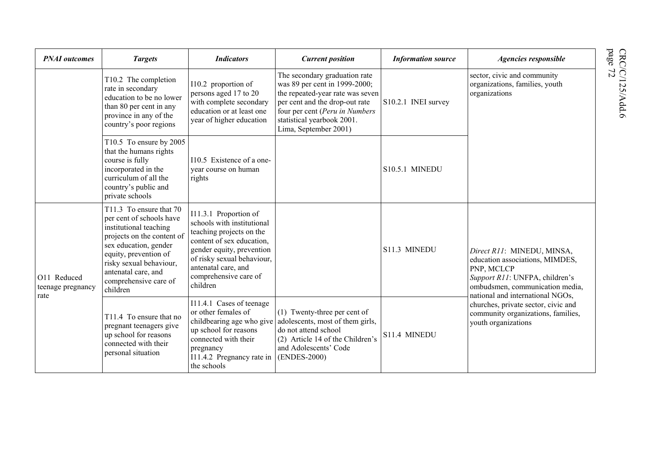| <b>PNAI</b> outcomes                     | <b>Targets</b>                                                                                                                                                                                                                                       | <b>Indicators</b>                                                                                                                                                                                                                   | <b>Current position</b>                                                                                                                                                                                                       | <b>Information source</b> | Agencies responsible                                                                                                                                                                                                                                                                     |
|------------------------------------------|------------------------------------------------------------------------------------------------------------------------------------------------------------------------------------------------------------------------------------------------------|-------------------------------------------------------------------------------------------------------------------------------------------------------------------------------------------------------------------------------------|-------------------------------------------------------------------------------------------------------------------------------------------------------------------------------------------------------------------------------|---------------------------|------------------------------------------------------------------------------------------------------------------------------------------------------------------------------------------------------------------------------------------------------------------------------------------|
|                                          | T10.2 The completion<br>rate in secondary<br>education to be no lower<br>than 80 per cent in any<br>province in any of the<br>country's poor regions                                                                                                 | I10.2 proportion of<br>persons aged 17 to 20<br>with complete secondary<br>education or at least one<br>year of higher education                                                                                                    | The secondary graduation rate<br>was 89 per cent in 1999-2000;<br>the repeated-year rate was seven<br>per cent and the drop-out rate<br>four per cent (Peru in Numbers<br>statistical yearbook 2001.<br>Lima, September 2001) | S10.2.1 INEI survey       | sector, civic and community<br>organizations, families, youth<br>organizations                                                                                                                                                                                                           |
| course is fully<br>private schools       | T10.5 To ensure by 2005<br>that the humans rights<br>incorporated in the<br>curriculum of all the<br>country's public and                                                                                                                            | 110.5 Existence of a one-<br>vear course on human<br>rights                                                                                                                                                                         |                                                                                                                                                                                                                               | S10.5.1 MINEDU            |                                                                                                                                                                                                                                                                                          |
| O11 Reduced<br>teenage pregnancy<br>rate | T11.3 To ensure that 70<br>per cent of schools have<br>institutional teaching<br>projects on the content of<br>sex education, gender<br>equity, prevention of<br>risky sexual behaviour,<br>antenatal care, and<br>comprehensive care of<br>children | I11.3.1 Proportion of<br>schools with institutional<br>teaching projects on the<br>content of sex education,<br>gender equity, prevention<br>of risky sexual behaviour,<br>antenatal care, and<br>comprehensive care of<br>children |                                                                                                                                                                                                                               | S11.3 MINEDU              | Direct R11: MINEDU, MINSA,<br>education associations, MIMDES,<br>PNP, MCLCP<br>Support R11: UNFPA, children's<br>ombudsmen, communication media,<br>national and international NGOs,<br>churches, private sector, civic and<br>community organizations, families,<br>youth organizations |
|                                          | T11.4 To ensure that no<br>pregnant teenagers give<br>up school for reasons<br>connected with their<br>personal situation                                                                                                                            | I11.4.1 Cases of teenage<br>or other females of<br>childbearing age who give<br>up school for reasons<br>connected with their<br>pregnancy<br>I11.4.2 Pregnancy rate in<br>the schools                                              | (1) Twenty-three per cent of<br>adolescents, most of them girls,<br>do not attend school<br>(2) Article 14 of the Children's<br>and Adolescents' Code<br>(ENDES-2000)                                                         | S11.4 MINEDU              |                                                                                                                                                                                                                                                                                          |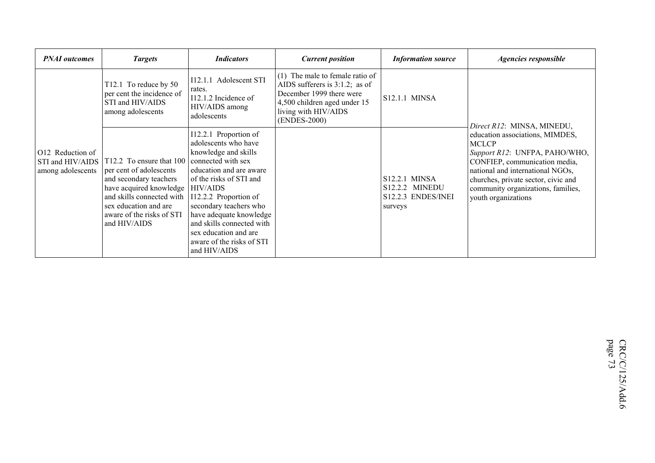| <b>PNAI</b> outcomes                                      | <b>Targets</b>                                                                                                                                                                                              | <i>Indicators</i>                                                                                                                                                                                                                                                                                                                                     | <b>Current position</b>                                                                                                                                                  | <b>Information source</b>                                                      | <b>Agencies responsible</b>                                                                                                                                                                                                                               |
|-----------------------------------------------------------|-------------------------------------------------------------------------------------------------------------------------------------------------------------------------------------------------------------|-------------------------------------------------------------------------------------------------------------------------------------------------------------------------------------------------------------------------------------------------------------------------------------------------------------------------------------------------------|--------------------------------------------------------------------------------------------------------------------------------------------------------------------------|--------------------------------------------------------------------------------|-----------------------------------------------------------------------------------------------------------------------------------------------------------------------------------------------------------------------------------------------------------|
|                                                           | T12.1 To reduce by 50<br>per cent the incidence of<br>STI and HIV/AIDS<br>among adolescents                                                                                                                 | I12.1.1 Adolescent STI<br>rates.<br>I12.1.2 Incidence of<br>HIV/AIDS among<br>adolescents                                                                                                                                                                                                                                                             | (1) The male to female ratio of<br>AIDS sufferers is $3:1.2$ ; as of<br>December 1999 there were<br>4,500 children aged under 15<br>living with HIV/AIDS<br>(ENDES-2000) | S12.1.1 MINSA                                                                  | Direct R12: MINSA, MINEDU,                                                                                                                                                                                                                                |
| O12 Reduction of<br>STI and HIV/AIDS<br>among adolescents | T12.2 To ensure that 100<br>per cent of adolescents<br>and secondary teachers<br>have acquired knowledge<br>and skills connected with<br>sex education and are<br>aware of the risks of STI<br>and HIV/AIDS | I12.2.1 Proportion of<br>adolescents who have<br>knowledge and skills<br>connected with sex<br>education and are aware<br>of the risks of STI and<br><b>HIV/AIDS</b><br>I12.2.2 Proportion of<br>secondary teachers who<br>have adequate knowledge<br>and skills connected with<br>sex education and are<br>aware of the risks of STI<br>and HIV/AIDS |                                                                                                                                                                          | <b>S12.2.1 MINSA</b><br><b>S12.2.2 MINEDU</b><br>S12.2.3 ENDES/INEI<br>surveys | education associations, MIMDES,<br><b>MCLCP</b><br>Support R12: UNFPA, PAHO/WHO,<br>CONFIEP, communication media,<br>national and international NGOs,<br>churches, private sector, civic and<br>community organizations, families,<br>youth organizations |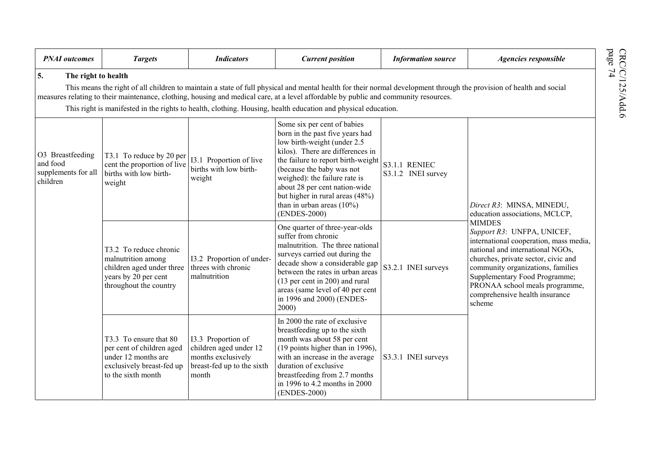| <b>PNAI</b> outcomes                                            | <b>Targets</b>                                                                                                                | <b>Indicators</b>                                                                                         | <b>Current position</b>                                                                                                                                                                                                                                                                                                                                   | <b>Information source</b>                  | Agencies responsible                                                                                                                                                                                                                                                                                                 |
|-----------------------------------------------------------------|-------------------------------------------------------------------------------------------------------------------------------|-----------------------------------------------------------------------------------------------------------|-----------------------------------------------------------------------------------------------------------------------------------------------------------------------------------------------------------------------------------------------------------------------------------------------------------------------------------------------------------|--------------------------------------------|----------------------------------------------------------------------------------------------------------------------------------------------------------------------------------------------------------------------------------------------------------------------------------------------------------------------|
| 5.<br>The right to health                                       |                                                                                                                               |                                                                                                           | This means the right of all children to maintain a state of full physical and mental health for their normal development through the provision of health and social<br>measures relating to their maintenance, clothing, housing and medical care, at a level affordable by public and community resources.                                               |                                            |                                                                                                                                                                                                                                                                                                                      |
|                                                                 |                                                                                                                               |                                                                                                           | This right is manifested in the rights to health, clothing. Housing, health education and physical education.                                                                                                                                                                                                                                             |                                            |                                                                                                                                                                                                                                                                                                                      |
| O3 Breastfeeding<br>and food<br>supplements for all<br>children | T3.1 To reduce by 20 per<br>cent the proportion of live<br>births with low birth-<br>weight                                   | 13.1 Proportion of live<br>births with low birth-<br>weight                                               | Some six per cent of babies<br>born in the past five years had<br>low birth-weight (under 2.5<br>kilos). There are differences in<br>the failure to report birth-weight<br>(because the baby was not<br>weighed): the failure rate is<br>about 28 per cent nation-wide<br>but higher in rural areas (48%)<br>than in urban areas $(10\%)$<br>(ENDES-2000) | <b>S3.1.1 RENIEC</b><br>S3.1.2 INEI survey | Direct R3: MINSA, MINEDU,<br>education associations, MCLCP,                                                                                                                                                                                                                                                          |
|                                                                 | T3.2 To reduce chronic<br>malnutrition among<br>children aged under three<br>years by 20 per cent<br>throughout the country   | I3.2 Proportion of under-<br>threes with chronic<br>malnutrition                                          | One quarter of three-year-olds<br>suffer from chronic<br>malnutrition. The three national<br>surveys carried out during the<br>decade show a considerable gap<br>between the rates in urban areas<br>(13 per cent in 200) and rural<br>areas (same level of 40 per cent<br>in 1996 and 2000) (ENDES-<br>2000)                                             | S3.2.1 INEI surveys                        | <b>MIMDES</b><br>Support R3: UNFPA, UNICEF,<br>international cooperation, mass media,<br>national and international NGOs,<br>churches, private sector, civic and<br>community organizations, families<br>Supplementary Food Programme;<br>PRONAA school meals programme,<br>comprehensive health insurance<br>scheme |
|                                                                 | T3.3 To ensure that 80<br>per cent of children aged<br>under 12 months are<br>exclusively breast-fed up<br>to the sixth month | I3.3 Proportion of<br>children aged under 12<br>months exclusively<br>breast-fed up to the sixth<br>month | In 2000 the rate of exclusive<br>breastfeeding up to the sixth<br>month was about 58 per cent<br>(19 points higher than in 1996),<br>with an increase in the average<br>duration of exclusive<br>breastfeeding from 2.7 months<br>in 1996 to 4.2 months in 2000<br>(ENDES-2000)                                                                           | S3.3.1 INEI surveys                        |                                                                                                                                                                                                                                                                                                                      |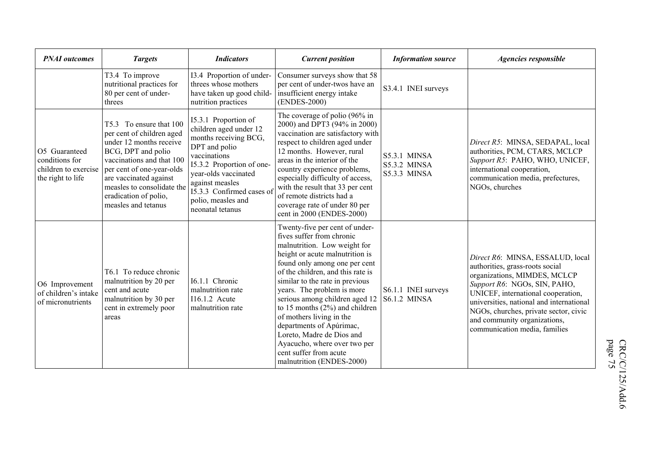| <b>PNAI</b> outcomes                                                         | <b>Targets</b>                                                                                                                                                                                                                                                          | <b>Indicators</b>                                                                                                                                                                                                                                       | <b>Current position</b>                                                                                                                                                                                                                                                                                                                                                                                                                                                                                                 | <b>Information source</b>                                         | Agencies responsible                                                                                                                                                                                                                                                                                                            |
|------------------------------------------------------------------------------|-------------------------------------------------------------------------------------------------------------------------------------------------------------------------------------------------------------------------------------------------------------------------|---------------------------------------------------------------------------------------------------------------------------------------------------------------------------------------------------------------------------------------------------------|-------------------------------------------------------------------------------------------------------------------------------------------------------------------------------------------------------------------------------------------------------------------------------------------------------------------------------------------------------------------------------------------------------------------------------------------------------------------------------------------------------------------------|-------------------------------------------------------------------|---------------------------------------------------------------------------------------------------------------------------------------------------------------------------------------------------------------------------------------------------------------------------------------------------------------------------------|
|                                                                              | T3.4 To improve<br>nutritional practices for<br>80 per cent of under-<br>threes                                                                                                                                                                                         | I3.4 Proportion of under-<br>threes whose mothers<br>have taken up good child-<br>nutrition practices                                                                                                                                                   | Consumer surveys show that 58<br>per cent of under-twos have an<br>insufficient energy intake<br>(ENDES-2000)                                                                                                                                                                                                                                                                                                                                                                                                           | S3.4.1 INEI surveys                                               |                                                                                                                                                                                                                                                                                                                                 |
| O5 Guaranteed<br>conditions for<br>children to exercise<br>the right to life | T5.3 To ensure that 100<br>per cent of children aged<br>under 12 months receive<br>BCG, DPT and polio<br>vaccinations and that 100<br>per cent of one-year-olds<br>are vaccinated against<br>measles to consolidate the<br>eradication of polio,<br>measles and tetanus | 15.3.1 Proportion of<br>children aged under 12<br>months receiving BCG,<br>DPT and polio<br>vaccinations<br>15.3.2 Proportion of one-<br>year-olds vaccinated<br>against measles<br>15.3.3 Confirmed cases of<br>polio, measles and<br>neonatal tetanus | The coverage of polio (96% in<br>2000) and DPT3 (94% in 2000)<br>vaccination are satisfactory with<br>respect to children aged under<br>12 months. However, rural<br>areas in the interior of the<br>country experience problems,<br>especially difficulty of access,<br>with the result that 33 per cent<br>of remote districts had a<br>coverage rate of under 80 per<br>cent in 2000 (ENDES-2000)                                                                                                                    | <b>S5.3.1 MINSA</b><br><b>S5.3.2 MINSA</b><br><b>S5.3.3 MINSA</b> | Direct R5: MINSA, SEDAPAL, local<br>authorities, PCM, CTARS, MCLCP<br>Support R5: PAHO, WHO, UNICEF,<br>international cooperation,<br>communication media, prefectures,<br>NGOs, churches                                                                                                                                       |
| O6 Improvement<br>of children's intake<br>of micronutrients                  | T6.1 To reduce chronic<br>malnutrition by 20 per<br>cent and acute<br>malnutrition by 30 per<br>cent in extremely poor<br>areas                                                                                                                                         | 16.1.1 Chronic<br>malnutrition rate<br>$I16.1.2$ Acute<br>malnutrition rate                                                                                                                                                                             | Twenty-five per cent of under-<br>fives suffer from chronic<br>malnutrition. Low weight for<br>height or acute malnutrition is<br>found only among one per cent<br>of the children, and this rate is<br>similar to the rate in previous<br>years. The problem is more<br>serious among children aged 12<br>to 15 months $(2%)$ and children<br>of mothers living in the<br>departments of Apúrimac,<br>Loreto, Madre de Dios and<br>Ayacucho, where over two per<br>cent suffer from acute<br>malnutrition (ENDES-2000) | S6.1.1 INEI surveys<br><b>S6.1.2 MINSA</b>                        | Direct R6: MINSA, ESSALUD, local<br>authorities, grass-roots social<br>organizations, MIMDES, MCLCP<br>Support R6: NGOs, SIN, PAHO,<br>UNICEF, international cooperation,<br>universities, national and international<br>NGOs, churches, private sector, civic<br>and community organizations,<br>communication media, families |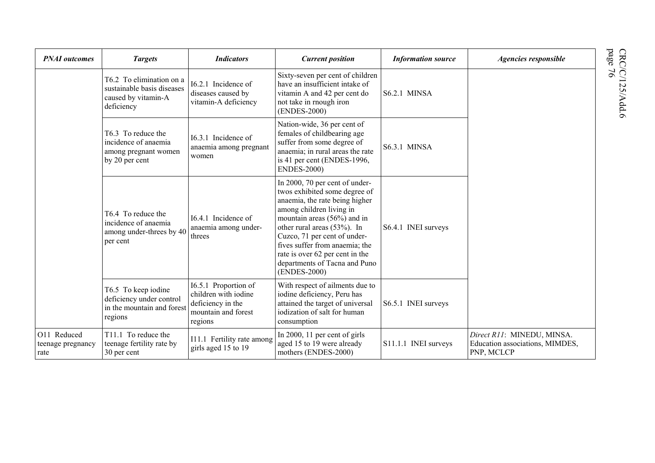| <b>PNAI</b> outcomes                     | <b>Targets</b>                                                                              | <b>Indicators</b>                                                                                   | <b>Current position</b>                                                                                                                                                                                                                                                                                                                           | <b>Information source</b> | Agencies responsible                                                        |
|------------------------------------------|---------------------------------------------------------------------------------------------|-----------------------------------------------------------------------------------------------------|---------------------------------------------------------------------------------------------------------------------------------------------------------------------------------------------------------------------------------------------------------------------------------------------------------------------------------------------------|---------------------------|-----------------------------------------------------------------------------|
|                                          | T6.2 To elimination on a<br>sustainable basis diseases<br>caused by vitamin-A<br>deficiency | I6.2.1 Incidence of<br>diseases caused by<br>vitamin-A deficiency                                   | Sixty-seven per cent of children<br>have an insufficient intake of<br>vitamin A and 42 per cent do<br>not take in rnough iron<br>(ENDES-2000)                                                                                                                                                                                                     | S6.2.1 MINSA              |                                                                             |
|                                          | T6.3 To reduce the<br>incidence of anaemia<br>among pregnant women<br>by 20 per cent        | 16.3.1 Incidence of<br>anaemia among pregnant<br>women                                              | Nation-wide, 36 per cent of<br>females of childbearing age<br>suffer from some degree of<br>anaemia; in rural areas the rate<br>is 41 per cent (ENDES-1996,<br><b>ENDES-2000)</b>                                                                                                                                                                 | <b>S6.3.1 MINSA</b>       |                                                                             |
|                                          | T6.4 To reduce the<br>incidence of anaemia<br>among under-threes by 40<br>per cent          | 16.4.1 Incidence of<br>anaemia among under-<br>threes                                               | In 2000, 70 per cent of under-<br>twos exhibited some degree of<br>anaemia, the rate being higher<br>among children living in<br>mountain areas (56%) and in<br>other rural areas (53%). In<br>Cuzco, 71 per cent of under-<br>fives suffer from anaemia; the<br>rate is over 62 per cent in the<br>departments of Tacna and Puno<br>(ENDES-2000) | S6.4.1 INEI surveys       |                                                                             |
|                                          | T6.5 To keep iodine<br>deficiency under control<br>in the mountain and forest<br>regions    | I6.5.1 Proportion of<br>children with iodine<br>deficiency in the<br>mountain and forest<br>regions | With respect of ailments due to<br>iodine deficiency, Peru has<br>attained the target of universal<br>iodization of salt for human<br>consumption                                                                                                                                                                                                 | S6.5.1 INEI surveys       |                                                                             |
| O11 Reduced<br>teenage pregnancy<br>rate | T <sub>11.1</sub> To reduce the<br>teenage fertility rate by<br>30 per cent                 | I11.1 Fertility rate among<br>girls aged 15 to 19                                                   | In 2000, 11 per cent of girls<br>aged 15 to 19 were already<br>mothers (ENDES-2000)                                                                                                                                                                                                                                                               | S11.1.1 INEI surveys      | Direct R11: MINEDU, MINSA.<br>Education associations, MIMDES,<br>PNP, MCLCP |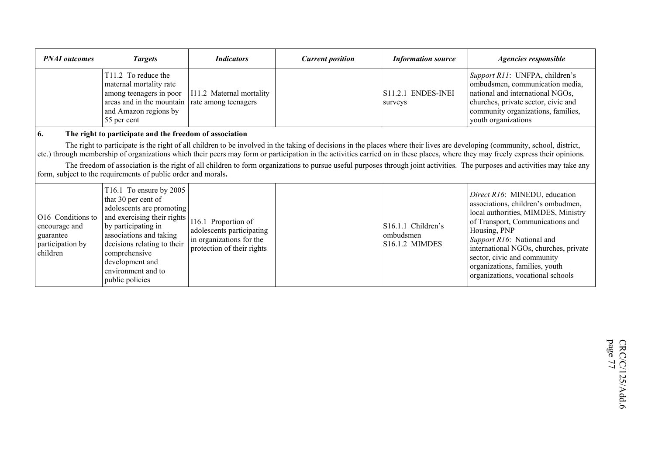| <b>PNAI</b> outcomes                                                            | <b>Targets</b>                                                                                                                                                                                                                                                           | <b>Indicators</b>                                                                                          | <b>Current position</b> | <b>Information source</b>                                            | <b>Agencies responsible</b>                                                                                                                                                                                                                                                                                                                                                                                                                                                                                                                     |
|---------------------------------------------------------------------------------|--------------------------------------------------------------------------------------------------------------------------------------------------------------------------------------------------------------------------------------------------------------------------|------------------------------------------------------------------------------------------------------------|-------------------------|----------------------------------------------------------------------|-------------------------------------------------------------------------------------------------------------------------------------------------------------------------------------------------------------------------------------------------------------------------------------------------------------------------------------------------------------------------------------------------------------------------------------------------------------------------------------------------------------------------------------------------|
|                                                                                 | T11.2 To reduce the<br>maternal mortality rate<br>among teenagers in poor<br>areas and in the mountain<br>and Amazon regions by<br>55 per cent                                                                                                                           | I11.2 Maternal mortality<br>rate among teenagers                                                           |                         | S11.2.1 ENDES-INEI<br>surveys                                        | Support R11: UNFPA, children's<br>ombudsmen, communication media,<br>national and international NGOs,<br>churches, private sector, civic and<br>community organizations, families,<br>youth organizations                                                                                                                                                                                                                                                                                                                                       |
| 6.                                                                              | The right to participate and the freedom of association<br>form, subject to the requirements of public order and morals.                                                                                                                                                 |                                                                                                            |                         |                                                                      | The right to participate is the right of all children to be involved in the taking of decisions in the places where their lives are developing (community, school, district,<br>etc.) through membership of organizations which their peers may form or participation in the activities carried on in these places, where they may freely express their opinions.<br>The freedom of association is the right of all children to form organizations to pursue useful purposes through joint activities. The purposes and activities may take any |
| O16 Conditions to<br>encourage and<br>guarantee<br>participation by<br>children | T16.1 To ensure by 2005<br>that 30 per cent of<br>adolescents are promoting<br>and exercising their rights<br>by participating in<br>associations and taking<br>decisions relating to their<br>comprehensive<br>development and<br>environment and to<br>public policies | I16.1 Proportion of<br>adolescents participating<br>in organizations for the<br>protection of their rights |                         | S <sub>16.1.1</sub> Children's<br>ombudsmen<br><b>S16.1.2 MIMDES</b> | Direct R16: MINEDU, education<br>associations, children's ombudmen,<br>local authorities, MIMDES, Ministry<br>of Transport, Communications and<br>Housing, PNP<br>Support R16: National and<br>international NGOs, churches, private<br>sector, civic and community<br>organizations, families, youth<br>organizations, vocational schools                                                                                                                                                                                                      |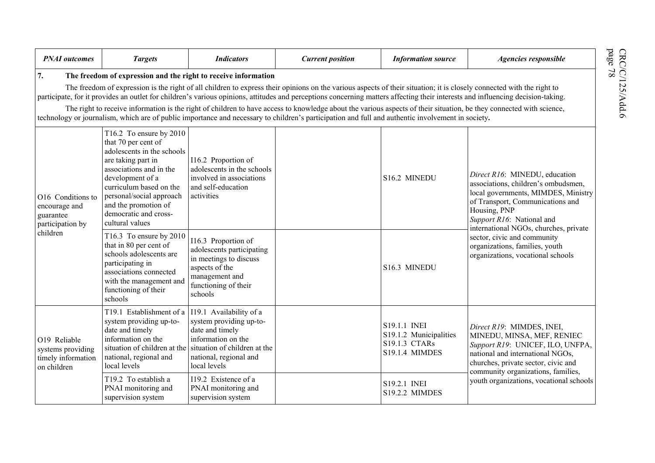| <b>PNAI</b> outcomes                                                   | <b>Targets</b>                                                                                                                                                                                                                                                               | <b>Indicators</b>                                                                                                                                 | <b>Current position</b>                                                                                                                                                                                                                                                                                                                                  | <b>Information source</b>                                                        | Agencies responsible                                                                                                                                                                                                                  |
|------------------------------------------------------------------------|------------------------------------------------------------------------------------------------------------------------------------------------------------------------------------------------------------------------------------------------------------------------------|---------------------------------------------------------------------------------------------------------------------------------------------------|----------------------------------------------------------------------------------------------------------------------------------------------------------------------------------------------------------------------------------------------------------------------------------------------------------------------------------------------------------|----------------------------------------------------------------------------------|---------------------------------------------------------------------------------------------------------------------------------------------------------------------------------------------------------------------------------------|
| 7.                                                                     |                                                                                                                                                                                                                                                                              | The freedom of expression and the right to receive information                                                                                    |                                                                                                                                                                                                                                                                                                                                                          |                                                                                  |                                                                                                                                                                                                                                       |
|                                                                        |                                                                                                                                                                                                                                                                              |                                                                                                                                                   | The freedom of expression is the right of all children to express their opinions on the various aspects of their situation; it is closely connected with the right to<br>participate, for it provides an outlet for children's various opinions, attitudes and perceptions concerning matters affecting their interests and influencing decision-taking. |                                                                                  |                                                                                                                                                                                                                                       |
|                                                                        |                                                                                                                                                                                                                                                                              |                                                                                                                                                   | The right to receive information is the right of children to have access to knowledge about the various aspects of their situation, be they connected with science,<br>technology or journalism, which are of public importance and necessary to children's participation and full and authentic involvement in society.                                 |                                                                                  |                                                                                                                                                                                                                                       |
| O16 Conditions to<br>encourage and<br>guarantee<br>participation by    | T16.2 To ensure by 2010<br>that 70 per cent of<br>adolescents in the schools<br>are taking part in<br>associations and in the<br>development of a<br>curriculum based on the<br>personal/social approach<br>and the promotion of<br>democratic and cross-<br>cultural values | I16.2 Proportion of<br>adolescents in the schools<br>involved in associations<br>and self-education<br>activities                                 |                                                                                                                                                                                                                                                                                                                                                          | S16.2 MINEDU                                                                     | Direct R16: MINEDU, education<br>associations, children's ombudsmen,<br>local governments, MIMDES, Ministry<br>of Transport, Communications and<br>Housing, PNP<br>Support R16: National and<br>international NGOs, churches, private |
| children                                                               | T16.3 To ensure by 2010<br>that in 80 per cent of<br>schools adolescents are<br>participating in<br>associations connected<br>with the management and<br>functioning of their<br>schools                                                                                     | I16.3 Proportion of<br>adolescents participating<br>in meetings to discuss<br>aspects of the<br>management and<br>functioning of their<br>schools |                                                                                                                                                                                                                                                                                                                                                          | S16.3 MINEDU                                                                     | sector, civic and community<br>organizations, families, youth<br>organizations, vocational schools                                                                                                                                    |
| O19 Reliable<br>systems providing<br>timely information<br>on children | T19.1 Establishment of a   I19.1 Availability of a<br>system providing up-to-<br>date and timely<br>information on the<br>situation of children at the<br>national, regional and<br>local levels                                                                             | system providing up-to-<br>date and timely<br>information on the<br>situation of children at the<br>national, regional and<br>local levels        |                                                                                                                                                                                                                                                                                                                                                          | S19.1.1 INEI<br>S19.1.2 Municipalities<br>S19.1.3 CTARs<br><b>S19.1.4 MIMDES</b> | Direct R19: MIMDES, INEI,<br>MINEDU, MINSA, MEF, RENIEC<br>Support R19: UNICEF, ILO, UNFPA,<br>national and international NGOs,<br>churches, private sector, civic and<br>community organizations, families,                          |
|                                                                        | T19.2 To establish a<br>PNAI monitoring and<br>supervision system                                                                                                                                                                                                            | I19.2 Existence of a<br>PNAI monitoring and<br>supervision system                                                                                 |                                                                                                                                                                                                                                                                                                                                                          | S19.2.1 INEI<br><b>S19.2.2 MIMDES</b>                                            | youth organizations, vocational schools                                                                                                                                                                                               |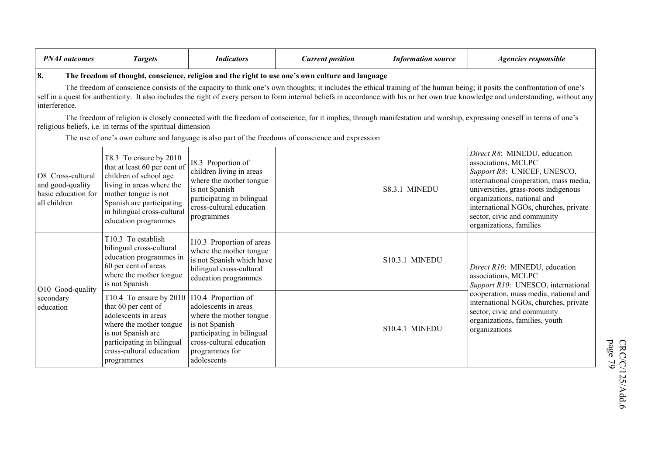| <b>PNAI</b> outcomes                                                         | <b>Targets</b>                                                                                                                                                                                                            | <b>Indicators</b>                                                                                                                                                                   | <b>Current position</b>                                                                                                                                                                                 | <b>Information source</b> | Agencies responsible                                                                                                                                                                                                                                                                                                                                                                                                                                                                                                                       |
|------------------------------------------------------------------------------|---------------------------------------------------------------------------------------------------------------------------------------------------------------------------------------------------------------------------|-------------------------------------------------------------------------------------------------------------------------------------------------------------------------------------|---------------------------------------------------------------------------------------------------------------------------------------------------------------------------------------------------------|---------------------------|--------------------------------------------------------------------------------------------------------------------------------------------------------------------------------------------------------------------------------------------------------------------------------------------------------------------------------------------------------------------------------------------------------------------------------------------------------------------------------------------------------------------------------------------|
| 8.<br>interference.                                                          | religious beliefs, i.e. in terms of the spiritual dimension                                                                                                                                                               |                                                                                                                                                                                     | The freedom of thought, conscience, religion and the right to use one's own culture and language<br>The use of one's own culture and language is also part of the freedoms of conscience and expression |                           | The freedom of conscience consists of the capacity to think one's own thoughts; it includes the ethical training of the human being; it posits the confrontation of one's<br>self in a quest for authenticity. It also includes the right of every person to form internal beliefs in accordance with his or her own true knowledge and understanding, without any<br>The freedom of religion is closely connected with the freedom of conscience, for it implies, through manifestation and worship, expressing oneself in terms of one's |
| O8 Cross-cultural<br>and good-quality<br>basic education for<br>all children | T8.3 To ensure by 2010<br>that at least 60 per cent of<br>children of school age<br>living in areas where the<br>mother tongue is not<br>Spanish are participating<br>in bilingual cross-cultural<br>education programmes | I8.3 Proportion of<br>children living in areas<br>where the mother tongue<br>is not Spanish<br>participating in bilingual<br>cross-cultural education<br>programmes                 |                                                                                                                                                                                                         | S8.3.1 MINEDU             | Direct R8: MINEDU, education<br>associations, MCLPC<br>Support R8: UNICEF, UNESCO,<br>international cooperation, mass media,<br>universities, grass-roots indigenous<br>organizations, national and<br>international NGOs, churches, private<br>sector, civic and community<br>organizations, families                                                                                                                                                                                                                                     |
| O10 Good-quality                                                             | T10.3 To establish<br>bilingual cross-cultural<br>education programmes in<br>60 per cent of areas<br>where the mother tongue<br>is not Spanish                                                                            | I10.3 Proportion of areas<br>where the mother tongue<br>is not Spanish which have<br>bilingual cross-cultural<br>education programmes                                               |                                                                                                                                                                                                         | <b>S10.3.1 MINEDU</b>     | Direct R10: MINEDU, education<br>associations, MCLPC<br>Support R10: UNESCO, international                                                                                                                                                                                                                                                                                                                                                                                                                                                 |
| secondary<br>education                                                       | T10.4 To ensure by 2010<br>that 60 per cent of<br>adolescents in areas<br>where the mother tongue<br>is not Spanish are<br>participating in bilingual<br>cross-cultural education<br>programmes                           | I10.4 Proportion of<br>adolescents in areas<br>where the mother tongue<br>is not Spanish<br>participating in bilingual<br>cross-cultural education<br>programmes for<br>adolescents |                                                                                                                                                                                                         | S10.4.1 MINEDU            | cooperation, mass media, national and<br>international NGOs, churches, private<br>sector, civic and community<br>organizations, families, youth<br>organizations                                                                                                                                                                                                                                                                                                                                                                           |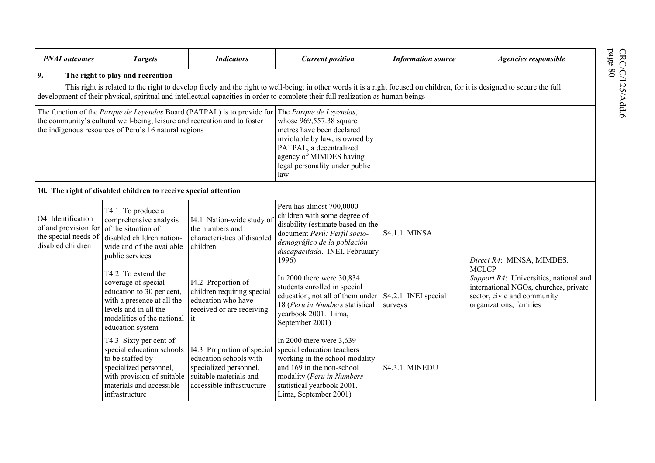| <b>PNAI</b> outcomes                                                                   | <b>Targets</b>                                                                                                                                                                  | <b>Indicators</b>                                                                                                                     | <b>Current position</b>                                                                                                                                                                                                                                                                                       | <b>Information source</b>      | Agencies responsible                                                                                                                                      |
|----------------------------------------------------------------------------------------|---------------------------------------------------------------------------------------------------------------------------------------------------------------------------------|---------------------------------------------------------------------------------------------------------------------------------------|---------------------------------------------------------------------------------------------------------------------------------------------------------------------------------------------------------------------------------------------------------------------------------------------------------------|--------------------------------|-----------------------------------------------------------------------------------------------------------------------------------------------------------|
| 9.                                                                                     | The right to play and recreation                                                                                                                                                |                                                                                                                                       | This right is related to the right to develop freely and the right to well-being; in other words it is a right focused on children, for it is designed to secure the full<br>development of their physical, spiritual and intellectual capacities in order to complete their full realization as human beings |                                |                                                                                                                                                           |
|                                                                                        | the community's cultural well-being, leisure and recreation and to foster<br>the indigenous resources of Peru's 16 natural regions                                              | The function of the <i>Parque de Leyendas</i> Board (PATPAL) is to provide for                                                        | The Parque de Leyendas,<br>whose 969,557.38 square<br>metres have been declared<br>inviolable by law, is owned by<br>PATPAL, a decentralized<br>agency of MIMDES having<br>legal personality under public<br>law                                                                                              |                                |                                                                                                                                                           |
|                                                                                        | 10. The right of disabled children to receive special attention                                                                                                                 |                                                                                                                                       |                                                                                                                                                                                                                                                                                                               |                                |                                                                                                                                                           |
| O4 Identification<br>of and provision for<br>the special needs of<br>disabled children | T4.1 To produce a<br>comprehensive analysis<br>of the situation of<br>disabled children nation-<br>wide and of the available<br>public services                                 | I4.1 Nation-wide study of<br>the numbers and<br>characteristics of disabled<br>children                                               | Peru has almost 700,0000<br>children with some degree of<br>disability (estimate based on the<br>document Perú: Perfil socio-<br>demográfico de la población<br>discapacitada. INEI, Februuary<br>1996)                                                                                                       | <b>S4.1.1 MINSA</b>            | Direct R4: MINSA, MIMDES.                                                                                                                                 |
|                                                                                        | T4.2 To extend the<br>coverage of special<br>education to 30 per cent,<br>with a presence at all the<br>levels and in all the<br>modalities of the national<br>education system | I4.2 Proportion of<br>children requiring special<br>education who have<br>received or are receiving<br>it                             | In 2000 there were 30,834<br>students enrolled in special<br>education, not all of them under<br>18 (Peru in Numbers statistical<br>yearbook 2001. Lima,<br>September 2001)                                                                                                                                   | S4.2.1 INEI special<br>surveys | <b>MCLCP</b><br>Support R4: Universities, national and<br>international NGOs, churches, private<br>sector, civic and community<br>organizations, families |
|                                                                                        | T4.3 Sixty per cent of<br>special education schools<br>to be staffed by<br>specialized personnel,<br>with provision of suitable<br>materials and accessible<br>infrastructure   | I4.3 Proportion of special<br>education schools with<br>specialized personnel,<br>suitable materials and<br>accessible infrastructure | In 2000 there were $3,639$<br>special education teachers<br>working in the school modality<br>and 169 in the non-school<br>modality (Peru in Numbers<br>statistical yearbook 2001.<br>Lima, September 2001)                                                                                                   | S4.3.1 MINEDU                  |                                                                                                                                                           |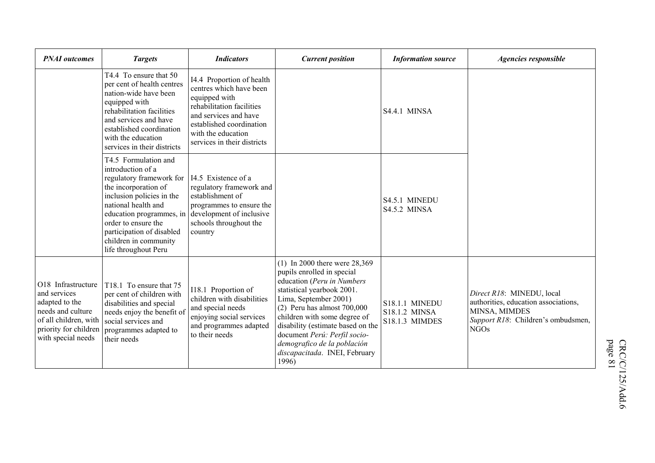| <b>PNAI</b> outcomes                                                                                                                              | <b>Targets</b>                                                                                                                                                                                                                                                                     | <b>Indicators</b>                                                                                                                                                                                            | <b>Current position</b>                                                                                                                                                                                                                                                                                                                                           | <b>Information source</b>                                       | Agencies responsible                                                                                                                    |
|---------------------------------------------------------------------------------------------------------------------------------------------------|------------------------------------------------------------------------------------------------------------------------------------------------------------------------------------------------------------------------------------------------------------------------------------|--------------------------------------------------------------------------------------------------------------------------------------------------------------------------------------------------------------|-------------------------------------------------------------------------------------------------------------------------------------------------------------------------------------------------------------------------------------------------------------------------------------------------------------------------------------------------------------------|-----------------------------------------------------------------|-----------------------------------------------------------------------------------------------------------------------------------------|
|                                                                                                                                                   | T4.4 To ensure that 50<br>per cent of health centres<br>nation-wide have been<br>equipped with<br>rehabilitation facilities<br>and services and have<br>established coordination<br>with the education<br>services in their districts                                              | I4.4 Proportion of health<br>centres which have been<br>equipped with<br>rehabilitation facilities<br>and services and have<br>established coordination<br>with the education<br>services in their districts |                                                                                                                                                                                                                                                                                                                                                                   | S4.4.1 MINSA                                                    |                                                                                                                                         |
|                                                                                                                                                   | T4.5 Formulation and<br>introduction of a<br>regulatory framework for<br>the incorporation of<br>inclusion policies in the<br>national health and<br>education programmes, in<br>order to ensure the<br>participation of disabled<br>children in community<br>life throughout Peru | 14.5 Existence of a<br>regulatory framework and<br>establishment of<br>programmes to ensure the<br>development of inclusive<br>schools throughout the<br>country                                             |                                                                                                                                                                                                                                                                                                                                                                   | S4.5.1 MINEDU<br>S4.5.2 MINSA                                   |                                                                                                                                         |
| O18 Infrastructure<br>and services<br>adapted to the<br>needs and culture<br>of all children, with<br>priority for children<br>with special needs | T18.1 To ensure that 75<br>per cent of children with<br>disabilities and special<br>needs enjoy the benefit of<br>social services and<br>programmes adapted to<br>their needs                                                                                                      | I18.1 Proportion of<br>children with disabilities<br>and special needs<br>enjoying social services<br>and programmes adapted<br>to their needs                                                               | $(1)$ In 2000 there were 28,369<br>pupils enrolled in special<br>education (Peru in Numbers<br>statistical yearbook 2001.<br>Lima, September 2001)<br>$(2)$ Peru has almost 700,000<br>children with some degree of<br>disability (estimate based on the<br>document Perú: Perfil socio-<br>demografico de la población<br>discapacitada. INEI, February<br>1996) | <b>S18.1.1 MINEDU</b><br>S18.1.2 MINSA<br><b>S18.1.3 MIMDES</b> | Direct R18: MINEDU, local<br>authorities, education associations,<br>MINSA, MIMDES<br>Support R18: Children's ombudsmen,<br><b>NGOs</b> |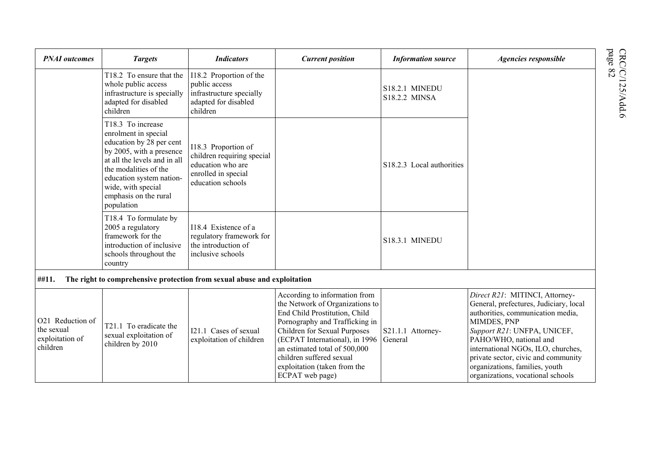| <b>PNAI</b> outcomes                                          | <b>Targets</b>                                                                                                                                                                                                                                      | <b>Indicators</b>                                                                                                  | <b>Current position</b>                                                                                                                                                                                                                                                                                               | <b>Information source</b>              | Agencies responsible                                                                                                                                                                                                                                                                                                                      |
|---------------------------------------------------------------|-----------------------------------------------------------------------------------------------------------------------------------------------------------------------------------------------------------------------------------------------------|--------------------------------------------------------------------------------------------------------------------|-----------------------------------------------------------------------------------------------------------------------------------------------------------------------------------------------------------------------------------------------------------------------------------------------------------------------|----------------------------------------|-------------------------------------------------------------------------------------------------------------------------------------------------------------------------------------------------------------------------------------------------------------------------------------------------------------------------------------------|
|                                                               | T18.2 To ensure that the<br>whole public access<br>infrastructure is specially<br>adapted for disabled<br>children                                                                                                                                  | I18.2 Proportion of the<br>public access<br>infrastructure specially<br>adapted for disabled<br>children           |                                                                                                                                                                                                                                                                                                                       | <b>S18.2.1 MINEDU</b><br>S18.2.2 MINSA |                                                                                                                                                                                                                                                                                                                                           |
|                                                               | T18.3 To increase<br>enrolment in special<br>education by 28 per cent<br>by 2005, with a presence<br>at all the levels and in all<br>the modalities of the<br>education system nation-<br>wide, with special<br>emphasis on the rural<br>population | I18.3 Proportion of<br>children requiring special<br>education who are<br>enrolled in special<br>education schools |                                                                                                                                                                                                                                                                                                                       | S18.2.3 Local authorities              |                                                                                                                                                                                                                                                                                                                                           |
|                                                               | T18.4 To formulate by<br>2005 a regulatory<br>framework for the<br>introduction of inclusive<br>schools throughout the<br>country                                                                                                                   | I18.4 Existence of a<br>regulatory framework for<br>the introduction of<br>inclusive schools                       |                                                                                                                                                                                                                                                                                                                       | <b>S18.3.1 MINEDU</b>                  |                                                                                                                                                                                                                                                                                                                                           |
| ##11.                                                         | The right to comprehensive protection from sexual abuse and exploitation                                                                                                                                                                            |                                                                                                                    |                                                                                                                                                                                                                                                                                                                       |                                        |                                                                                                                                                                                                                                                                                                                                           |
| O21 Reduction of<br>the sexual<br>exploitation of<br>children | T21.1 To eradicate the<br>sexual exploitation of<br>children by 2010                                                                                                                                                                                | I21.1 Cases of sexual<br>exploitation of children                                                                  | According to information from<br>the Network of Organizations to<br>End Child Prostitution, Child<br>Pornography and Trafficking in<br>Children for Sexual Purposes<br>(ECPAT International), in 1996<br>an estimated total of 500,000<br>children suffered sexual<br>exploitation (taken from the<br>ECPAT web page) | S21.1.1 Attorney-<br>General           | Direct R21: MITINCI, Attorney-<br>General, prefectures, Judiciary, local<br>authorities, communication media,<br>MIMDES, PNP<br>Support R21: UNFPA, UNICEF,<br>PAHO/WHO, national and<br>international NGOs, ILO, churches,<br>private sector, civic and community<br>organizations, families, youth<br>organizations, vocational schools |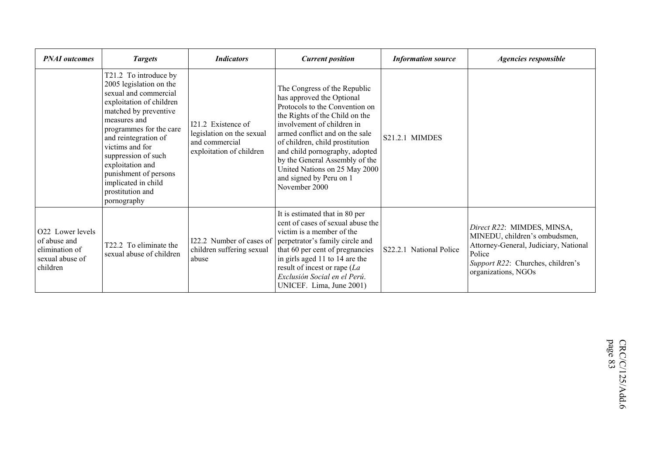| <b>PNAI</b> outcomes                                                              | <b>Targets</b>                                                                                                                                                                                                                                                                                                                                     | <b>Indicators</b>                                                                             | <b>Current position</b>                                                                                                                                                                                                                                                                                                                                                           | <b>Information source</b> | Agencies responsible                                                                                                                                                       |
|-----------------------------------------------------------------------------------|----------------------------------------------------------------------------------------------------------------------------------------------------------------------------------------------------------------------------------------------------------------------------------------------------------------------------------------------------|-----------------------------------------------------------------------------------------------|-----------------------------------------------------------------------------------------------------------------------------------------------------------------------------------------------------------------------------------------------------------------------------------------------------------------------------------------------------------------------------------|---------------------------|----------------------------------------------------------------------------------------------------------------------------------------------------------------------------|
|                                                                                   | T21.2 To introduce by<br>2005 legislation on the<br>sexual and commercial<br>exploitation of children<br>matched by preventive<br>measures and<br>programmes for the care<br>and reintegration of<br>victims and for<br>suppression of such<br>exploitation and<br>punishment of persons<br>implicated in child<br>prostitution and<br>pornography | I21.2 Existence of<br>legislation on the sexual<br>and commercial<br>exploitation of children | The Congress of the Republic<br>has approved the Optional<br>Protocols to the Convention on<br>the Rights of the Child on the<br>involvement of children in<br>armed conflict and on the sale<br>of children, child prostitution<br>and child pornography, adopted<br>by the General Assembly of the<br>United Nations on 25 May 2000<br>and signed by Peru on 1<br>November 2000 | S21.2.1 MIMDES            |                                                                                                                                                                            |
| O22 Lower levels<br>of abuse and<br>elimination of<br>sexual abuse of<br>children | T22.2 To eliminate the<br>sexual abuse of children                                                                                                                                                                                                                                                                                                 | children suffering sexual<br>abuse                                                            | It is estimated that in 80 per<br>cent of cases of sexual abuse the<br>victim is a member of the<br>122.2 Number of cases of perpetrator's family circle and<br>that 60 per cent of pregnancies<br>in girls aged 11 to 14 are the<br>result of incest or rape $(La)$<br>Exclusión Social en el Perú.<br>UNICEF. Lima, June 2001)                                                  | S22.2.1 National Police   | Direct R22: MIMDES, MINSA,<br>MINEDU, children's ombudsmen,<br>Attorney-General, Judiciary, National<br>Police<br>Support R22: Churches, children's<br>organizations, NGOs |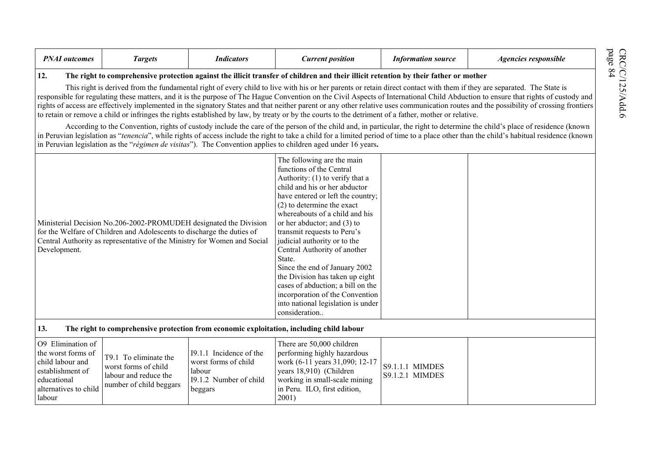|--|

12. The right to comprehensive protection against the illicit transfer of children and their illicit retention by their father or mother<br>This right is derived from the fundamental right of every child to live with his or h

According to the Convention, rights of custody include the care of the person of the child and, in particular, the right to determine the child's place of residence (known in Peruvian legislation as "*tenencia*", while rights of access include the right to take a child for a limited period of time to a place other than the child's habitual residence (known in Peruvian legislation as the "*régimen de visitas*"). The Convention applies to children aged under 16 years**.**

| Ministerial Decision No.206-2002-PROMUDEH designated the Division<br>for the Welfare of Children and Adolescents to discharge the duties of<br>Central Authority as representative of the Ministry for Women and Social<br>Development. |                                                                                                   |                                                                                                | The following are the main<br>functions of the Central<br>Authority: (1) to verify that a<br>child and his or her abductor<br>have entered or left the country;<br>$(2)$ to determine the exact<br>whereabouts of a child and his<br>or her abductor; and (3) to<br>transmit requests to Peru's<br>judicial authority or to the<br>Central Authority of another<br>State.<br>Since the end of January 2002<br>the Division has taken up eight<br>cases of abduction; a bill on the<br>incorporation of the Convention<br>into national legislation is under<br>consideration |                                           |  |
|-----------------------------------------------------------------------------------------------------------------------------------------------------------------------------------------------------------------------------------------|---------------------------------------------------------------------------------------------------|------------------------------------------------------------------------------------------------|------------------------------------------------------------------------------------------------------------------------------------------------------------------------------------------------------------------------------------------------------------------------------------------------------------------------------------------------------------------------------------------------------------------------------------------------------------------------------------------------------------------------------------------------------------------------------|-------------------------------------------|--|
| 13.                                                                                                                                                                                                                                     |                                                                                                   |                                                                                                | The right to comprehensive protection from economic exploitation, including child labour                                                                                                                                                                                                                                                                                                                                                                                                                                                                                     |                                           |  |
| O <sub>9</sub> Elimination of<br>the worst forms of<br>child labour and<br>establishment of<br>educational<br>alternatives to child<br>labour                                                                                           | T9.1 To eliminate the<br>worst forms of child<br>labour and reduce the<br>number of child beggars | 19.1.1 Incidence of the<br>worst forms of child<br>labour<br>19.1.2 Number of child<br>beggars | There are 50,000 children<br>performing highly hazardous<br>work (6-11 years 31,090; 12-17<br>years 18,910) (Children<br>working in small-scale mining<br>in Peru. ILO, first edition,<br>2001)                                                                                                                                                                                                                                                                                                                                                                              | <b>S9.1.1.1 MIMDES</b><br>S9.1.2.1 MIMDES |  |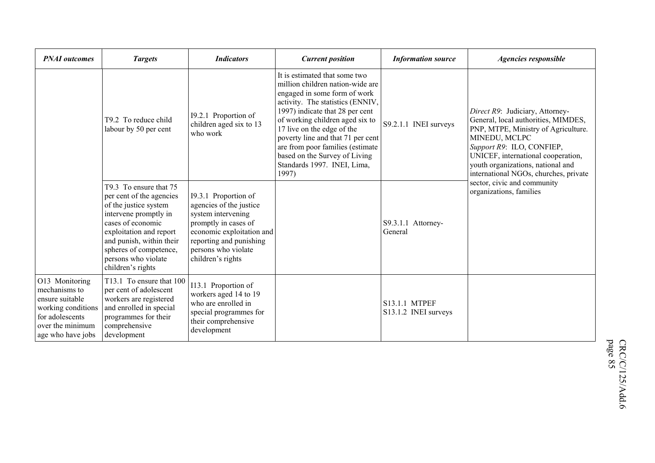| <b>PNAI</b> outcomes                                                                                                                 | <b>Targets</b>                                                                                                                                                                                                                                         | <b>Indicators</b>                                                                                                                                                                                 | <b>Current position</b>                                                                                                                                                                                                                                                                                                                                                                     | <b>Information source</b>             | Agencies responsible                                                                                                                                                                                                                                                            |
|--------------------------------------------------------------------------------------------------------------------------------------|--------------------------------------------------------------------------------------------------------------------------------------------------------------------------------------------------------------------------------------------------------|---------------------------------------------------------------------------------------------------------------------------------------------------------------------------------------------------|---------------------------------------------------------------------------------------------------------------------------------------------------------------------------------------------------------------------------------------------------------------------------------------------------------------------------------------------------------------------------------------------|---------------------------------------|---------------------------------------------------------------------------------------------------------------------------------------------------------------------------------------------------------------------------------------------------------------------------------|
|                                                                                                                                      | T9.2 To reduce child<br>labour by 50 per cent                                                                                                                                                                                                          | 19.2.1 Proportion of<br>children aged six to 13<br>who work                                                                                                                                       | It is estimated that some two<br>million children nation-wide are<br>engaged in some form of work<br>activity. The statistics (ENNIV,<br>1997) indicate that 28 per cent<br>of working children aged six to<br>17 live on the edge of the<br>poverty line and that 71 per cent<br>are from poor families (estimate<br>based on the Survey of Living<br>Standards 1997. INEI, Lima,<br>1997) | S9.2.1.1 INEI surveys                 | Direct R9: Judiciary, Attorney-<br>General, local authorities, MIMDES,<br>PNP, MTPE, Ministry of Agriculture.<br>MINEDU, MCLPC<br>Support R9: ILO, CONFIEP,<br>UNICEF, international cooperation,<br>youth organizations, national and<br>international NGOs, churches, private |
|                                                                                                                                      | T9.3 To ensure that 75<br>per cent of the agencies<br>of the justice system<br>intervene promptly in<br>cases of economic<br>exploitation and report<br>and punish, within their<br>spheres of competence,<br>persons who violate<br>children's rights | 19.3.1 Proportion of<br>agencies of the justice<br>system intervening<br>promptly in cases of<br>economic exploitation and<br>reporting and punishing<br>persons who violate<br>children's rights |                                                                                                                                                                                                                                                                                                                                                                                             | S9.3.1.1 Attorney-<br>General         | sector, civic and community<br>organizations, families                                                                                                                                                                                                                          |
| O13 Monitoring<br>mechanisms to<br>ensure suitable<br>working conditions<br>for adolescents<br>over the minimum<br>age who have jobs | T13.1 To ensure that 100<br>per cent of adolescent<br>workers are registered<br>and enrolled in special<br>programmes for their<br>comprehensive<br>development                                                                                        | I13.1 Proportion of<br>workers aged 14 to 19<br>who are enrolled in<br>special programmes for<br>their comprehensive<br>development                                                               |                                                                                                                                                                                                                                                                                                                                                                                             | S13.1.1 MTPEF<br>S13.1.2 INEI surveys |                                                                                                                                                                                                                                                                                 |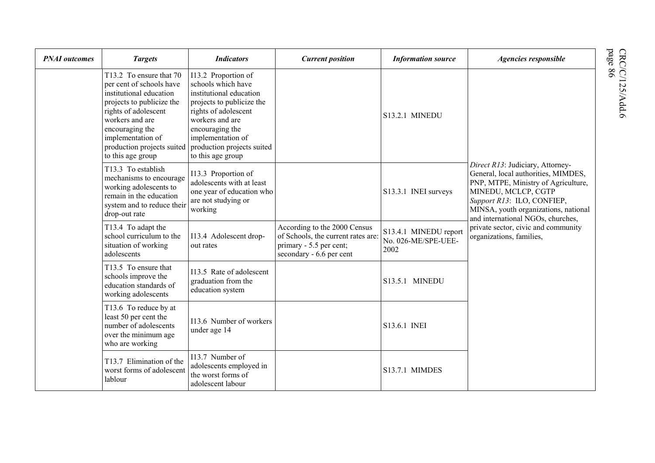| <b>PNAI</b> outcomes | <b>Targets</b>                                                                                                                                                                                                                                    | <b>Indicators</b>                                                                                                                                                                                                                       | <b>Current position</b>                                                                                                   | <b>Information source</b>                            | Agencies responsible                                                                                                                                                                                                                             |
|----------------------|---------------------------------------------------------------------------------------------------------------------------------------------------------------------------------------------------------------------------------------------------|-----------------------------------------------------------------------------------------------------------------------------------------------------------------------------------------------------------------------------------------|---------------------------------------------------------------------------------------------------------------------------|------------------------------------------------------|--------------------------------------------------------------------------------------------------------------------------------------------------------------------------------------------------------------------------------------------------|
|                      | T13.2 To ensure that 70<br>per cent of schools have<br>institutional education<br>projects to publicize the<br>rights of adolescent<br>workers and are<br>encouraging the<br>implementation of<br>production projects suited<br>to this age group | I13.2 Proportion of<br>schools which have<br>institutional education<br>projects to publicize the<br>rights of adolescent<br>workers and are<br>encouraging the<br>implementation of<br>production projects suited<br>to this age group |                                                                                                                           | <b>S13.2.1 MINEDU</b>                                | Direct R13: Judiciary, Attorney-<br>General, local authorities, MIMDES,<br>PNP, MTPE, Ministry of Agriculture,<br>MINEDU, MCLCP, CGTP<br>Support R13: ILO, CONFIEP,<br>MINSA, youth organizations, national<br>and international NGOs, churches, |
|                      | T13.3 To establish<br>mechanisms to encourage<br>working adolescents to<br>remain in the education<br>system and to reduce their<br>drop-out rate                                                                                                 | I13.3 Proportion of<br>adolescents with at least<br>one year of education who<br>are not studying or<br>working                                                                                                                         |                                                                                                                           | S13.3.1 INEI surveys                                 |                                                                                                                                                                                                                                                  |
|                      | T13.4 To adapt the<br>school curriculum to the<br>situation of working<br>adolescents                                                                                                                                                             | I13.4 Adolescent drop-<br>out rates                                                                                                                                                                                                     | According to the 2000 Census<br>of Schools, the current rates are:<br>primary - 5.5 per cent;<br>secondary - 6.6 per cent | S13.4.1 MINEDU report<br>No. 026-ME/SPE-UEE-<br>2002 | private sector, civic and community<br>organizations, families,                                                                                                                                                                                  |
|                      | T13.5 To ensure that<br>schools improve the<br>education standards of<br>working adolescents                                                                                                                                                      | I13.5 Rate of adolescent<br>graduation from the<br>education system                                                                                                                                                                     |                                                                                                                           | S13.5.1 MINEDU                                       |                                                                                                                                                                                                                                                  |
|                      | T13.6 To reduce by at<br>least 50 per cent the<br>number of adolescents<br>over the minimum age<br>who are working                                                                                                                                | I13.6 Number of workers<br>under age 14                                                                                                                                                                                                 |                                                                                                                           | S13.6.1 INEI                                         |                                                                                                                                                                                                                                                  |
|                      | T13.7 Elimination of the<br>worst forms of adolescent<br>lablour                                                                                                                                                                                  | I13.7 Number of<br>adolescents employed in<br>the worst forms of<br>adolescent labour                                                                                                                                                   |                                                                                                                           | <b>S13.7.1 MIMDES</b>                                |                                                                                                                                                                                                                                                  |

 $\mathrm{CRC/C}/125/\mathrm{Add}$  6 page 86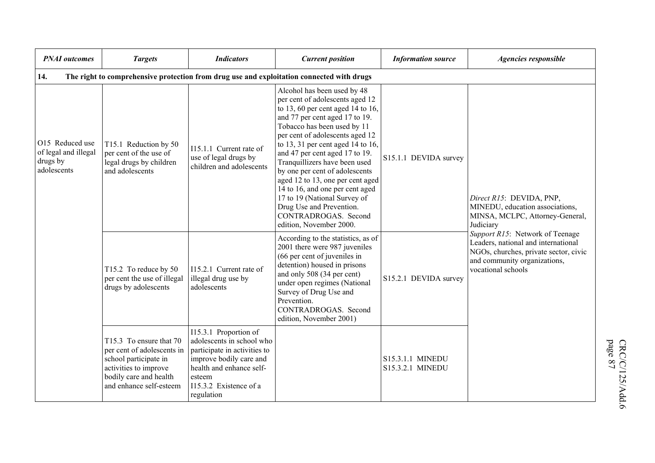| <b>PNAI</b> outcomes                                                                             | <b>Targets</b>                                                                                                                                               | <b>Indicators</b>                                                                                                                                                                           | <b>Current position</b>                                                                                                                                                                                                                                                                                                                                                                                                                                                                                                                 | <b>Information source</b>            | Agencies responsible                                                                                                                                                  |  |  |  |
|--------------------------------------------------------------------------------------------------|--------------------------------------------------------------------------------------------------------------------------------------------------------------|---------------------------------------------------------------------------------------------------------------------------------------------------------------------------------------------|-----------------------------------------------------------------------------------------------------------------------------------------------------------------------------------------------------------------------------------------------------------------------------------------------------------------------------------------------------------------------------------------------------------------------------------------------------------------------------------------------------------------------------------------|--------------------------------------|-----------------------------------------------------------------------------------------------------------------------------------------------------------------------|--|--|--|
| The right to comprehensive protection from drug use and exploitation connected with drugs<br>14. |                                                                                                                                                              |                                                                                                                                                                                             |                                                                                                                                                                                                                                                                                                                                                                                                                                                                                                                                         |                                      |                                                                                                                                                                       |  |  |  |
| O15 Reduced use<br>of legal and illegal<br>drugs by<br>adolescents                               | T15.1 Reduction by 50<br>per cent of the use of<br>legal drugs by children<br>and adolescents                                                                | I15.1.1 Current rate of<br>use of legal drugs by<br>children and adolescents                                                                                                                | Alcohol has been used by 48<br>per cent of adolescents aged 12<br>to 13, 60 per cent aged 14 to 16,<br>and 77 per cent aged 17 to 19.<br>Tobacco has been used by 11<br>per cent of adolescents aged 12<br>to 13, 31 per cent aged 14 to 16,<br>and 47 per cent aged 17 to 19.<br>Tranquillizers have been used<br>by one per cent of adolescents<br>aged 12 to 13, one per cent aged<br>14 to 16, and one per cent aged<br>17 to 19 (National Survey of<br>Drug Use and Prevention.<br>CONTRADROGAS. Second<br>edition, November 2000. | S15.1.1 DEVIDA survey                | Direct R15: DEVIDA, PNP,<br>MINEDU, education associations,<br>MINSA, MCLPC, Attorney-General,<br>Judiciary                                                           |  |  |  |
|                                                                                                  | T15.2 To reduce by 50<br>per cent the use of illegal<br>drugs by adolescents                                                                                 | I15.2.1 Current rate of<br>illegal drug use by<br>adolescents                                                                                                                               | According to the statistics, as of<br>2001 there were 987 juveniles<br>(66 per cent of juveniles in<br>detention) housed in prisons<br>and only 508 (34 per cent)<br>under open regimes (National<br>Survey of Drug Use and<br>Prevention.<br>CONTRADROGAS. Second<br>edition, November 2001)                                                                                                                                                                                                                                           | S15.2.1 DEVIDA survey                | Support R15: Network of Teenage<br>Leaders, national and international<br>NGOs, churches, private sector, civic<br>and community organizations,<br>vocational schools |  |  |  |
|                                                                                                  | T15.3 To ensure that 70<br>per cent of adolescents in<br>school participate in<br>activities to improve<br>bodily care and health<br>and enhance self-esteem | I15.3.1 Proportion of<br>adolescents in school who<br>participate in activities to<br>improve bodily care and<br>health and enhance self-<br>esteem<br>I15.3.2 Existence of a<br>regulation |                                                                                                                                                                                                                                                                                                                                                                                                                                                                                                                                         | S15.3.1.1 MINEDU<br>S15.3.2.1 MINEDU |                                                                                                                                                                       |  |  |  |

 $\mathrm{CRC/C}/125/\mathrm{Add}$  6 page 87 CRC/C/125/Add.6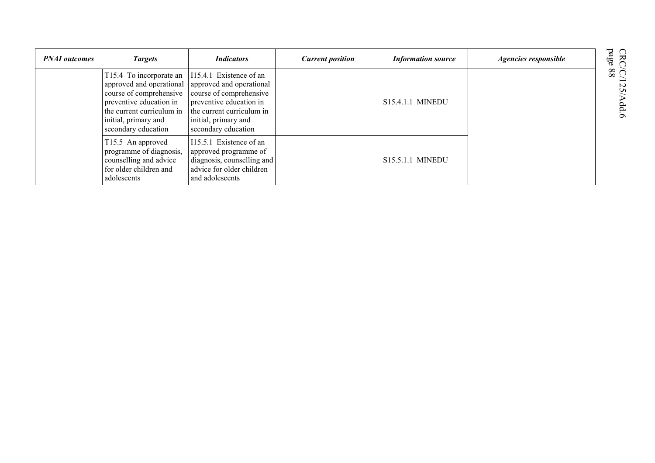| <b>PNAI</b> outcomes | <b>Targets</b>                                                                                                                                                                                                | <b>Indicators</b>                                                                                                                                          | <b>Current position</b> | <b>Information source</b> | Agencies responsible | CRC)<br>page                                          |
|----------------------|---------------------------------------------------------------------------------------------------------------------------------------------------------------------------------------------------------------|------------------------------------------------------------------------------------------------------------------------------------------------------------|-------------------------|---------------------------|----------------------|-------------------------------------------------------|
|                      | T15.4 To incorporate an 115.4.1 Existence of an<br>approved and operational<br>course of comprehensive<br>preventive education in<br>the current curriculum in<br>initial, primary and<br>secondary education | approved and operational<br>course of comprehensive<br>preventive education in<br>the current curriculum in<br>initial, primary and<br>secondary education |                         | S15.4.1.1 MINEDU          |                      | $\widetilde{\otimes}$ $\widetilde{\odot}$<br>$\sigma$ |
|                      | T15.5 An approved<br>programme of diagnosis,<br>counselling and advice<br>for older children and<br>adolescents                                                                                               | 115.5.1 Existence of an<br>approved programme of<br>diagnosis, counselling and<br>advice for older children<br>and adolescents                             |                         | S15.5.1.1 MINEDU          |                      |                                                       |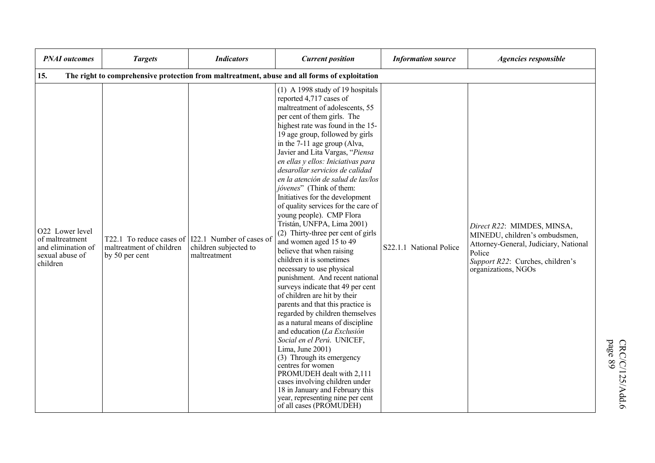| <b>PNAI</b> outcomes                                                                    | <b>Targets</b>                                                         | <b>Indicators</b>                                                 | <b>Current position</b>                                                                                                                                                                                                                                                                                                                                                                                                                                                                                                                                                                                                                                                                                                                                                                                                                                                                                                                                                                                                                                                                                                                                                                                                                  | <b>Information source</b> | Agencies responsible                                                                                                                                                      |
|-----------------------------------------------------------------------------------------|------------------------------------------------------------------------|-------------------------------------------------------------------|------------------------------------------------------------------------------------------------------------------------------------------------------------------------------------------------------------------------------------------------------------------------------------------------------------------------------------------------------------------------------------------------------------------------------------------------------------------------------------------------------------------------------------------------------------------------------------------------------------------------------------------------------------------------------------------------------------------------------------------------------------------------------------------------------------------------------------------------------------------------------------------------------------------------------------------------------------------------------------------------------------------------------------------------------------------------------------------------------------------------------------------------------------------------------------------------------------------------------------------|---------------------------|---------------------------------------------------------------------------------------------------------------------------------------------------------------------------|
| 15.                                                                                     |                                                                        |                                                                   | The right to comprehensive protection from maltreatment, abuse and all forms of exploitation                                                                                                                                                                                                                                                                                                                                                                                                                                                                                                                                                                                                                                                                                                                                                                                                                                                                                                                                                                                                                                                                                                                                             |                           |                                                                                                                                                                           |
| O22 Lower level<br>of maltreatment<br>and elimination of<br>sexual abuse of<br>children | T22.1 To reduce cases of<br>maltreatment of children<br>by 50 per cent | I22.1 Number of cases of<br>children subjected to<br>maltreatment | $(1)$ A 1998 study of 19 hospitals<br>reported 4,717 cases of<br>maltreatment of adolescents, 55<br>per cent of them girls. The<br>highest rate was found in the 15-<br>19 age group, followed by girls<br>in the 7-11 age group (Alva,<br>Javier and Lita Vargas, "Piensa<br>en ellas y ellos: Iniciativas para<br>desarollar servicios de calidad<br>en la atención de salud de las/los<br>jóvenes" (Think of them:<br>Initiatives for the development<br>of quality services for the care of<br>young people). CMP Flora<br>Tristán, UNFPA, Lima 2001)<br>(2) Thirty-three per cent of girls<br>and women aged 15 to 49<br>believe that when raising<br>children it is sometimes<br>necessary to use physical<br>punishment. And recent national<br>surveys indicate that 49 per cent<br>of children are hit by their<br>parents and that this practice is<br>regarded by children themselves<br>as a natural means of discipline<br>and education (La Exclusión<br>Social en el Perú. UNICEF,<br>Lima, June 2001)<br>(3) Through its emergency<br>centres for women<br>PROMUDEH dealt with 2,111<br>cases involving children under<br>18 in January and February this<br>year, representing nine per cent<br>of all cases (PROMUDEH) | S22.1.1 National Police   | Direct R22: MIMDES, MINSA,<br>MINEDU, children's ombudsmen,<br>Attorney-General, Judiciary, National<br>Police<br>Support R22: Curches, children's<br>organizations, NGOs |

CRC/C/125/Add.6<br>page 89 CRC/C/125/Add.6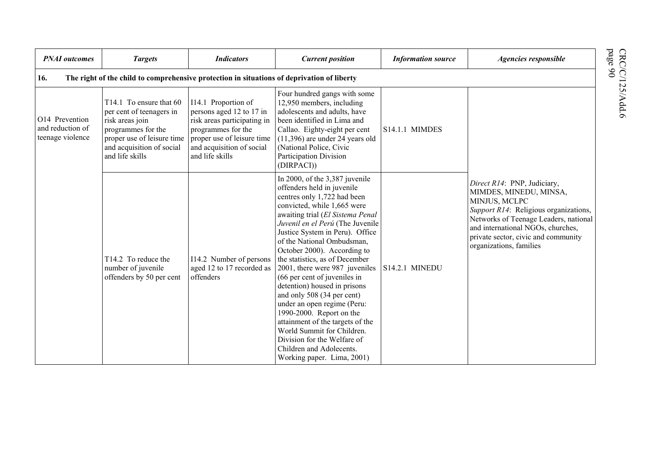| <b>PNAI</b> outcomes                                                                                             | <b>Targets</b>                                                                                                                                                             | <b>Indicators</b>                                                                                                                                                                  | <b>Current position</b>                                                                                                                                                                                                                                                                                                                                                                                                                                                                                                                                                                                                                                                                      | <b>Information source</b> | Agencies responsible                                                                                                                                                                                                                                            |  |  |  |  |
|------------------------------------------------------------------------------------------------------------------|----------------------------------------------------------------------------------------------------------------------------------------------------------------------------|------------------------------------------------------------------------------------------------------------------------------------------------------------------------------------|----------------------------------------------------------------------------------------------------------------------------------------------------------------------------------------------------------------------------------------------------------------------------------------------------------------------------------------------------------------------------------------------------------------------------------------------------------------------------------------------------------------------------------------------------------------------------------------------------------------------------------------------------------------------------------------------|---------------------------|-----------------------------------------------------------------------------------------------------------------------------------------------------------------------------------------------------------------------------------------------------------------|--|--|--|--|
| CRC<br>page<br>The right of the child to comprehensive protection in situations of deprivation of liberty<br>16. |                                                                                                                                                                            |                                                                                                                                                                                    |                                                                                                                                                                                                                                                                                                                                                                                                                                                                                                                                                                                                                                                                                              |                           |                                                                                                                                                                                                                                                                 |  |  |  |  |
| O14 Prevention<br>and reduction of<br>teenage violence                                                           | T14.1 To ensure that 60<br>per cent of teenagers in<br>risk areas join<br>programmes for the<br>proper use of leisure time<br>and acquisition of social<br>and life skills | I14.1 Proportion of<br>persons aged 12 to 17 in<br>risk areas participating in<br>programmes for the<br>proper use of leisure time<br>and acquisition of social<br>and life skills | Four hundred gangs with some<br>12,950 members, including<br>adolescents and adults, have<br>been identified in Lima and<br>Callao. Eighty-eight per cent<br>$(11,396)$ are under 24 years old<br>(National Police, Civic<br>Participation Division<br>(DIRPACI))                                                                                                                                                                                                                                                                                                                                                                                                                            | <b>S14.1.1 MIMDES</b>     |                                                                                                                                                                                                                                                                 |  |  |  |  |
|                                                                                                                  | T14.2 To reduce the<br>number of juvenile<br>offenders by 50 per cent                                                                                                      | I14.2 Number of persons<br>aged 12 to 17 recorded as<br>offenders                                                                                                                  | In 2000, of the $3,387$ juvenile<br>offenders held in juvenile<br>centres only 1,722 had been<br>convicted, while 1,665 were<br>awaiting trial (El Sistema Penal<br>Juvenil en el Perú (The Juvenile<br>Justice System in Peru). Office<br>of the National Ombudsman,<br>October 2000). According to<br>the statistics, as of December<br>2001, there were 987 juveniles<br>(66 per cent of juveniles in<br>detention) housed in prisons<br>and only 508 (34 per cent)<br>under an open regime (Peru:<br>1990-2000. Report on the<br>attainment of the targets of the<br>World Summit for Children.<br>Division for the Welfare of<br>Children and Adolecents.<br>Working paper. Lima, 2001) | S14.2.1 MINEDU            | Direct R14: PNP, Judiciary,<br>MIMDES, MINEDU, MINSA,<br>MINJUS, MCLPC<br>Support R14: Religious organizations,<br>Networks of Teenage Leaders, national<br>and international NGOs, churches,<br>private sector, civic and community<br>organizations, families |  |  |  |  |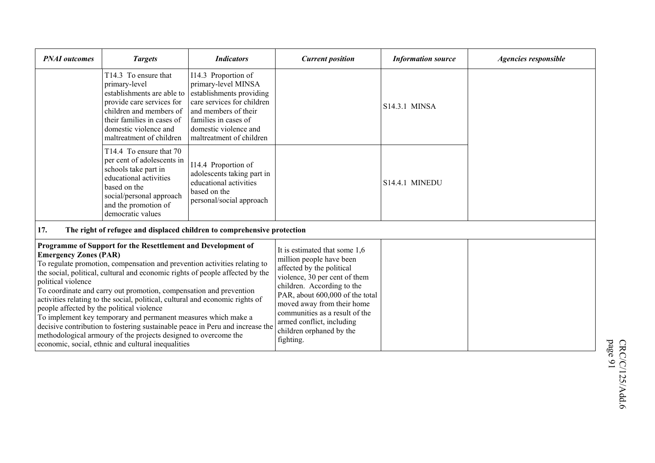| <b>PNAI</b> outcomes                                                                                                                                                                                                                                                                                                                                                                                                                                                                                                                                                                                                                                                                                                                                             | <b>Targets</b>                                                                                                                                                                                                 | <b>Indicators</b>                                                                                                                                                                                                                                                                                                              | <b>Current position</b> | <b>Information source</b> | Agencies responsible |
|------------------------------------------------------------------------------------------------------------------------------------------------------------------------------------------------------------------------------------------------------------------------------------------------------------------------------------------------------------------------------------------------------------------------------------------------------------------------------------------------------------------------------------------------------------------------------------------------------------------------------------------------------------------------------------------------------------------------------------------------------------------|----------------------------------------------------------------------------------------------------------------------------------------------------------------------------------------------------------------|--------------------------------------------------------------------------------------------------------------------------------------------------------------------------------------------------------------------------------------------------------------------------------------------------------------------------------|-------------------------|---------------------------|----------------------|
|                                                                                                                                                                                                                                                                                                                                                                                                                                                                                                                                                                                                                                                                                                                                                                  | T14.3 To ensure that<br>primary-level<br>establishments are able to<br>provide care services for<br>children and members of<br>their families in cases of<br>domestic violence and<br>maltreatment of children | I14.3 Proportion of<br>primary-level MINSA<br>establishments providing<br>care services for children<br>and members of their<br>families in cases of<br>domestic violence and<br>maltreatment of children                                                                                                                      |                         | S14.3.1 MINSA             |                      |
|                                                                                                                                                                                                                                                                                                                                                                                                                                                                                                                                                                                                                                                                                                                                                                  | T14.4 To ensure that 70<br>per cent of adolescents in<br>schools take part in<br>educational activities<br>based on the<br>social/personal approach<br>and the promotion of<br>democratic values               | I14.4 Proportion of<br>adolescents taking part in<br>educational activities<br>based on the<br>personal/social approach                                                                                                                                                                                                        |                         | S14.4.1 MINEDU            |                      |
| 17.                                                                                                                                                                                                                                                                                                                                                                                                                                                                                                                                                                                                                                                                                                                                                              |                                                                                                                                                                                                                | The right of refugee and displaced children to comprehensive protection                                                                                                                                                                                                                                                        |                         |                           |                      |
| Programme of Support for the Resettlement and Development of<br><b>Emergency Zones (PAR)</b><br>To regulate promotion, compensation and prevention activities relating to<br>the social, political, cultural and economic rights of people affected by the<br>political violence<br>To coordinate and carry out promotion, compensation and prevention<br>activities relating to the social, political, cultural and economic rights of<br>people affected by the political violence<br>To implement key temporary and permanent measures which make a<br>decisive contribution to fostering sustainable peace in Peru and increase the<br>methodological armoury of the projects designed to overcome the<br>economic, social, ethnic and cultural inequalities |                                                                                                                                                                                                                | It is estimated that some 1,6<br>million people have been<br>affected by the political<br>violence, 30 per cent of them<br>children. According to the<br>PAR, about 600,000 of the total<br>moved away from their home<br>communities as a result of the<br>armed conflict, including<br>children orphaned by the<br>fighting. |                         |                           |                      |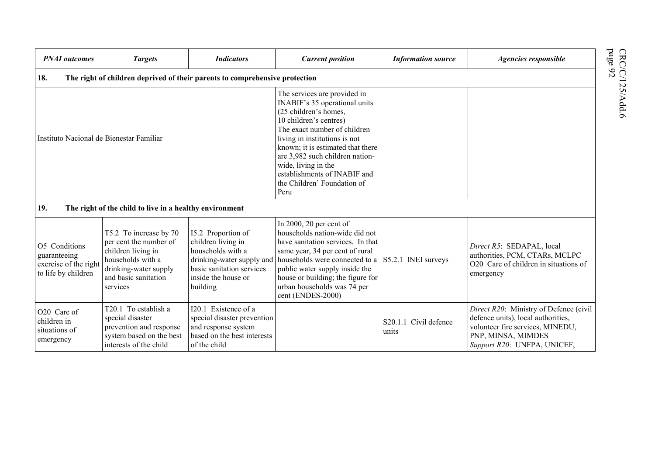| <b>PNAI</b> outcomes                                                          | <b>Targets</b>                                                                                                                                           | <b>Indicators</b>                                                                                                                                          | <b>Current position</b>                                                                                                                                                                                                                                                                                                                                 | <b>Information source</b>                     | Agencies responsible                                                                                                                                                  |
|-------------------------------------------------------------------------------|----------------------------------------------------------------------------------------------------------------------------------------------------------|------------------------------------------------------------------------------------------------------------------------------------------------------------|---------------------------------------------------------------------------------------------------------------------------------------------------------------------------------------------------------------------------------------------------------------------------------------------------------------------------------------------------------|-----------------------------------------------|-----------------------------------------------------------------------------------------------------------------------------------------------------------------------|
| 18.                                                                           |                                                                                                                                                          | The right of children deprived of their parents to comprehensive protection                                                                                |                                                                                                                                                                                                                                                                                                                                                         |                                               |                                                                                                                                                                       |
| Instituto Nacional de Bienestar Familiar                                      |                                                                                                                                                          |                                                                                                                                                            | The services are provided in<br>INABIF's 35 operational units<br>(25 children's homes,<br>10 children's centres)<br>The exact number of children<br>living in institutions is not<br>known; it is estimated that there<br>are 3,982 such children nation-<br>wide, living in the<br>establishments of INABIF and<br>the Children' Foundation of<br>Peru |                                               |                                                                                                                                                                       |
| 19.                                                                           | The right of the child to live in a healthy environment                                                                                                  |                                                                                                                                                            |                                                                                                                                                                                                                                                                                                                                                         |                                               |                                                                                                                                                                       |
| O5 Conditions<br>guaranteeing<br>exercise of the right<br>to life by children | T5.2 To increase by 70<br>per cent the number of<br>children living in<br>households with a<br>drinking-water supply<br>and basic sanitation<br>services | I5.2 Proportion of<br>children living in<br>households with a<br>drinking-water supply and<br>basic sanitation services<br>inside the house or<br>building | In 2000, 20 per cent of<br>households nation-wide did not<br>have sanitation services. In that<br>same year, 34 per cent of rural<br>households were connected to a<br>public water supply inside the<br>house or building; the figure for<br>urban households was 74 per<br>cent (ENDES-2000)                                                          | S5.2.1 INEI surveys                           | Direct R5: SEDAPAL, local<br>authorities, PCM, CTARs, MCLPC<br>O20 Care of children in situations of<br>emergency                                                     |
| O <sub>20</sub> Care of<br>children in<br>situations of<br>emergency          | T20.1 To establish a<br>special disaster<br>prevention and response<br>system based on the best<br>interests of the child                                | I20.1 Existence of a<br>special disaster prevention<br>and response system<br>based on the best interests<br>of the child                                  |                                                                                                                                                                                                                                                                                                                                                         | Civil defence<br>S <sub>20.1.1</sub><br>units | Direct R20: Ministry of Defence (civil<br>defence units), local authorities,<br>volunteer fire services, MINEDU,<br>PNP, MINSA, MIMDES<br>Support R20: UNFPA, UNICEF. |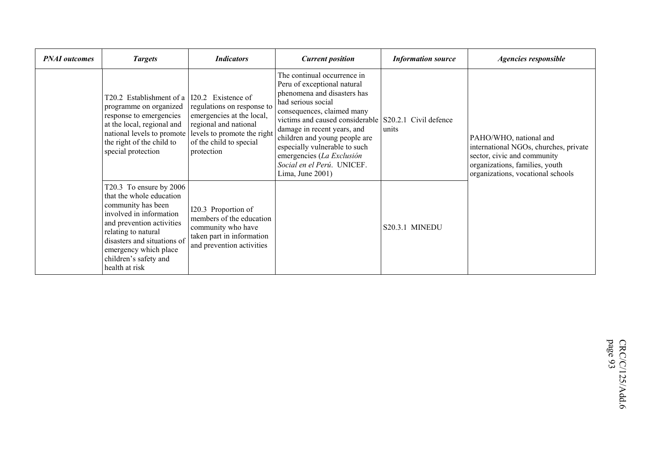| <b>PNAI</b> outcomes | <b>Targets</b>                                                                                                                                                                                                                                              | <b>Indicators</b>                                                                                                                                                              | <b>Current position</b>                                                                                                                                                                                                                                                                                                                                                                   | <b>Information source</b> | <b>Agencies responsible</b>                                                                                                                                           |
|----------------------|-------------------------------------------------------------------------------------------------------------------------------------------------------------------------------------------------------------------------------------------------------------|--------------------------------------------------------------------------------------------------------------------------------------------------------------------------------|-------------------------------------------------------------------------------------------------------------------------------------------------------------------------------------------------------------------------------------------------------------------------------------------------------------------------------------------------------------------------------------------|---------------------------|-----------------------------------------------------------------------------------------------------------------------------------------------------------------------|
|                      | T20.2 Establishment of a<br>programme on organized<br>response to emergencies<br>at the local, regional and<br>national levels to promote<br>the right of the child to<br>special protection                                                                | 120.2 Existence of<br>regulations on response to<br>emergencies at the local,<br>regional and national<br>levels to promote the right<br>of the child to special<br>protection | The continual occurrence in<br>Peru of exceptional natural<br>phenomena and disasters has<br>had serious social<br>consequences, claimed many<br>victims and caused considerable S20.2.1 Civil defence<br>damage in recent years, and<br>children and young people are<br>especially vulnerable to such<br>emergencies (La Exclusión<br>Social en el Perú. UNICEF.<br>Lima, June $2001$ ) | units                     | PAHO/WHO, national and<br>international NGOs, churches, private<br>sector, civic and community<br>organizations, families, youth<br>organizations, vocational schools |
|                      | T20.3 To ensure by 2006<br>that the whole education<br>community has been<br>involved in information<br>and prevention activities<br>relating to natural<br>disasters and situations of<br>emergency which place<br>children's safety and<br>health at risk | I20.3 Proportion of<br>members of the education<br>community who have<br>taken part in information<br>and prevention activities                                                |                                                                                                                                                                                                                                                                                                                                                                                           | <b>S20.3.1 MINEDU</b>     |                                                                                                                                                                       |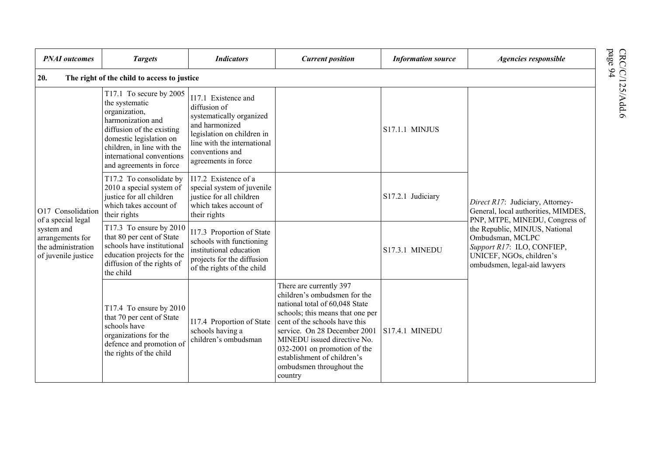| <b>PNAI</b> outcomes                                                                              | <b>Targets</b>                                                                                                                                                                                                                                                             | <b>Indicators</b>                                                                                                                                                                        | <b>Current position</b>                                                                                                                                                                                                                                                                                                             | <b>Information source</b> | Agencies responsible                                                                                                                                                           |  |  |  |  |
|---------------------------------------------------------------------------------------------------|----------------------------------------------------------------------------------------------------------------------------------------------------------------------------------------------------------------------------------------------------------------------------|------------------------------------------------------------------------------------------------------------------------------------------------------------------------------------------|-------------------------------------------------------------------------------------------------------------------------------------------------------------------------------------------------------------------------------------------------------------------------------------------------------------------------------------|---------------------------|--------------------------------------------------------------------------------------------------------------------------------------------------------------------------------|--|--|--|--|
| CRC/C/125/Add.6<br>page 94<br>20.<br>The right of the child to access to justice                  |                                                                                                                                                                                                                                                                            |                                                                                                                                                                                          |                                                                                                                                                                                                                                                                                                                                     |                           |                                                                                                                                                                                |  |  |  |  |
|                                                                                                   | T17.1 To secure by 2005<br>the systematic<br>organization,<br>harmonization and<br>diffusion of the existing<br>domestic legislation on<br>children, in line with the<br>international conventions<br>and agreements in force                                              | I17.1 Existence and<br>diffusion of<br>systematically organized<br>and harmonized<br>legislation on children in<br>line with the international<br>conventions and<br>agreements in force |                                                                                                                                                                                                                                                                                                                                     | <b>S17.1.1 MINJUS</b>     |                                                                                                                                                                                |  |  |  |  |
| O17 Consolidation                                                                                 | T17.2 To consolidate by<br>I17.2 Existence of a<br>2010 a special system of<br>special system of juvenile<br>justice for all children<br>justice for all children<br>S17.2.1 Judiciary<br>which takes account of<br>which takes account of<br>their rights<br>their rights | Direct R17: Judiciary, Attorney-<br>General, local authorities, MIMDES,                                                                                                                  |                                                                                                                                                                                                                                                                                                                                     |                           |                                                                                                                                                                                |  |  |  |  |
| of a special legal<br>system and<br>arrangements for<br>the administration<br>of juvenile justice | T17.3 To ensure by 2010<br>that 80 per cent of State<br>schools have institutional<br>education projects for the<br>diffusion of the rights of<br>the child                                                                                                                | I17.3 Proportion of State<br>schools with functioning<br>institutional education<br>projects for the diffusion<br>of the rights of the child                                             |                                                                                                                                                                                                                                                                                                                                     | <b>S17.3.1 MINEDU</b>     | PNP, MTPE, MINEDU, Congress of<br>the Republic, MINJUS, National<br>Ombudsman, MCLPC<br>Support R17: ILO, CONFIEP,<br>UNICEF, NGOs, children's<br>ombudsmen, legal-aid lawyers |  |  |  |  |
|                                                                                                   | T17.4 To ensure by 2010<br>that 70 per cent of State<br>schools have<br>organizations for the<br>defence and promotion of<br>the rights of the child                                                                                                                       | I17.4 Proportion of State<br>schools having a<br>children's ombudsman                                                                                                                    | There are currently 397<br>children's ombudsmen for the<br>national total of 60,048 State<br>schools; this means that one per<br>cent of the schools have this<br>service. On 28 December 2001<br>MINEDU issued directive No.<br>032-2001 on promotion of the<br>establishment of children's<br>ombudsmen throughout the<br>country | S17.4.1 MINEDU            |                                                                                                                                                                                |  |  |  |  |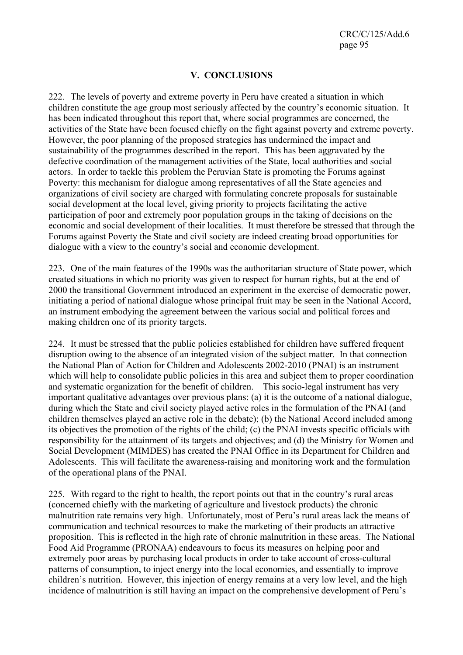CRC/C/125/Add.6 page 95

## **V. CONCLUSIONS**

222. The levels of poverty and extreme poverty in Peru have created a situation in which children constitute the age group most seriously affected by the country's economic situation. It has been indicated throughout this report that, where social programmes are concerned, the activities of the State have been focused chiefly on the fight against poverty and extreme poverty. However, the poor planning of the proposed strategies has undermined the impact and sustainability of the programmes described in the report. This has been aggravated by the defective coordination of the management activities of the State, local authorities and social actors. In order to tackle this problem the Peruvian State is promoting the Forums against Poverty: this mechanism for dialogue among representatives of all the State agencies and organizations of civil society are charged with formulating concrete proposals for sustainable social development at the local level, giving priority to projects facilitating the active participation of poor and extremely poor population groups in the taking of decisions on the economic and social development of their localities. It must therefore be stressed that through the Forums against Poverty the State and civil society are indeed creating broad opportunities for dialogue with a view to the country's social and economic development.

223. One of the main features of the 1990s was the authoritarian structure of State power, which created situations in which no priority was given to respect for human rights, but at the end of 2000 the transitional Government introduced an experiment in the exercise of democratic power, initiating a period of national dialogue whose principal fruit may be seen in the National Accord, an instrument embodying the agreement between the various social and political forces and making children one of its priority targets.

224. It must be stressed that the public policies established for children have suffered frequent disruption owing to the absence of an integrated vision of the subject matter. In that connection the National Plan of Action for Children and Adolescents 2002-2010 (PNAI) is an instrument which will help to consolidate public policies in this area and subject them to proper coordination and systematic organization for the benefit of children. This socio-legal instrument has very important qualitative advantages over previous plans: (a) it is the outcome of a national dialogue, during which the State and civil society played active roles in the formulation of the PNAI (and children themselves played an active role in the debate); (b) the National Accord included among its objectives the promotion of the rights of the child; (c) the PNAI invests specific officials with responsibility for the attainment of its targets and objectives; and (d) the Ministry for Women and Social Development (MIMDES) has created the PNAI Office in its Department for Children and Adolescents. This will facilitate the awareness-raising and monitoring work and the formulation of the operational plans of the PNAI.

225. With regard to the right to health, the report points out that in the country's rural areas (concerned chiefly with the marketing of agriculture and livestock products) the chronic malnutrition rate remains very high. Unfortunately, most of Peru's rural areas lack the means of communication and technical resources to make the marketing of their products an attractive proposition. This is reflected in the high rate of chronic malnutrition in these areas. The National Food Aid Programme (PRONAA) endeavours to focus its measures on helping poor and extremely poor areas by purchasing local products in order to take account of cross-cultural patterns of consumption, to inject energy into the local economies, and essentially to improve children's nutrition. However, this injection of energy remains at a very low level, and the high incidence of malnutrition is still having an impact on the comprehensive development of Peru's